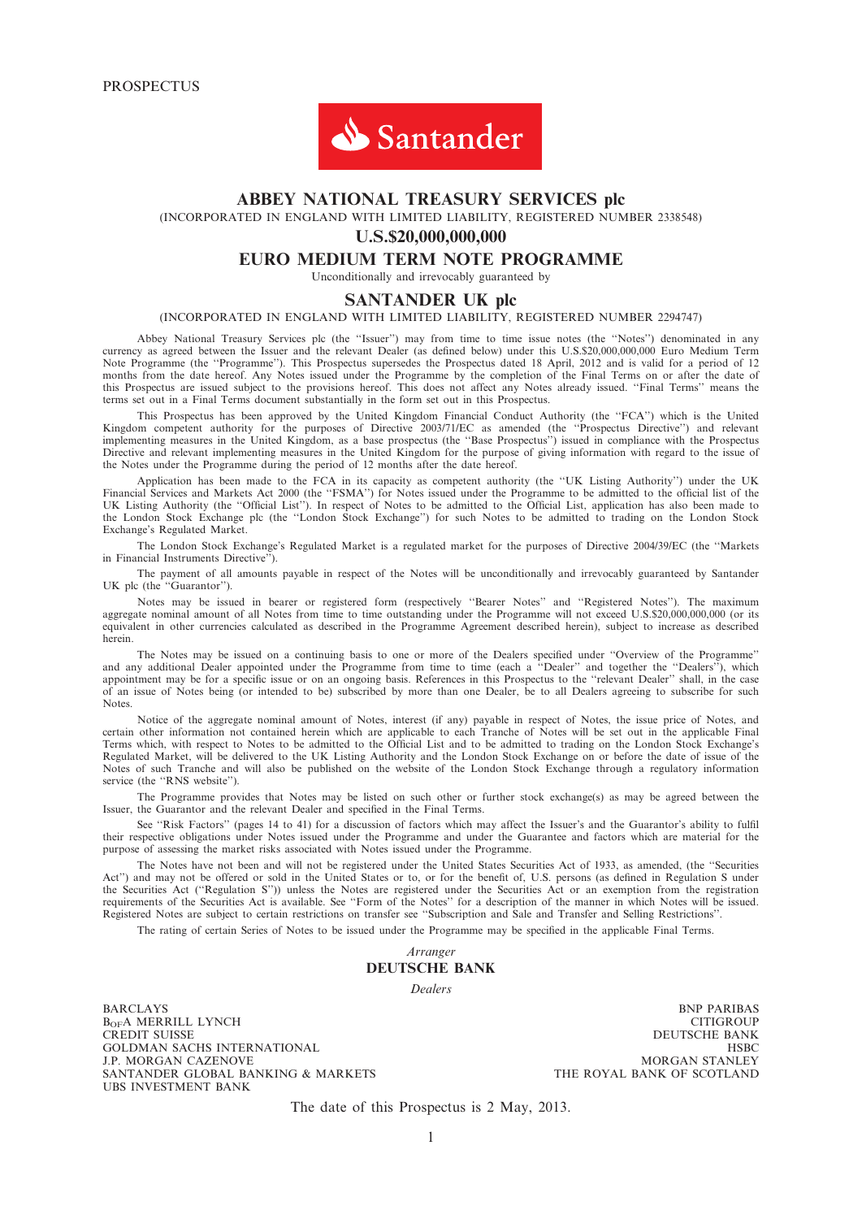

## ABBEY NATIONAL TREASURY SERVICES plc

(INCORPORATED IN ENGLAND WITH LIMITED LIABILITY, REGISTERED NUMBER 2338548)

### U.S.\$20,000,000,000

#### EURO MEDIUM TERM NOTE PROGRAMME

Unconditionally and irrevocably guaranteed by

#### SANTANDER UK plc

#### (INCORPORATED IN ENGLAND WITH LIMITED LIABILITY, REGISTERED NUMBER 2294747)

Abbey National Treasury Services plc (the ''Issuer'') may from time to time issue notes (the ''Notes'') denominated in any currency as agreed between the Issuer and the relevant Dealer (as defined below) under this U.S.\$20,000,000,000 Euro Medium Term Note Programme (the ''Programme''). This Prospectus supersedes the Prospectus dated 18 April, 2012 and is valid for a period of 12 months from the date hereof. Any Notes issued under the Programme by the completion of the Final Terms on or after the date of this Prospectus are issued subject to the provisions hereof. This does not affect any Notes already issued. ''Final Terms'' means the terms set out in a Final Terms document substantially in the form set out in this Prospectus.

This Prospectus has been approved by the United Kingdom Financial Conduct Authority (the ''FCA'') which is the United Kingdom competent authority for the purposes of Directive 2003/71/EC as amended (the ''Prospectus Directive'') and relevant implementing measures in the United Kingdom, as a base prospectus (the ''Base Prospectus'') issued in compliance with the Prospectus Directive and relevant implementing measures in the United Kingdom for the purpose of giving information with regard to the issue of the Notes under the Programme during the period of 12 months after the date hereof.

Application has been made to the FCA in its capacity as competent authority (the ''UK Listing Authority'') under the UK Financial Services and Markets Act 2000 (the "FSMA") for Notes issued under the Programme to be admitted to the official list of the UK Listing Authority (the ''Official List''). In respect of Notes to be admitted to the Official List, application has also been made to the London Stock Exchange plc (the ''London Stock Exchange'') for such Notes to be admitted to trading on the London Stock Exchange's Regulated Market.

The London Stock Exchange's Regulated Market is a regulated market for the purposes of Directive 2004/39/EC (the ''Markets in Financial Instruments Directive'').

The payment of all amounts payable in respect of the Notes will be unconditionally and irrevocably guaranteed by Santander UK plc (the "Guarantor").

Notes may be issued in bearer or registered form (respectively ''Bearer Notes'' and ''Registered Notes''). The maximum aggregate nominal amount of all Notes from time to time outstanding under the Programme will not exceed U.S.\$20,000,000,000 (or its equivalent in other currencies calculated as described in the Programme Agreement described herein), subject to increase as described herein.

The Notes may be issued on a continuing basis to one or more of the Dealers specified under ''Overview of the Programme'' and any additional Dealer appointed under the Programme from time to time (each a ''Dealer'' and together the ''Dealers''), which appointment may be for a specific issue or on an ongoing basis. References in this Prospectus to the ''relevant Dealer'' shall, in the case of an issue of Notes being (or intended to be) subscribed by more than one Dealer, be to all Dealers agreeing to subscribe for such Notes.

Notice of the aggregate nominal amount of Notes, interest (if any) payable in respect of Notes, the issue price of Notes, and certain other information not contained herein which are applicable to each Tranche of Notes will be set out in the applicable Final Terms which, with respect to Notes to be admitted to the Official List and to be admitted to trading on the London Stock Exchange's Regulated Market, will be delivered to the UK Listing Authority and the London Stock Exchange on or before the date of issue of the Notes of such Tranche and will also be published on the website of the London Stock Exchange through a regulatory information service (the "RNS website").

The Programme provides that Notes may be listed on such other or further stock exchange(s) as may be agreed between the Issuer, the Guarantor and the relevant Dealer and specified in the Final Terms.

See ''Risk Factors'' (pages 14 to 41) for a discussion of factors which may affect the Issuer's and the Guarantor's ability to fulfil their respective obligations under Notes issued under the Programme and under the Guarantee and factors which are material for the purpose of assessing the market risks associated with Notes issued under the Programme.

The Notes have not been and will not be registered under the United States Securities Act of 1933, as amended, (the ''Securities Act'') and may not be offered or sold in the United States or to, or for the benefit of, U.S. persons (as defined in Regulation S under the Securities Act (''Regulation S'')) unless the Notes are registered under the Securities Act or an exemption from the registration requirements of the Securities Act is available. See ''Form of the Notes'' for a description of the manner in which Notes will be issued. Registered Notes are subject to certain restrictions on transfer see ''Subscription and Sale and Transfer and Selling Restrictions''.

The rating of certain Series of Notes to be issued under the Programme may be specified in the applicable Final Terms.

### Arranger DEUTSCHE BANK

Dealers

BARCLAYS BNP PARIBAS B<sub>OF</sub>A MERRILL LYNCH CITIGROUP<br>
CITIGROUP<br>
CREDIT SUISSE GOLDMAN SACHS INTERNATIONAL HSBC J.P. MORGAN CAZENOVE MORGAN STANLEY SANTANDER GLOBAL BANKING & MARKETS UBS INVESTMENT BANK

DEUTSCHE BANK<br>HSBC

The date of this Prospectus is 2 May, 2013.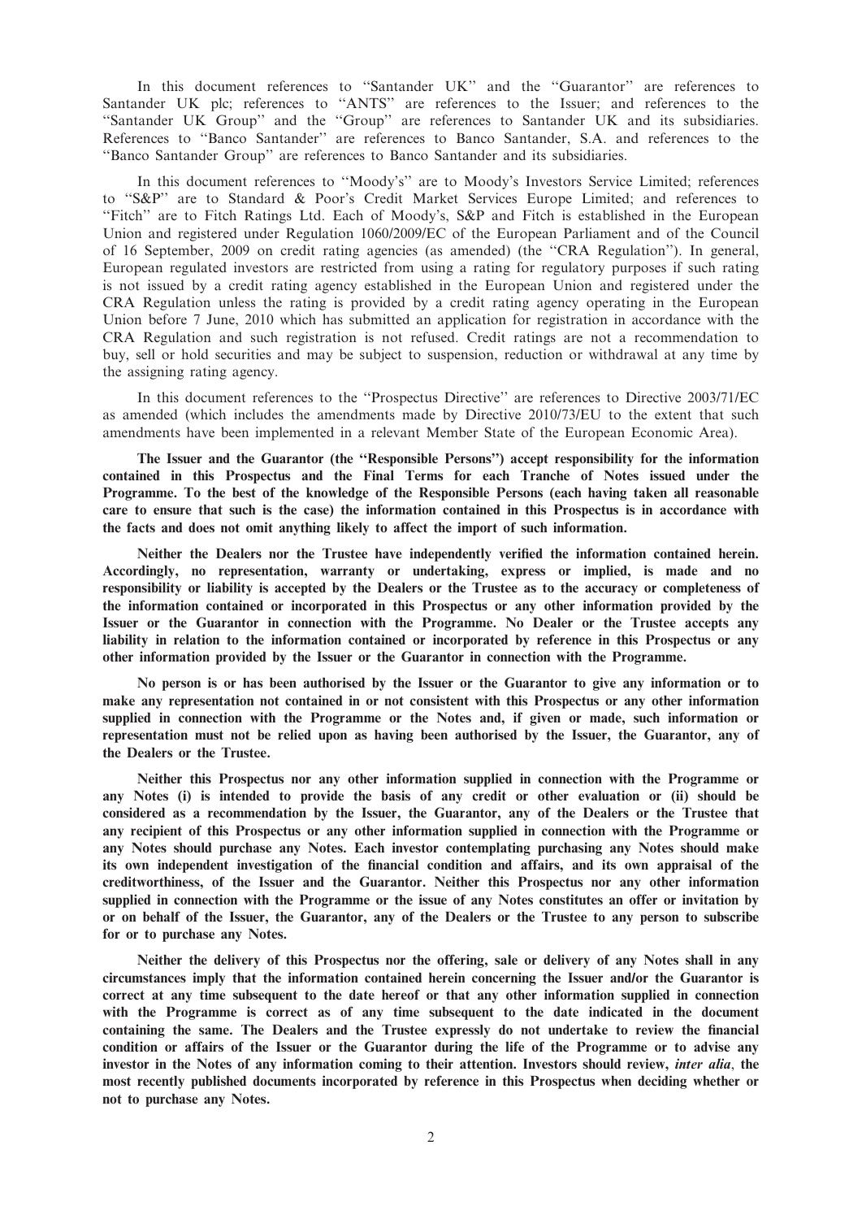In this document references to ''Santander UK'' and the ''Guarantor'' are references to Santander UK plc; references to ''ANTS'' are references to the Issuer; and references to the ''Santander UK Group'' and the ''Group'' are references to Santander UK and its subsidiaries. References to ''Banco Santander'' are references to Banco Santander, S.A. and references to the ''Banco Santander Group'' are references to Banco Santander and its subsidiaries.

In this document references to ''Moody's'' are to Moody's Investors Service Limited; references to ''S&P'' are to Standard & Poor's Credit Market Services Europe Limited; and references to ''Fitch'' are to Fitch Ratings Ltd. Each of Moody's, S&P and Fitch is established in the European Union and registered under Regulation 1060/2009/EC of the European Parliament and of the Council of 16 September, 2009 on credit rating agencies (as amended) (the ''CRA Regulation''). In general, European regulated investors are restricted from using a rating for regulatory purposes if such rating is not issued by a credit rating agency established in the European Union and registered under the CRA Regulation unless the rating is provided by a credit rating agency operating in the European Union before 7 June, 2010 which has submitted an application for registration in accordance with the CRA Regulation and such registration is not refused. Credit ratings are not a recommendation to buy, sell or hold securities and may be subject to suspension, reduction or withdrawal at any time by the assigning rating agency.

In this document references to the ''Prospectus Directive'' are references to Directive 2003/71/EC as amended (which includes the amendments made by Directive 2010/73/EU to the extent that such amendments have been implemented in a relevant Member State of the European Economic Area).

The Issuer and the Guarantor (the ''Responsible Persons'') accept responsibility for the information contained in this Prospectus and the Final Terms for each Tranche of Notes issued under the Programme. To the best of the knowledge of the Responsible Persons (each having taken all reasonable care to ensure that such is the case) the information contained in this Prospectus is in accordance with the facts and does not omit anything likely to affect the import of such information.

Neither the Dealers nor the Trustee have independently verified the information contained herein. Accordingly, no representation, warranty or undertaking, express or implied, is made and no responsibility or liability is accepted by the Dealers or the Trustee as to the accuracy or completeness of the information contained or incorporated in this Prospectus or any other information provided by the Issuer or the Guarantor in connection with the Programme. No Dealer or the Trustee accepts any liability in relation to the information contained or incorporated by reference in this Prospectus or any other information provided by the Issuer or the Guarantor in connection with the Programme.

No person is or has been authorised by the Issuer or the Guarantor to give any information or to make any representation not contained in or not consistent with this Prospectus or any other information supplied in connection with the Programme or the Notes and, if given or made, such information or representation must not be relied upon as having been authorised by the Issuer, the Guarantor, any of the Dealers or the Trustee.

Neither this Prospectus nor any other information supplied in connection with the Programme or any Notes (i) is intended to provide the basis of any credit or other evaluation or (ii) should be considered as a recommendation by the Issuer, the Guarantor, any of the Dealers or the Trustee that any recipient of this Prospectus or any other information supplied in connection with the Programme or any Notes should purchase any Notes. Each investor contemplating purchasing any Notes should make its own independent investigation of the financial condition and affairs, and its own appraisal of the creditworthiness, of the Issuer and the Guarantor. Neither this Prospectus nor any other information supplied in connection with the Programme or the issue of any Notes constitutes an offer or invitation by or on behalf of the Issuer, the Guarantor, any of the Dealers or the Trustee to any person to subscribe for or to purchase any Notes.

Neither the delivery of this Prospectus nor the offering, sale or delivery of any Notes shall in any circumstances imply that the information contained herein concerning the Issuer and/or the Guarantor is correct at any time subsequent to the date hereof or that any other information supplied in connection with the Programme is correct as of any time subsequent to the date indicated in the document containing the same. The Dealers and the Trustee expressly do not undertake to review the financial condition or affairs of the Issuer or the Guarantor during the life of the Programme or to advise any investor in the Notes of any information coming to their attention. Investors should review, inter alia, the most recently published documents incorporated by reference in this Prospectus when deciding whether or not to purchase any Notes.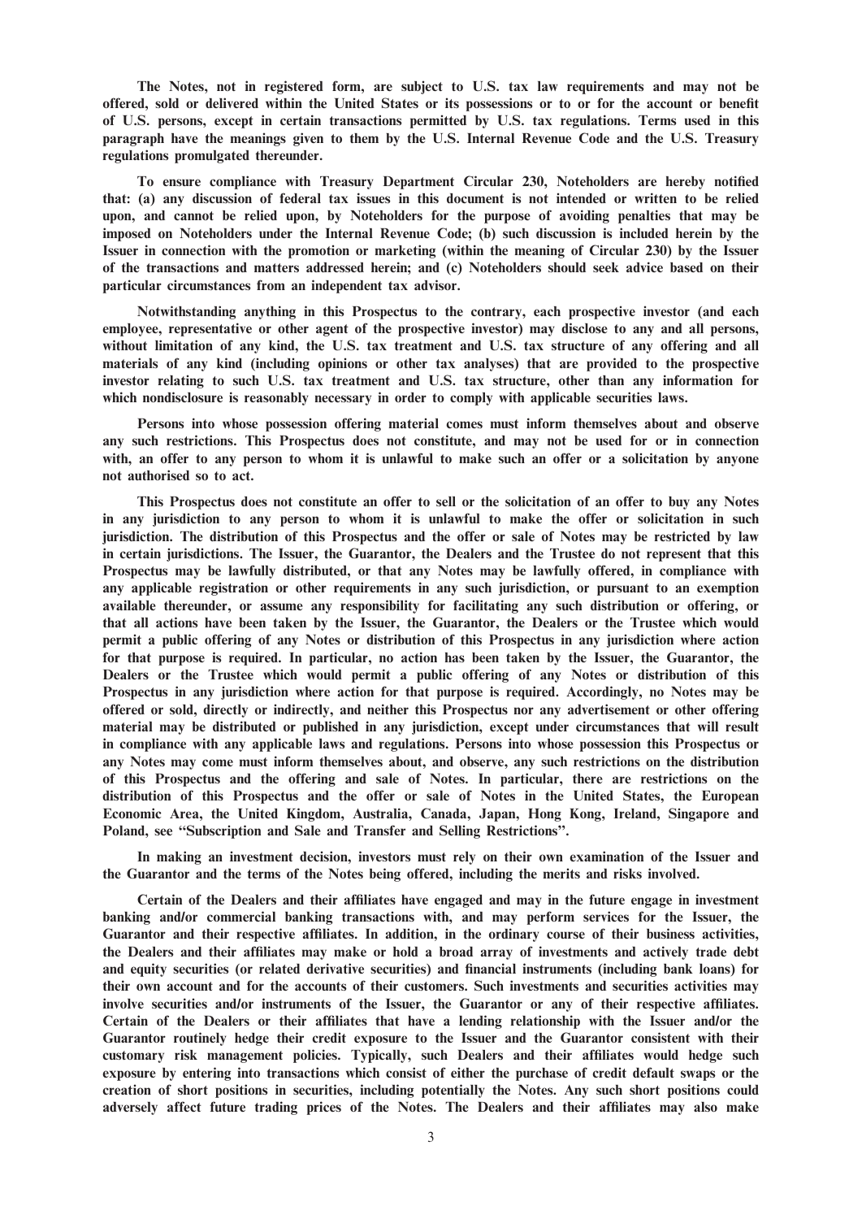The Notes, not in registered form, are subject to U.S. tax law requirements and may not be offered, sold or delivered within the United States or its possessions or to or for the account or benefit of U.S. persons, except in certain transactions permitted by U.S. tax regulations. Terms used in this paragraph have the meanings given to them by the U.S. Internal Revenue Code and the U.S. Treasury regulations promulgated thereunder.

To ensure compliance with Treasury Department Circular 230, Noteholders are hereby notified that: (a) any discussion of federal tax issues in this document is not intended or written to be relied upon, and cannot be relied upon, by Noteholders for the purpose of avoiding penalties that may be imposed on Noteholders under the Internal Revenue Code; (b) such discussion is included herein by the Issuer in connection with the promotion or marketing (within the meaning of Circular 230) by the Issuer of the transactions and matters addressed herein; and (c) Noteholders should seek advice based on their particular circumstances from an independent tax advisor.

Notwithstanding anything in this Prospectus to the contrary, each prospective investor (and each employee, representative or other agent of the prospective investor) may disclose to any and all persons, without limitation of any kind, the U.S. tax treatment and U.S. tax structure of any offering and all materials of any kind (including opinions or other tax analyses) that are provided to the prospective investor relating to such U.S. tax treatment and U.S. tax structure, other than any information for which nondisclosure is reasonably necessary in order to comply with applicable securities laws.

Persons into whose possession offering material comes must inform themselves about and observe any such restrictions. This Prospectus does not constitute, and may not be used for or in connection with, an offer to any person to whom it is unlawful to make such an offer or a solicitation by anyone not authorised so to act.

This Prospectus does not constitute an offer to sell or the solicitation of an offer to buy any Notes in any jurisdiction to any person to whom it is unlawful to make the offer or solicitation in such jurisdiction. The distribution of this Prospectus and the offer or sale of Notes may be restricted by law in certain jurisdictions. The Issuer, the Guarantor, the Dealers and the Trustee do not represent that this Prospectus may be lawfully distributed, or that any Notes may be lawfully offered, in compliance with any applicable registration or other requirements in any such jurisdiction, or pursuant to an exemption available thereunder, or assume any responsibility for facilitating any such distribution or offering, or that all actions have been taken by the Issuer, the Guarantor, the Dealers or the Trustee which would permit a public offering of any Notes or distribution of this Prospectus in any jurisdiction where action for that purpose is required. In particular, no action has been taken by the Issuer, the Guarantor, the Dealers or the Trustee which would permit a public offering of any Notes or distribution of this Prospectus in any jurisdiction where action for that purpose is required. Accordingly, no Notes may be offered or sold, directly or indirectly, and neither this Prospectus nor any advertisement or other offering material may be distributed or published in any jurisdiction, except under circumstances that will result in compliance with any applicable laws and regulations. Persons into whose possession this Prospectus or any Notes may come must inform themselves about, and observe, any such restrictions on the distribution of this Prospectus and the offering and sale of Notes. In particular, there are restrictions on the distribution of this Prospectus and the offer or sale of Notes in the United States, the European Economic Area, the United Kingdom, Australia, Canada, Japan, Hong Kong, Ireland, Singapore and Poland, see ''Subscription and Sale and Transfer and Selling Restrictions''.

In making an investment decision, investors must rely on their own examination of the Issuer and the Guarantor and the terms of the Notes being offered, including the merits and risks involved.

Certain of the Dealers and their affiliates have engaged and may in the future engage in investment banking and/or commercial banking transactions with, and may perform services for the Issuer, the Guarantor and their respective affiliates. In addition, in the ordinary course of their business activities, the Dealers and their affiliates may make or hold a broad array of investments and actively trade debt and equity securities (or related derivative securities) and financial instruments (including bank loans) for their own account and for the accounts of their customers. Such investments and securities activities may involve securities and/or instruments of the Issuer, the Guarantor or any of their respective affiliates. Certain of the Dealers or their affiliates that have a lending relationship with the Issuer and/or the Guarantor routinely hedge their credit exposure to the Issuer and the Guarantor consistent with their customary risk management policies. Typically, such Dealers and their affiliates would hedge such exposure by entering into transactions which consist of either the purchase of credit default swaps or the creation of short positions in securities, including potentially the Notes. Any such short positions could adversely affect future trading prices of the Notes. The Dealers and their affiliates may also make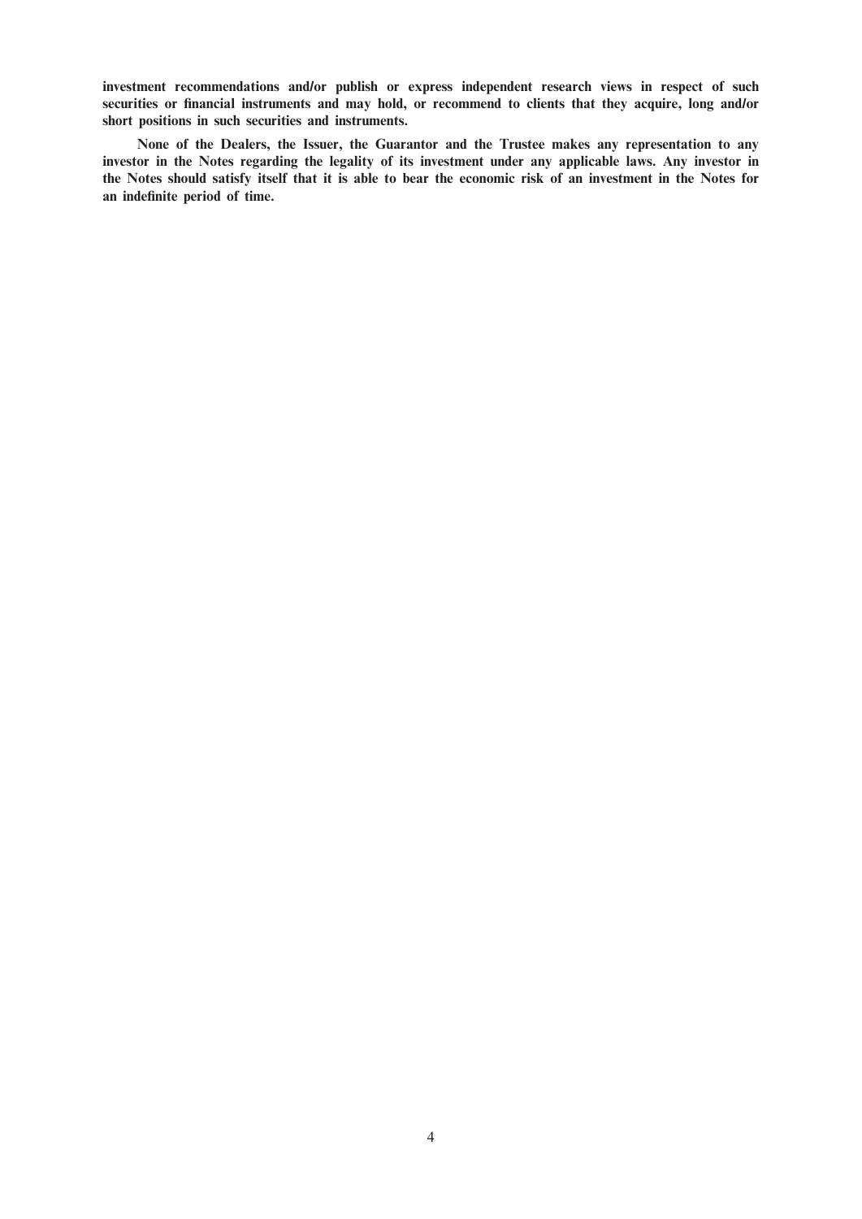investment recommendations and/or publish or express independent research views in respect of such securities or financial instruments and may hold, or recommend to clients that they acquire, long and/or short positions in such securities and instruments.

None of the Dealers, the Issuer, the Guarantor and the Trustee makes any representation to any investor in the Notes regarding the legality of its investment under any applicable laws. Any investor in the Notes should satisfy itself that it is able to bear the economic risk of an investment in the Notes for an indefinite period of time.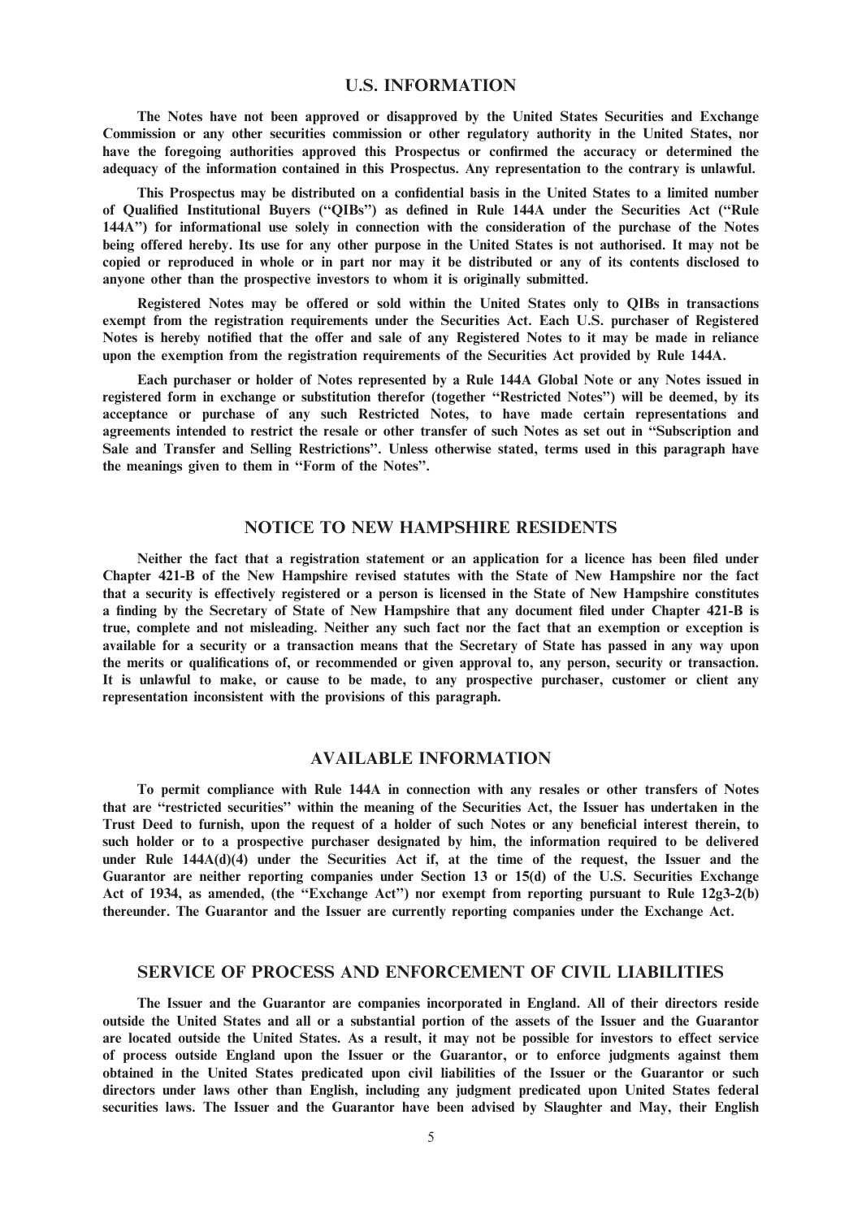#### U.S. INFORMATION

The Notes have not been approved or disapproved by the United States Securities and Exchange Commission or any other securities commission or other regulatory authority in the United States, nor have the foregoing authorities approved this Prospectus or confirmed the accuracy or determined the adequacy of the information contained in this Prospectus. Any representation to the contrary is unlawful.

This Prospectus may be distributed on a confidential basis in the United States to a limited number of Qualified Institutional Buyers (''QIBs'') as defined in Rule 144A under the Securities Act (''Rule 144A'') for informational use solely in connection with the consideration of the purchase of the Notes being offered hereby. Its use for any other purpose in the United States is not authorised. It may not be copied or reproduced in whole or in part nor may it be distributed or any of its contents disclosed to anyone other than the prospective investors to whom it is originally submitted.

Registered Notes may be offered or sold within the United States only to QIBs in transactions exempt from the registration requirements under the Securities Act. Each U.S. purchaser of Registered Notes is hereby notified that the offer and sale of any Registered Notes to it may be made in reliance upon the exemption from the registration requirements of the Securities Act provided by Rule 144A.

Each purchaser or holder of Notes represented by a Rule 144A Global Note or any Notes issued in registered form in exchange or substitution therefor (together ''Restricted Notes'') will be deemed, by its acceptance or purchase of any such Restricted Notes, to have made certain representations and agreements intended to restrict the resale or other transfer of such Notes as set out in ''Subscription and Sale and Transfer and Selling Restrictions''. Unless otherwise stated, terms used in this paragraph have the meanings given to them in ''Form of the Notes''.

## NOTICE TO NEW HAMPSHIRE RESIDENTS

Neither the fact that a registration statement or an application for a licence has been filed under Chapter 421-B of the New Hampshire revised statutes with the State of New Hampshire nor the fact that a security is effectively registered or a person is licensed in the State of New Hampshire constitutes a finding by the Secretary of State of New Hampshire that any document filed under Chapter 421-B is true, complete and not misleading. Neither any such fact nor the fact that an exemption or exception is available for a security or a transaction means that the Secretary of State has passed in any way upon the merits or qualifications of, or recommended or given approval to, any person, security or transaction. It is unlawful to make, or cause to be made, to any prospective purchaser, customer or client any representation inconsistent with the provisions of this paragraph.

## AVAILABLE INFORMATION

To permit compliance with Rule 144A in connection with any resales or other transfers of Notes that are ''restricted securities'' within the meaning of the Securities Act, the Issuer has undertaken in the Trust Deed to furnish, upon the request of a holder of such Notes or any beneficial interest therein, to such holder or to a prospective purchaser designated by him, the information required to be delivered under Rule 144A(d)(4) under the Securities Act if, at the time of the request, the Issuer and the Guarantor are neither reporting companies under Section 13 or 15(d) of the U.S. Securities Exchange Act of 1934, as amended, (the ''Exchange Act'') nor exempt from reporting pursuant to Rule 12g3-2(b) thereunder. The Guarantor and the Issuer are currently reporting companies under the Exchange Act.

#### SERVICE OF PROCESS AND ENFORCEMENT OF CIVIL LIABILITIES

The Issuer and the Guarantor are companies incorporated in England. All of their directors reside outside the United States and all or a substantial portion of the assets of the Issuer and the Guarantor are located outside the United States. As a result, it may not be possible for investors to effect service of process outside England upon the Issuer or the Guarantor, or to enforce judgments against them obtained in the United States predicated upon civil liabilities of the Issuer or the Guarantor or such directors under laws other than English, including any judgment predicated upon United States federal securities laws. The Issuer and the Guarantor have been advised by Slaughter and May, their English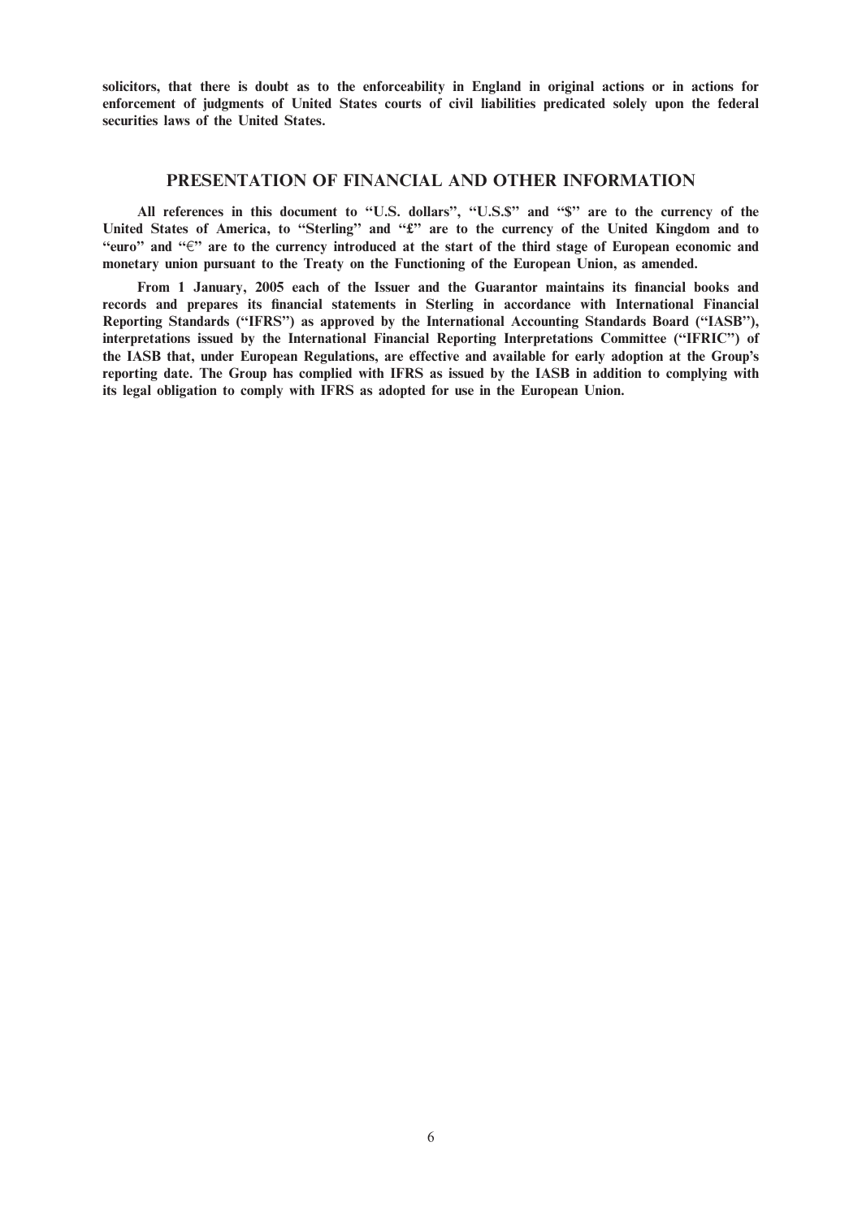solicitors, that there is doubt as to the enforceability in England in original actions or in actions for enforcement of judgments of United States courts of civil liabilities predicated solely upon the federal securities laws of the United States.

#### PRESENTATION OF FINANCIAL AND OTHER INFORMATION

All references in this document to "U.S. dollars", "U.S.\$" and "\$" are to the currency of the United States of America, to "Sterling" and "£" are to the currency of the United Kingdom and to "euro" and " $\epsilon$ " are to the currency introduced at the start of the third stage of European economic and monetary union pursuant to the Treaty on the Functioning of the European Union, as amended.

From 1 January, 2005 each of the Issuer and the Guarantor maintains its financial books and records and prepares its financial statements in Sterling in accordance with International Financial Reporting Standards (''IFRS'') as approved by the International Accounting Standards Board (''IASB''), interpretations issued by the International Financial Reporting Interpretations Committee (''IFRIC'') of the IASB that, under European Regulations, are effective and available for early adoption at the Group's reporting date. The Group has complied with IFRS as issued by the IASB in addition to complying with its legal obligation to comply with IFRS as adopted for use in the European Union.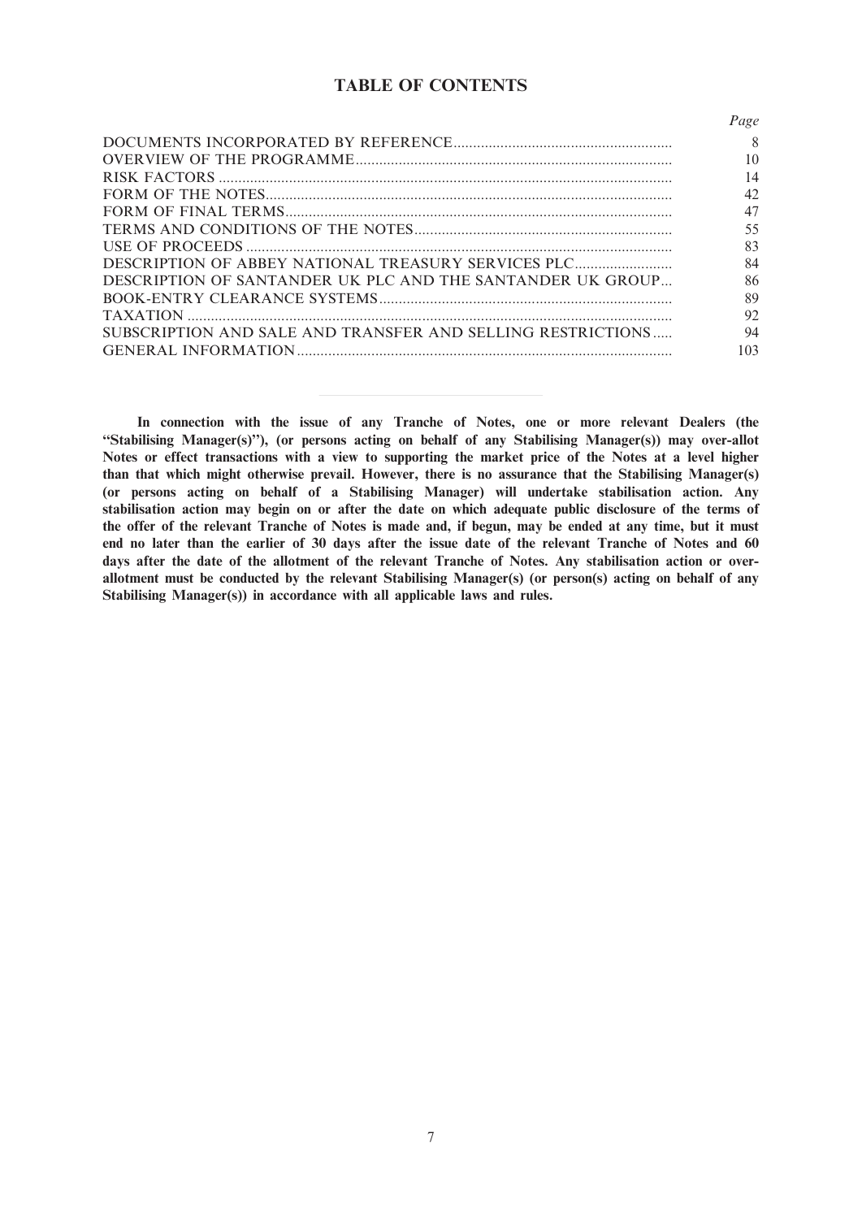# TABLE OF CONTENTS

|                                                             | Page |
|-------------------------------------------------------------|------|
|                                                             | 8    |
|                                                             | 10   |
|                                                             | 14   |
|                                                             | 42   |
|                                                             | 47   |
|                                                             | 55   |
|                                                             | 83   |
|                                                             | 84   |
| DESCRIPTION OF SANTANDER UK PLC AND THE SANTANDER UK GROUP  | 86   |
|                                                             | 89   |
|                                                             | 92   |
| SUBSCRIPTION AND SALE AND TRANSFER AND SELLING RESTRICTIONS | 94   |
|                                                             | 103  |

In connection with the issue of any Tranche of Notes, one or more relevant Dealers (the ''Stabilising Manager(s)''), (or persons acting on behalf of any Stabilising Manager(s)) may over-allot Notes or effect transactions with a view to supporting the market price of the Notes at a level higher than that which might otherwise prevail. However, there is no assurance that the Stabilising Manager(s) (or persons acting on behalf of a Stabilising Manager) will undertake stabilisation action. Any stabilisation action may begin on or after the date on which adequate public disclosure of the terms of the offer of the relevant Tranche of Notes is made and, if begun, may be ended at any time, but it must end no later than the earlier of 30 days after the issue date of the relevant Tranche of Notes and 60 days after the date of the allotment of the relevant Tranche of Notes. Any stabilisation action or overallotment must be conducted by the relevant Stabilising Manager(s) (or person(s) acting on behalf of any Stabilising Manager(s)) in accordance with all applicable laws and rules.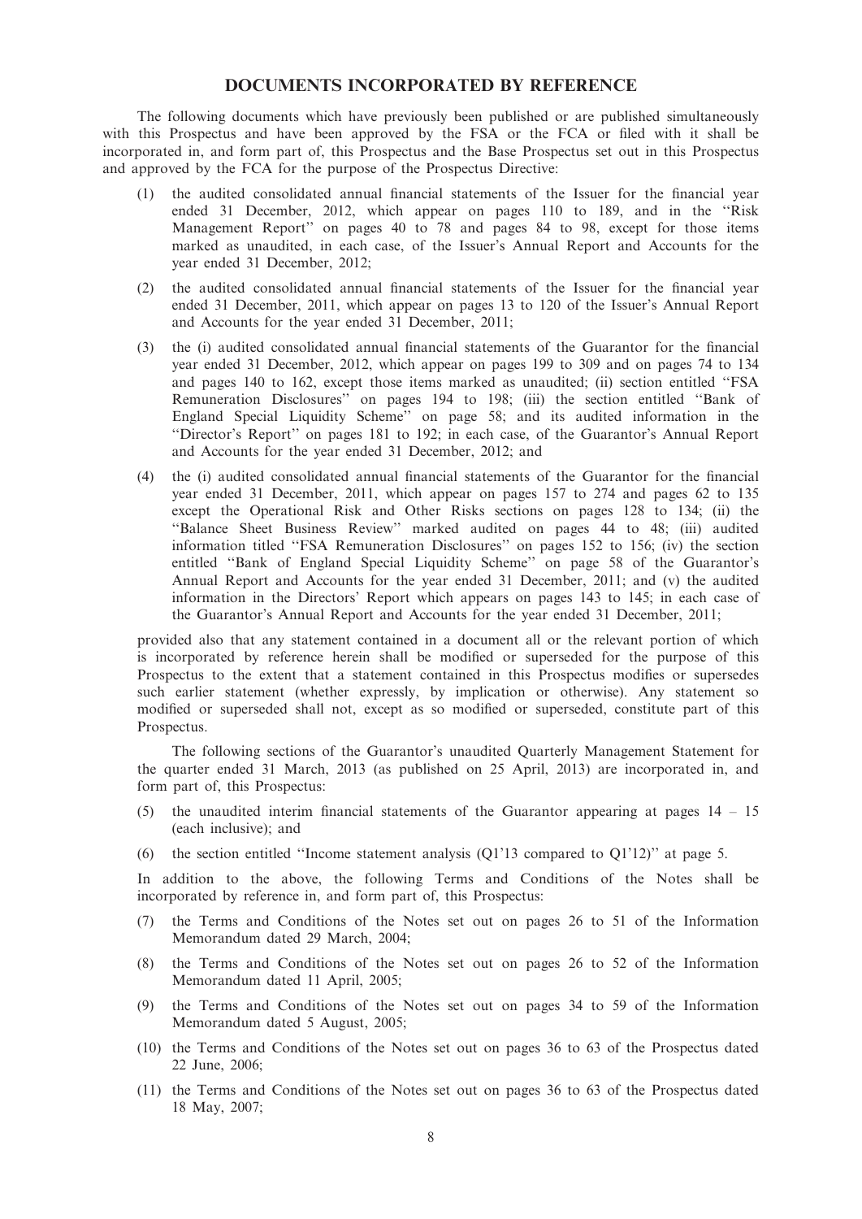## DOCUMENTS INCORPORATED BY REFERENCE

The following documents which have previously been published or are published simultaneously with this Prospectus and have been approved by the FSA or the FCA or filed with it shall be incorporated in, and form part of, this Prospectus and the Base Prospectus set out in this Prospectus and approved by the FCA for the purpose of the Prospectus Directive:

- (1) the audited consolidated annual financial statements of the Issuer for the financial year ended 31 December, 2012, which appear on pages 110 to 189, and in the ''Risk Management Report'' on pages 40 to 78 and pages 84 to 98, except for those items marked as unaudited, in each case, of the Issuer's Annual Report and Accounts for the year ended 31 December, 2012;
- (2) the audited consolidated annual financial statements of the Issuer for the financial year ended 31 December, 2011, which appear on pages 13 to 120 of the Issuer's Annual Report and Accounts for the year ended 31 December, 2011;
- (3) the (i) audited consolidated annual financial statements of the Guarantor for the financial year ended 31 December, 2012, which appear on pages 199 to 309 and on pages 74 to 134 and pages 140 to 162, except those items marked as unaudited; (ii) section entitled ''FSA Remuneration Disclosures'' on pages 194 to 198; (iii) the section entitled ''Bank of England Special Liquidity Scheme'' on page 58; and its audited information in the ''Director's Report'' on pages 181 to 192; in each case, of the Guarantor's Annual Report and Accounts for the year ended 31 December, 2012; and
- (4) the (i) audited consolidated annual financial statements of the Guarantor for the financial year ended 31 December, 2011, which appear on pages 157 to 274 and pages 62 to 135 except the Operational Risk and Other Risks sections on pages 128 to 134; (ii) the ''Balance Sheet Business Review'' marked audited on pages 44 to 48; (iii) audited information titled ''FSA Remuneration Disclosures'' on pages 152 to 156; (iv) the section entitled ''Bank of England Special Liquidity Scheme'' on page 58 of the Guarantor's Annual Report and Accounts for the year ended 31 December, 2011; and (v) the audited information in the Directors' Report which appears on pages 143 to 145; in each case of the Guarantor's Annual Report and Accounts for the year ended 31 December, 2011;

provided also that any statement contained in a document all or the relevant portion of which is incorporated by reference herein shall be modified or superseded for the purpose of this Prospectus to the extent that a statement contained in this Prospectus modifies or supersedes such earlier statement (whether expressly, by implication or otherwise). Any statement so modified or superseded shall not, except as so modified or superseded, constitute part of this Prospectus.

The following sections of the Guarantor's unaudited Quarterly Management Statement for the quarter ended 31 March, 2013 (as published on 25 April, 2013) are incorporated in, and form part of, this Prospectus:

- (5) the unaudited interim financial statements of the Guarantor appearing at pages 14 15 (each inclusive); and
- (6) the section entitled "Income statement analysis ( $Q1'13$  compared to  $Q1'12$ )" at page 5.

In addition to the above, the following Terms and Conditions of the Notes shall be incorporated by reference in, and form part of, this Prospectus:

- (7) the Terms and Conditions of the Notes set out on pages 26 to 51 of the Information Memorandum dated 29 March, 2004;
- (8) the Terms and Conditions of the Notes set out on pages 26 to 52 of the Information Memorandum dated 11 April, 2005;
- (9) the Terms and Conditions of the Notes set out on pages 34 to 59 of the Information Memorandum dated 5 August, 2005;
- (10) the Terms and Conditions of the Notes set out on pages 36 to 63 of the Prospectus dated 22 June, 2006;
- (11) the Terms and Conditions of the Notes set out on pages 36 to 63 of the Prospectus dated 18 May, 2007;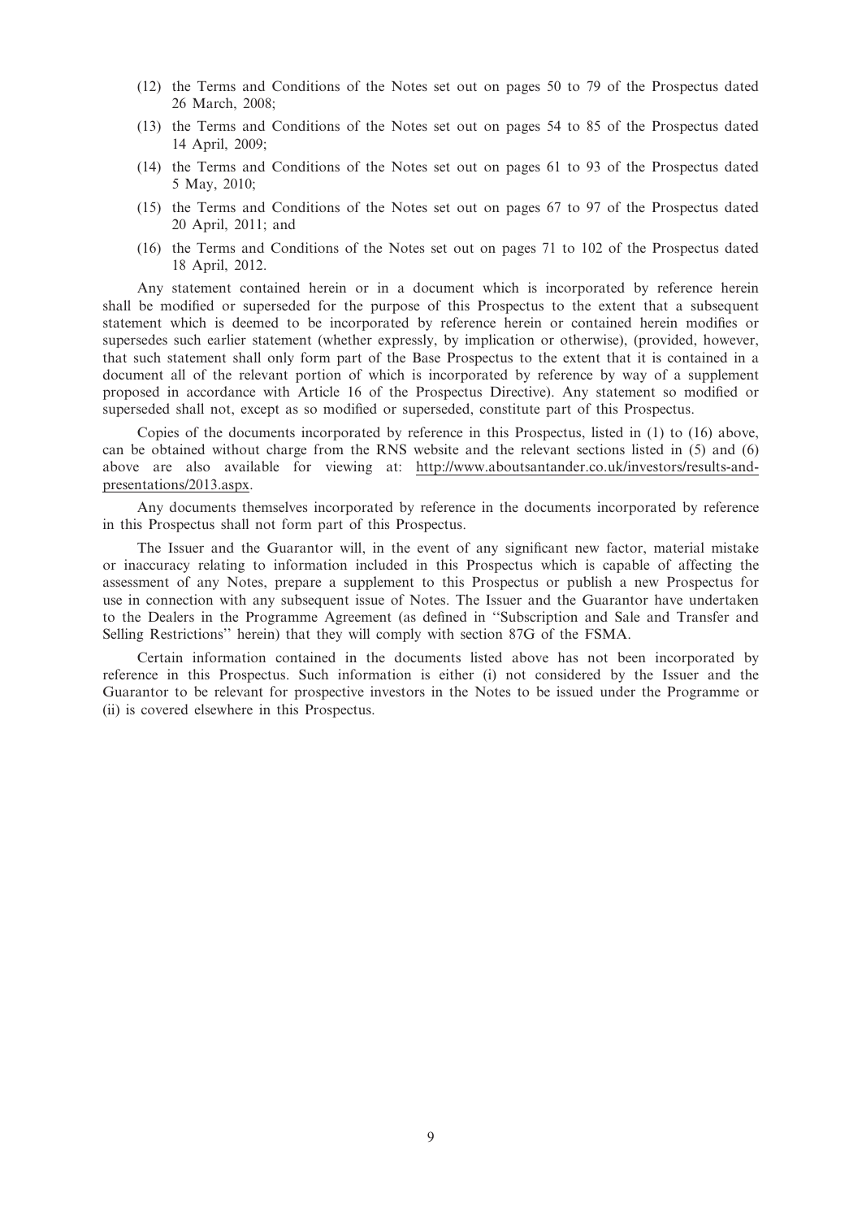- (12) the Terms and Conditions of the Notes set out on pages 50 to 79 of the Prospectus dated 26 March, 2008;
- (13) the Terms and Conditions of the Notes set out on pages 54 to 85 of the Prospectus dated 14 April, 2009;
- (14) the Terms and Conditions of the Notes set out on pages 61 to 93 of the Prospectus dated 5 May, 2010;
- (15) the Terms and Conditions of the Notes set out on pages 67 to 97 of the Prospectus dated 20 April, 2011; and
- (16) the Terms and Conditions of the Notes set out on pages 71 to 102 of the Prospectus dated 18 April, 2012.

Any statement contained herein or in a document which is incorporated by reference herein shall be modified or superseded for the purpose of this Prospectus to the extent that a subsequent statement which is deemed to be incorporated by reference herein or contained herein modifies or supersedes such earlier statement (whether expressly, by implication or otherwise), (provided, however, that such statement shall only form part of the Base Prospectus to the extent that it is contained in a document all of the relevant portion of which is incorporated by reference by way of a supplement proposed in accordance with Article 16 of the Prospectus Directive). Any statement so modified or superseded shall not, except as so modified or superseded, constitute part of this Prospectus.

Copies of the documents incorporated by reference in this Prospectus, listed in (1) to (16) above, can be obtained without charge from the RNS website and the relevant sections listed in (5) and (6) above are also available for viewing at: http://www.aboutsantander.co.uk/investors/results-andpresentations/2013.aspx.

Any documents themselves incorporated by reference in the documents incorporated by reference in this Prospectus shall not form part of this Prospectus.

The Issuer and the Guarantor will, in the event of any significant new factor, material mistake or inaccuracy relating to information included in this Prospectus which is capable of affecting the assessment of any Notes, prepare a supplement to this Prospectus or publish a new Prospectus for use in connection with any subsequent issue of Notes. The Issuer and the Guarantor have undertaken to the Dealers in the Programme Agreement (as defined in ''Subscription and Sale and Transfer and Selling Restrictions'' herein) that they will comply with section 87G of the FSMA.

Certain information contained in the documents listed above has not been incorporated by reference in this Prospectus. Such information is either (i) not considered by the Issuer and the Guarantor to be relevant for prospective investors in the Notes to be issued under the Programme or (ii) is covered elsewhere in this Prospectus.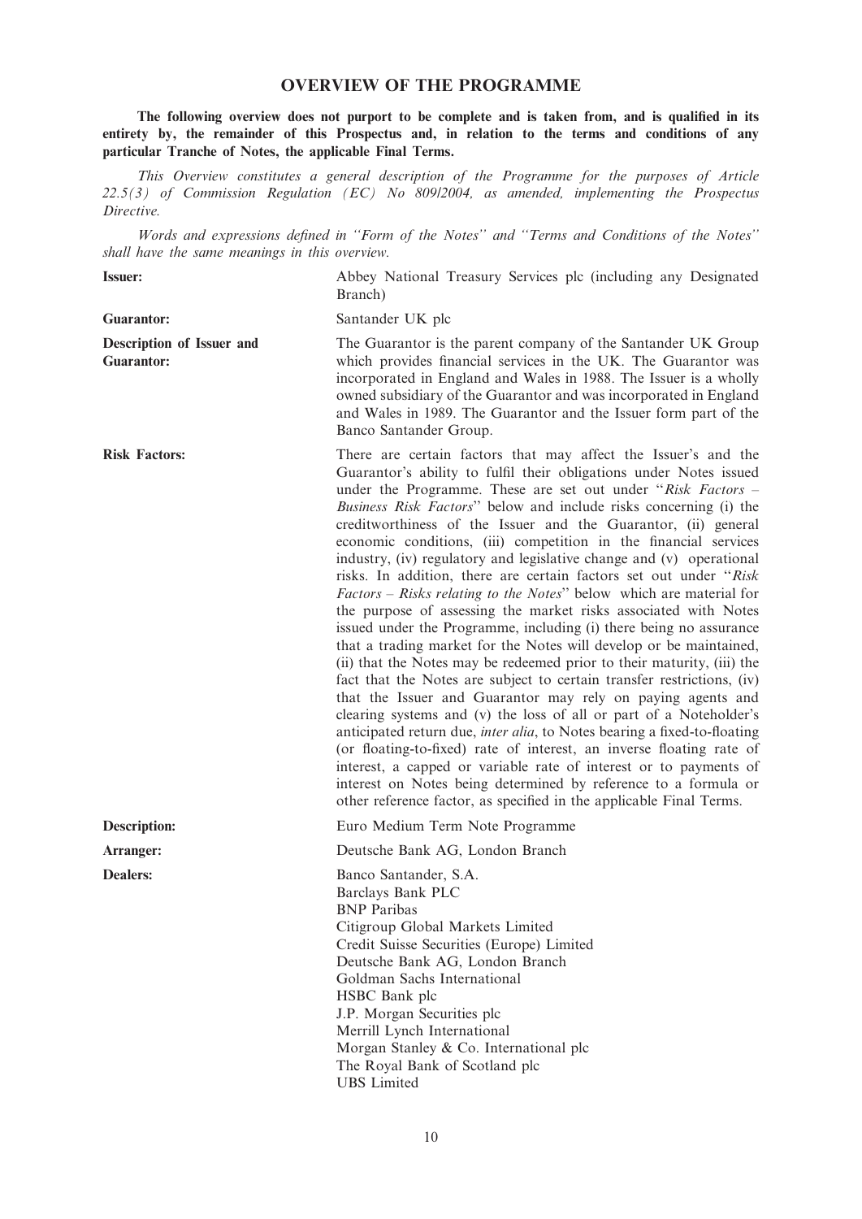## OVERVIEW OF THE PROGRAMME

The following overview does not purport to be complete and is taken from, and is qualified in its entirety by, the remainder of this Prospectus and, in relation to the terms and conditions of any particular Tranche of Notes, the applicable Final Terms.

This Overview constitutes a general description of the Programme for the purposes of Article 22.5(3) of Commission Regulation (EC) No 809/2004, as amended, implementing the Prospectus Directive.

Words and expressions defined in ''Form of the Notes'' and ''Terms and Conditions of the Notes'' shall have the same meanings in this overview.

| shau have the same meanings in this overview.  |                                                                                                                                                                                                                                                                                                                                                                                                                                                                                                                                                                                                                                                                                                                                                                                                                                                                                                                                                                                                                                                                                                                                                                                                                                                                                                                                                                                                                                                                                                                |
|------------------------------------------------|----------------------------------------------------------------------------------------------------------------------------------------------------------------------------------------------------------------------------------------------------------------------------------------------------------------------------------------------------------------------------------------------------------------------------------------------------------------------------------------------------------------------------------------------------------------------------------------------------------------------------------------------------------------------------------------------------------------------------------------------------------------------------------------------------------------------------------------------------------------------------------------------------------------------------------------------------------------------------------------------------------------------------------------------------------------------------------------------------------------------------------------------------------------------------------------------------------------------------------------------------------------------------------------------------------------------------------------------------------------------------------------------------------------------------------------------------------------------------------------------------------------|
| <b>Issuer:</b>                                 | Abbey National Treasury Services plc (including any Designated<br>Branch)                                                                                                                                                                                                                                                                                                                                                                                                                                                                                                                                                                                                                                                                                                                                                                                                                                                                                                                                                                                                                                                                                                                                                                                                                                                                                                                                                                                                                                      |
| <b>Guarantor:</b>                              | Santander UK plc                                                                                                                                                                                                                                                                                                                                                                                                                                                                                                                                                                                                                                                                                                                                                                                                                                                                                                                                                                                                                                                                                                                                                                                                                                                                                                                                                                                                                                                                                               |
| Description of Issuer and<br><b>Guarantor:</b> | The Guarantor is the parent company of the Santander UK Group<br>which provides financial services in the UK. The Guarantor was<br>incorporated in England and Wales in 1988. The Issuer is a wholly<br>owned subsidiary of the Guarantor and was incorporated in England<br>and Wales in 1989. The Guarantor and the Issuer form part of the<br>Banco Santander Group.                                                                                                                                                                                                                                                                                                                                                                                                                                                                                                                                                                                                                                                                                                                                                                                                                                                                                                                                                                                                                                                                                                                                        |
| <b>Risk Factors:</b>                           | There are certain factors that may affect the Issuer's and the<br>Guarantor's ability to fulfil their obligations under Notes issued<br>under the Programme. These are set out under "Risk Factors -<br>Business Risk Factors" below and include risks concerning (i) the<br>creditworthiness of the Issuer and the Guarantor, (ii) general<br>economic conditions, (iii) competition in the financial services<br>industry, (iv) regulatory and legislative change and (v) operational<br>risks. In addition, there are certain factors set out under "Risk<br>Factors – Risks relating to the Notes" below which are material for<br>the purpose of assessing the market risks associated with Notes<br>issued under the Programme, including (i) there being no assurance<br>that a trading market for the Notes will develop or be maintained,<br>(ii) that the Notes may be redeemed prior to their maturity, (iii) the<br>fact that the Notes are subject to certain transfer restrictions, (iv)<br>that the Issuer and Guarantor may rely on paying agents and<br>clearing systems and (v) the loss of all or part of a Noteholder's<br>anticipated return due, inter alia, to Notes bearing a fixed-to-floating<br>(or floating-to-fixed) rate of interest, an inverse floating rate of<br>interest, a capped or variable rate of interest or to payments of<br>interest on Notes being determined by reference to a formula or<br>other reference factor, as specified in the applicable Final Terms. |
| <b>Description:</b>                            | Euro Medium Term Note Programme                                                                                                                                                                                                                                                                                                                                                                                                                                                                                                                                                                                                                                                                                                                                                                                                                                                                                                                                                                                                                                                                                                                                                                                                                                                                                                                                                                                                                                                                                |
| Arranger:                                      | Deutsche Bank AG, London Branch                                                                                                                                                                                                                                                                                                                                                                                                                                                                                                                                                                                                                                                                                                                                                                                                                                                                                                                                                                                                                                                                                                                                                                                                                                                                                                                                                                                                                                                                                |
| <b>Dealers:</b>                                | Banco Santander, S.A.<br>Barclays Bank PLC<br><b>BNP</b> Paribas<br>Citigroup Global Markets Limited<br>Credit Suisse Securities (Europe) Limited<br>Deutsche Bank AG, London Branch<br>Goldman Sachs International<br>HSBC Bank plc<br>J.P. Morgan Securities plc<br>Merrill Lynch International<br>Morgan Stanley & Co. International plc<br>The Royal Bank of Scotland plc<br><b>UBS</b> Limited                                                                                                                                                                                                                                                                                                                                                                                                                                                                                                                                                                                                                                                                                                                                                                                                                                                                                                                                                                                                                                                                                                            |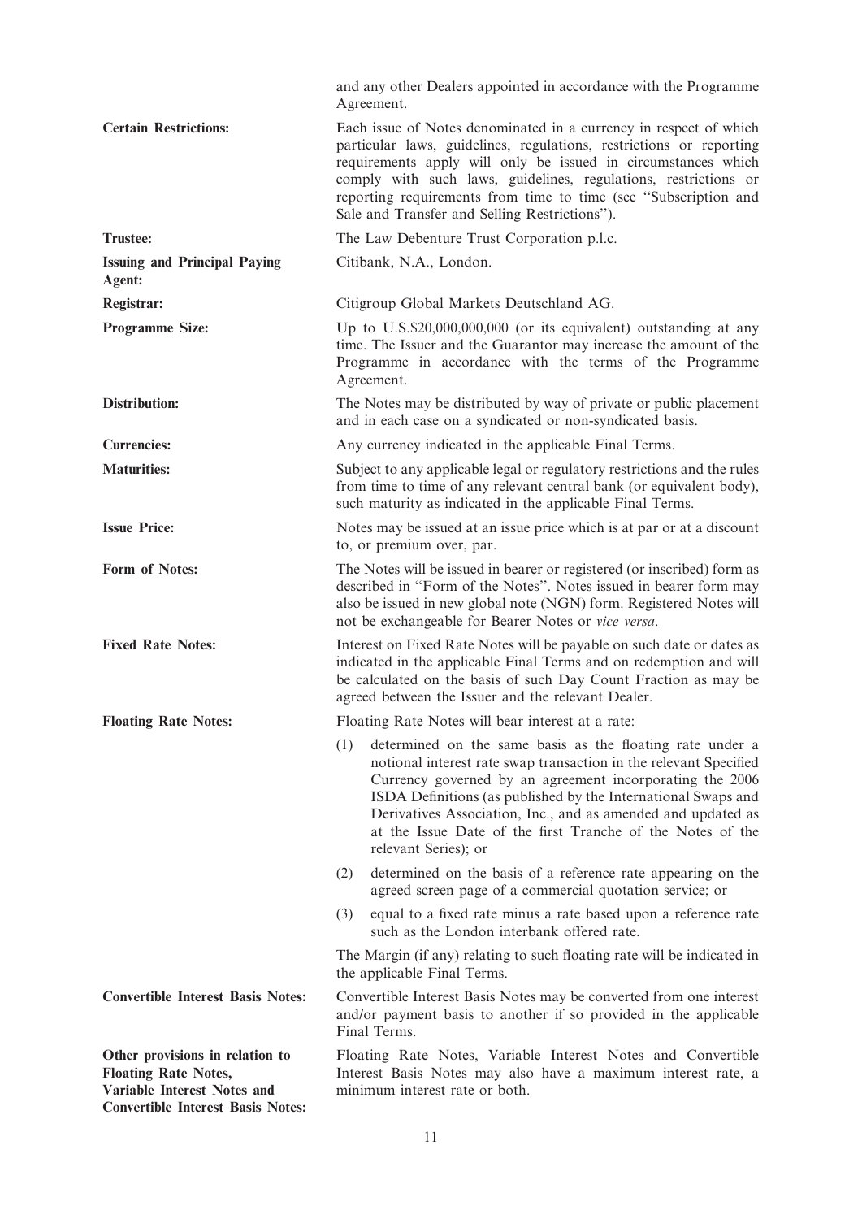|                                                                                                                                                  | and any other Dealers appointed in accordance with the Programme<br>Agreement.                                                                                                                                                                                                                                                                                                                                           |
|--------------------------------------------------------------------------------------------------------------------------------------------------|--------------------------------------------------------------------------------------------------------------------------------------------------------------------------------------------------------------------------------------------------------------------------------------------------------------------------------------------------------------------------------------------------------------------------|
| <b>Certain Restrictions:</b>                                                                                                                     | Each issue of Notes denominated in a currency in respect of which<br>particular laws, guidelines, regulations, restrictions or reporting<br>requirements apply will only be issued in circumstances which<br>comply with such laws, guidelines, regulations, restrictions or<br>reporting requirements from time to time (see "Subscription and<br>Sale and Transfer and Selling Restrictions").                         |
| <b>Trustee:</b>                                                                                                                                  | The Law Debenture Trust Corporation p.l.c.                                                                                                                                                                                                                                                                                                                                                                               |
| <b>Issuing and Principal Paying</b><br>Agent:                                                                                                    | Citibank, N.A., London.                                                                                                                                                                                                                                                                                                                                                                                                  |
| Registrar:                                                                                                                                       | Citigroup Global Markets Deutschland AG.                                                                                                                                                                                                                                                                                                                                                                                 |
| <b>Programme Size:</b>                                                                                                                           | Up to U.S.\$20,000,000,000 (or its equivalent) outstanding at any<br>time. The Issuer and the Guarantor may increase the amount of the<br>Programme in accordance with the terms of the Programme<br>Agreement.                                                                                                                                                                                                          |
| <b>Distribution:</b>                                                                                                                             | The Notes may be distributed by way of private or public placement<br>and in each case on a syndicated or non-syndicated basis.                                                                                                                                                                                                                                                                                          |
| <b>Currencies:</b>                                                                                                                               | Any currency indicated in the applicable Final Terms.                                                                                                                                                                                                                                                                                                                                                                    |
| <b>Maturities:</b>                                                                                                                               | Subject to any applicable legal or regulatory restrictions and the rules<br>from time to time of any relevant central bank (or equivalent body),<br>such maturity as indicated in the applicable Final Terms.                                                                                                                                                                                                            |
| <b>Issue Price:</b>                                                                                                                              | Notes may be issued at an issue price which is at par or at a discount<br>to, or premium over, par.                                                                                                                                                                                                                                                                                                                      |
| Form of Notes:                                                                                                                                   | The Notes will be issued in bearer or registered (or inscribed) form as<br>described in "Form of the Notes". Notes issued in bearer form may<br>also be issued in new global note (NGN) form. Registered Notes will<br>not be exchangeable for Bearer Notes or vice versa.                                                                                                                                               |
| <b>Fixed Rate Notes:</b>                                                                                                                         | Interest on Fixed Rate Notes will be payable on such date or dates as<br>indicated in the applicable Final Terms and on redemption and will<br>be calculated on the basis of such Day Count Fraction as may be<br>agreed between the Issuer and the relevant Dealer.                                                                                                                                                     |
| <b>Floating Rate Notes:</b>                                                                                                                      | Floating Rate Notes will bear interest at a rate:                                                                                                                                                                                                                                                                                                                                                                        |
|                                                                                                                                                  | determined on the same basis as the floating rate under a<br>(1)<br>notional interest rate swap transaction in the relevant Specified<br>Currency governed by an agreement incorporating the 2006<br>ISDA Definitions (as published by the International Swaps and<br>Derivatives Association, Inc., and as amended and updated as<br>at the Issue Date of the first Tranche of the Notes of the<br>relevant Series); or |
|                                                                                                                                                  | determined on the basis of a reference rate appearing on the<br>(2)<br>agreed screen page of a commercial quotation service; or                                                                                                                                                                                                                                                                                          |
|                                                                                                                                                  | equal to a fixed rate minus a rate based upon a reference rate<br>(3)<br>such as the London interbank offered rate.                                                                                                                                                                                                                                                                                                      |
|                                                                                                                                                  | The Margin (if any) relating to such floating rate will be indicated in<br>the applicable Final Terms.                                                                                                                                                                                                                                                                                                                   |
| <b>Convertible Interest Basis Notes:</b>                                                                                                         | Convertible Interest Basis Notes may be converted from one interest<br>and/or payment basis to another if so provided in the applicable<br>Final Terms.                                                                                                                                                                                                                                                                  |
| Other provisions in relation to<br><b>Floating Rate Notes,</b><br><b>Variable Interest Notes and</b><br><b>Convertible Interest Basis Notes:</b> | Floating Rate Notes, Variable Interest Notes and Convertible<br>Interest Basis Notes may also have a maximum interest rate, a<br>minimum interest rate or both.                                                                                                                                                                                                                                                          |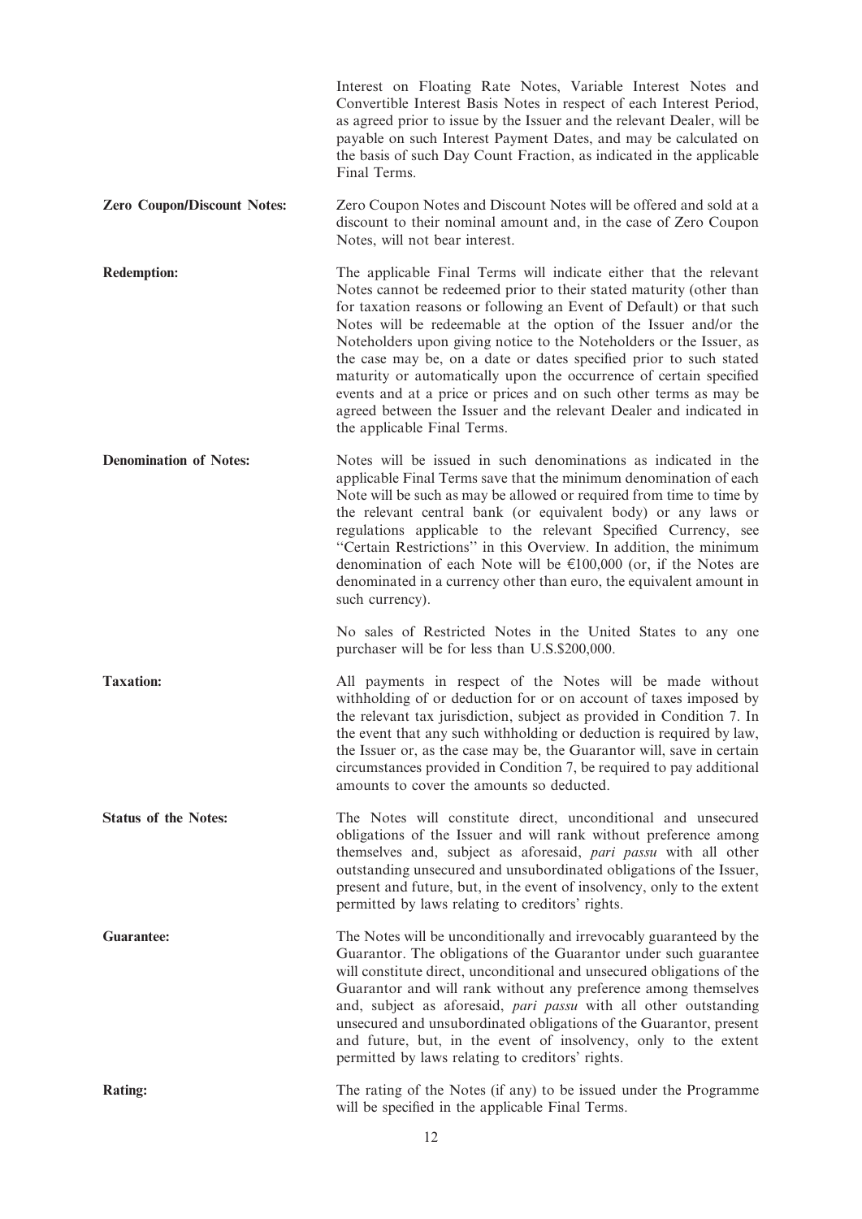|                                    | Interest on Floating Rate Notes, Variable Interest Notes and<br>Convertible Interest Basis Notes in respect of each Interest Period,<br>as agreed prior to issue by the Issuer and the relevant Dealer, will be<br>payable on such Interest Payment Dates, and may be calculated on<br>the basis of such Day Count Fraction, as indicated in the applicable<br>Final Terms.                                                                                                                                                                                                                                                                                                     |
|------------------------------------|---------------------------------------------------------------------------------------------------------------------------------------------------------------------------------------------------------------------------------------------------------------------------------------------------------------------------------------------------------------------------------------------------------------------------------------------------------------------------------------------------------------------------------------------------------------------------------------------------------------------------------------------------------------------------------|
| <b>Zero Coupon/Discount Notes:</b> | Zero Coupon Notes and Discount Notes will be offered and sold at a<br>discount to their nominal amount and, in the case of Zero Coupon<br>Notes, will not bear interest.                                                                                                                                                                                                                                                                                                                                                                                                                                                                                                        |
| <b>Redemption:</b>                 | The applicable Final Terms will indicate either that the relevant<br>Notes cannot be redeemed prior to their stated maturity (other than<br>for taxation reasons or following an Event of Default) or that such<br>Notes will be redeemable at the option of the Issuer and/or the<br>Noteholders upon giving notice to the Noteholders or the Issuer, as<br>the case may be, on a date or dates specified prior to such stated<br>maturity or automatically upon the occurrence of certain specified<br>events and at a price or prices and on such other terms as may be<br>agreed between the Issuer and the relevant Dealer and indicated in<br>the applicable Final Terms. |
| <b>Denomination of Notes:</b>      | Notes will be issued in such denominations as indicated in the<br>applicable Final Terms save that the minimum denomination of each<br>Note will be such as may be allowed or required from time to time by<br>the relevant central bank (or equivalent body) or any laws or<br>regulations applicable to the relevant Specified Currency, see<br>"Certain Restrictions" in this Overview. In addition, the minimum<br>denomination of each Note will be $\epsilon$ 100,000 (or, if the Notes are<br>denominated in a currency other than euro, the equivalent amount in<br>such currency).                                                                                     |
|                                    | No sales of Restricted Notes in the United States to any one<br>purchaser will be for less than U.S.\$200,000.                                                                                                                                                                                                                                                                                                                                                                                                                                                                                                                                                                  |
| <b>Taxation:</b>                   | All payments in respect of the Notes will be made without<br>withholding of or deduction for or on account of taxes imposed by<br>the relevant tax jurisdiction, subject as provided in Condition 7. In<br>the event that any such withholding or deduction is required by law,<br>the Issuer or, as the case may be, the Guarantor will, save in certain<br>circumstances provided in Condition 7, be required to pay additional<br>amounts to cover the amounts so deducted.                                                                                                                                                                                                  |
| <b>Status of the Notes:</b>        | The Notes will constitute direct, unconditional and unsecured<br>obligations of the Issuer and will rank without preference among<br>themselves and, subject as aforesaid, pari passu with all other<br>outstanding unsecured and unsubordinated obligations of the Issuer,<br>present and future, but, in the event of insolvency, only to the extent<br>permitted by laws relating to creditors' rights.                                                                                                                                                                                                                                                                      |
| <b>Guarantee:</b>                  | The Notes will be unconditionally and irrevocably guaranteed by the<br>Guarantor. The obligations of the Guarantor under such guarantee<br>will constitute direct, unconditional and unsecured obligations of the<br>Guarantor and will rank without any preference among themselves<br>and, subject as aforesaid, pari passu with all other outstanding<br>unsecured and unsubordinated obligations of the Guarantor, present<br>and future, but, in the event of insolvency, only to the extent<br>permitted by laws relating to creditors' rights.                                                                                                                           |
| <b>Rating:</b>                     | The rating of the Notes (if any) to be issued under the Programme<br>will be specified in the applicable Final Terms.                                                                                                                                                                                                                                                                                                                                                                                                                                                                                                                                                           |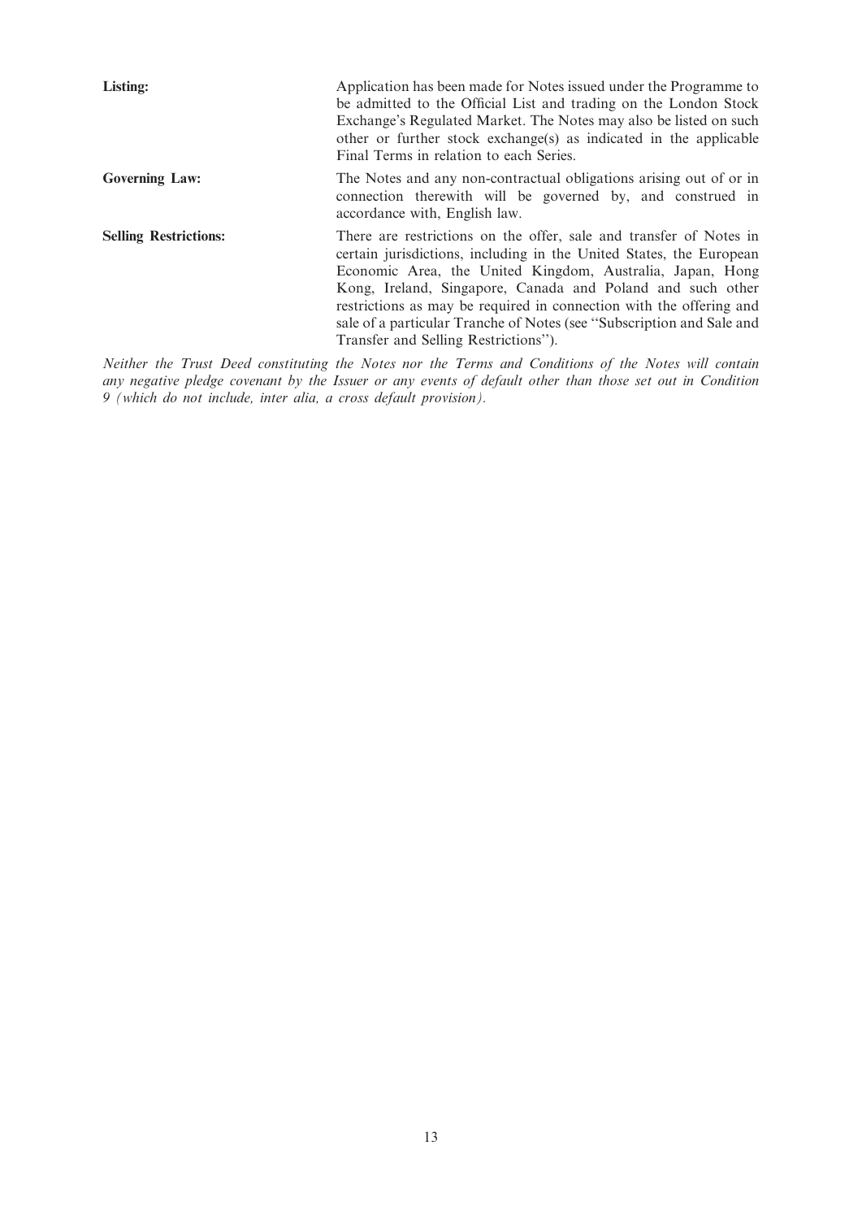| <b>Listing:</b>              | Application has been made for Notes issued under the Programme to<br>be admitted to the Official List and trading on the London Stock<br>Exchange's Regulated Market. The Notes may also be listed on such<br>other or further stock exchange(s) as indicated in the applicable<br>Final Terms in relation to each Series.                                                                                                                                   |
|------------------------------|--------------------------------------------------------------------------------------------------------------------------------------------------------------------------------------------------------------------------------------------------------------------------------------------------------------------------------------------------------------------------------------------------------------------------------------------------------------|
| <b>Governing Law:</b>        | The Notes and any non-contractual obligations arising out of or in<br>connection therewith will be governed by, and construed in<br>accordance with, English law.                                                                                                                                                                                                                                                                                            |
| <b>Selling Restrictions:</b> | There are restrictions on the offer, sale and transfer of Notes in<br>certain jurisdictions, including in the United States, the European<br>Economic Area, the United Kingdom, Australia, Japan, Hong<br>Kong, Ireland, Singapore, Canada and Poland and such other<br>restrictions as may be required in connection with the offering and<br>sale of a particular Tranche of Notes (see "Subscription and Sale and<br>Transfer and Selling Restrictions"). |

Neither the Trust Deed constituting the Notes nor the Terms and Conditions of the Notes will contain any negative pledge covenant by the Issuer or any events of default other than those set out in Condition 9 (which do not include, inter alia, a cross default provision).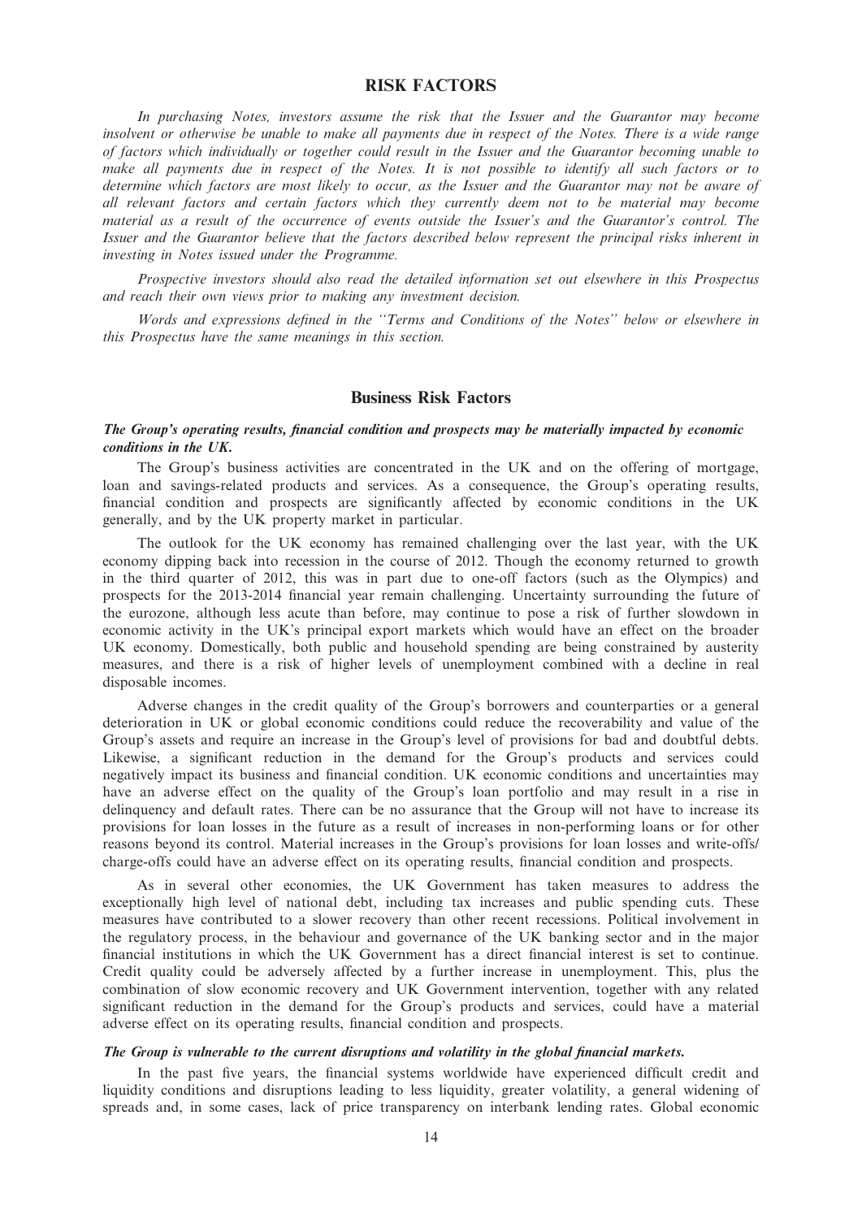## RISK FACTORS

In purchasing Notes, investors assume the risk that the Issuer and the Guarantor may become insolvent or otherwise be unable to make all payments due in respect of the Notes. There is a wide range of factors which individually or together could result in the Issuer and the Guarantor becoming unable to make all payments due in respect of the Notes. It is not possible to identify all such factors or to determine which factors are most likely to occur, as the Issuer and the Guarantor may not be aware of all relevant factors and certain factors which they currently deem not to be material may become material as a result of the occurrence of events outside the Issuer's and the Guarantor's control. The Issuer and the Guarantor believe that the factors described below represent the principal risks inherent in investing in Notes issued under the Programme.

Prospective investors should also read the detailed information set out elsewhere in this Prospectus and reach their own views prior to making any investment decision.

Words and expressions defined in the ''Terms and Conditions of the Notes'' below or elsewhere in this Prospectus have the same meanings in this section.

### Business Risk Factors

### The Group's operating results, financial condition and prospects may be materially impacted by economic conditions in the UK.

The Group's business activities are concentrated in the UK and on the offering of mortgage, loan and savings-related products and services. As a consequence, the Group's operating results, financial condition and prospects are significantly affected by economic conditions in the UK generally, and by the UK property market in particular.

The outlook for the UK economy has remained challenging over the last year, with the UK economy dipping back into recession in the course of 2012. Though the economy returned to growth in the third quarter of 2012, this was in part due to one-off factors (such as the Olympics) and prospects for the 2013-2014 financial year remain challenging. Uncertainty surrounding the future of the eurozone, although less acute than before, may continue to pose a risk of further slowdown in economic activity in the UK's principal export markets which would have an effect on the broader UK economy. Domestically, both public and household spending are being constrained by austerity measures, and there is a risk of higher levels of unemployment combined with a decline in real disposable incomes.

Adverse changes in the credit quality of the Group's borrowers and counterparties or a general deterioration in UK or global economic conditions could reduce the recoverability and value of the Group's assets and require an increase in the Group's level of provisions for bad and doubtful debts. Likewise, a significant reduction in the demand for the Group's products and services could negatively impact its business and financial condition. UK economic conditions and uncertainties may have an adverse effect on the quality of the Group's loan portfolio and may result in a rise in delinquency and default rates. There can be no assurance that the Group will not have to increase its provisions for loan losses in the future as a result of increases in non-performing loans or for other reasons beyond its control. Material increases in the Group's provisions for loan losses and write-offs/ charge-offs could have an adverse effect on its operating results, financial condition and prospects.

As in several other economies, the UK Government has taken measures to address the exceptionally high level of national debt, including tax increases and public spending cuts. These measures have contributed to a slower recovery than other recent recessions. Political involvement in the regulatory process, in the behaviour and governance of the UK banking sector and in the major financial institutions in which the UK Government has a direct financial interest is set to continue. Credit quality could be adversely affected by a further increase in unemployment. This, plus the combination of slow economic recovery and UK Government intervention, together with any related significant reduction in the demand for the Group's products and services, could have a material adverse effect on its operating results, financial condition and prospects.

#### The Group is vulnerable to the current disruptions and volatility in the global financial markets.

In the past five years, the financial systems worldwide have experienced difficult credit and liquidity conditions and disruptions leading to less liquidity, greater volatility, a general widening of spreads and, in some cases, lack of price transparency on interbank lending rates. Global economic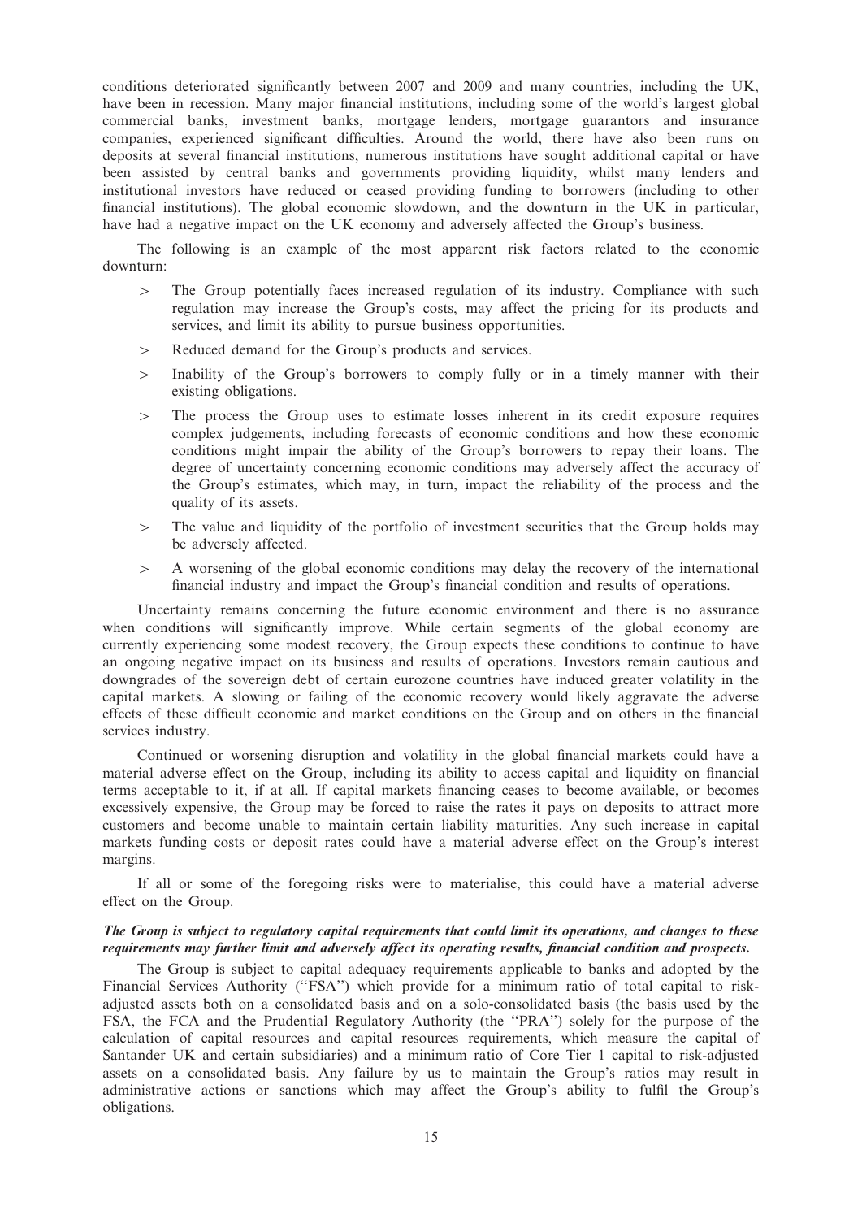conditions deteriorated significantly between 2007 and 2009 and many countries, including the UK, have been in recession. Many major financial institutions, including some of the world's largest global commercial banks, investment banks, mortgage lenders, mortgage guarantors and insurance companies, experienced significant difficulties. Around the world, there have also been runs on deposits at several financial institutions, numerous institutions have sought additional capital or have been assisted by central banks and governments providing liquidity, whilst many lenders and institutional investors have reduced or ceased providing funding to borrowers (including to other financial institutions). The global economic slowdown, and the downturn in the UK in particular, have had a negative impact on the UK economy and adversely affected the Group's business.

The following is an example of the most apparent risk factors related to the economic downturn:

- $\geq$  The Group potentially faces increased regulation of its industry. Compliance with such regulation may increase the Group's costs, may affect the pricing for its products and services, and limit its ability to pursue business opportunities.
- $>$  Reduced demand for the Group's products and services.
- $>$  Inability of the Group's borrowers to comply fully or in a timely manner with their existing obligations.
- 4 The process the Group uses to estimate losses inherent in its credit exposure requires complex judgements, including forecasts of economic conditions and how these economic conditions might impair the ability of the Group's borrowers to repay their loans. The degree of uncertainty concerning economic conditions may adversely affect the accuracy of the Group's estimates, which may, in turn, impact the reliability of the process and the quality of its assets.
- $\geq$  The value and liquidity of the portfolio of investment securities that the Group holds may be adversely affected.
- $\geq$  A worsening of the global economic conditions may delay the recovery of the international financial industry and impact the Group's financial condition and results of operations.

Uncertainty remains concerning the future economic environment and there is no assurance when conditions will significantly improve. While certain segments of the global economy are currently experiencing some modest recovery, the Group expects these conditions to continue to have an ongoing negative impact on its business and results of operations. Investors remain cautious and downgrades of the sovereign debt of certain eurozone countries have induced greater volatility in the capital markets. A slowing or failing of the economic recovery would likely aggravate the adverse effects of these difficult economic and market conditions on the Group and on others in the financial services industry.

Continued or worsening disruption and volatility in the global financial markets could have a material adverse effect on the Group, including its ability to access capital and liquidity on financial terms acceptable to it, if at all. If capital markets financing ceases to become available, or becomes excessively expensive, the Group may be forced to raise the rates it pays on deposits to attract more customers and become unable to maintain certain liability maturities. Any such increase in capital markets funding costs or deposit rates could have a material adverse effect on the Group's interest margins.

If all or some of the foregoing risks were to materialise, this could have a material adverse effect on the Group.

## The Group is subject to regulatory capital requirements that could limit its operations, and changes to these requirements may further limit and adversely affect its operating results, financial condition and prospects.

The Group is subject to capital adequacy requirements applicable to banks and adopted by the Financial Services Authority (''FSA'') which provide for a minimum ratio of total capital to riskadjusted assets both on a consolidated basis and on a solo-consolidated basis (the basis used by the FSA, the FCA and the Prudential Regulatory Authority (the ''PRA'') solely for the purpose of the calculation of capital resources and capital resources requirements, which measure the capital of Santander UK and certain subsidiaries) and a minimum ratio of Core Tier 1 capital to risk-adjusted assets on a consolidated basis. Any failure by us to maintain the Group's ratios may result in administrative actions or sanctions which may affect the Group's ability to fulfil the Group's obligations.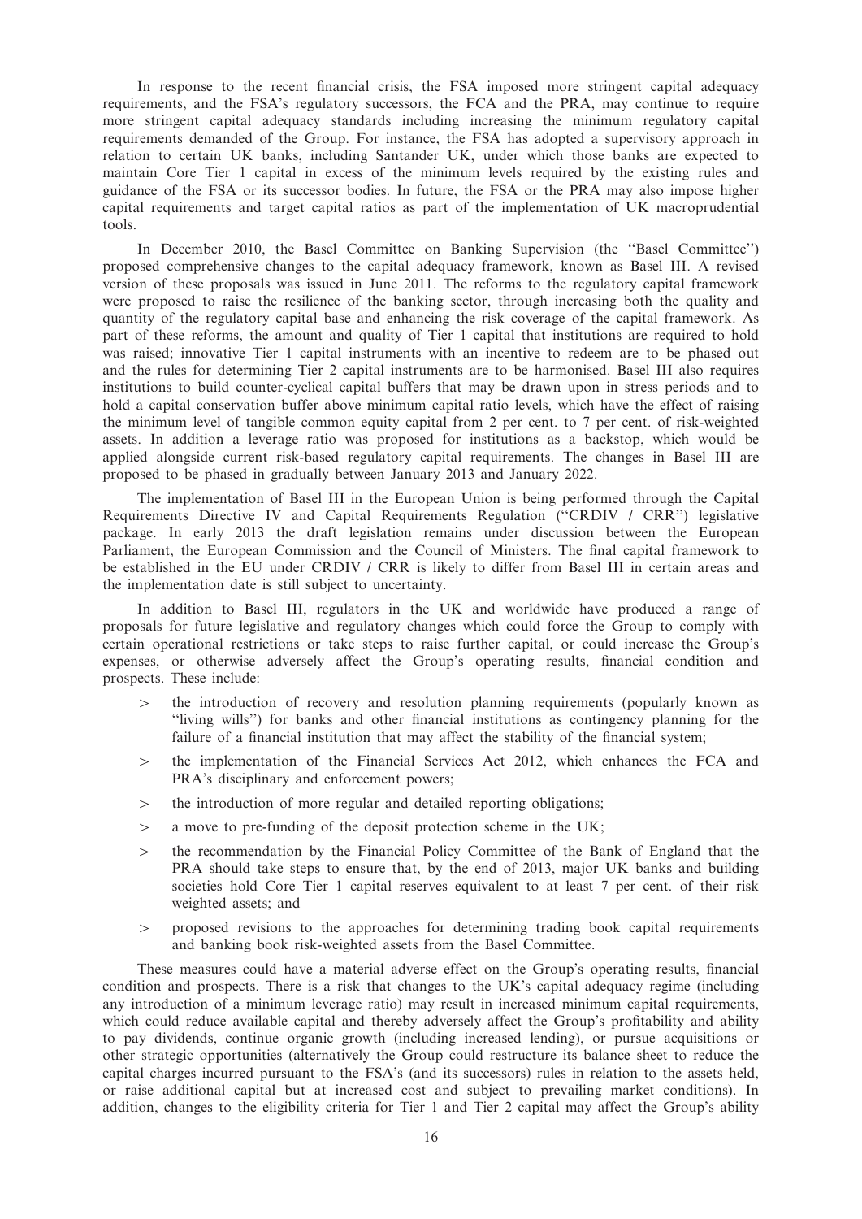In response to the recent financial crisis, the FSA imposed more stringent capital adequacy requirements, and the FSA's regulatory successors, the FCA and the PRA, may continue to require more stringent capital adequacy standards including increasing the minimum regulatory capital requirements demanded of the Group. For instance, the FSA has adopted a supervisory approach in relation to certain UK banks, including Santander UK, under which those banks are expected to maintain Core Tier 1 capital in excess of the minimum levels required by the existing rules and guidance of the FSA or its successor bodies. In future, the FSA or the PRA may also impose higher capital requirements and target capital ratios as part of the implementation of UK macroprudential tools.

In December 2010, the Basel Committee on Banking Supervision (the ''Basel Committee'') proposed comprehensive changes to the capital adequacy framework, known as Basel III. A revised version of these proposals was issued in June 2011. The reforms to the regulatory capital framework were proposed to raise the resilience of the banking sector, through increasing both the quality and quantity of the regulatory capital base and enhancing the risk coverage of the capital framework. As part of these reforms, the amount and quality of Tier 1 capital that institutions are required to hold was raised; innovative Tier 1 capital instruments with an incentive to redeem are to be phased out and the rules for determining Tier 2 capital instruments are to be harmonised. Basel III also requires institutions to build counter-cyclical capital buffers that may be drawn upon in stress periods and to hold a capital conservation buffer above minimum capital ratio levels, which have the effect of raising the minimum level of tangible common equity capital from 2 per cent. to 7 per cent. of risk-weighted assets. In addition a leverage ratio was proposed for institutions as a backstop, which would be applied alongside current risk-based regulatory capital requirements. The changes in Basel III are proposed to be phased in gradually between January 2013 and January 2022.

The implementation of Basel III in the European Union is being performed through the Capital Requirements Directive IV and Capital Requirements Regulation (''CRDIV / CRR'') legislative package. In early 2013 the draft legislation remains under discussion between the European Parliament, the European Commission and the Council of Ministers. The final capital framework to be established in the EU under CRDIV / CRR is likely to differ from Basel III in certain areas and the implementation date is still subject to uncertainty.

In addition to Basel III, regulators in the UK and worldwide have produced a range of proposals for future legislative and regulatory changes which could force the Group to comply with certain operational restrictions or take steps to raise further capital, or could increase the Group's expenses, or otherwise adversely affect the Group's operating results, financial condition and prospects. These include:

- $\geq$  the introduction of recovery and resolution planning requirements (popularly known as ''living wills'') for banks and other financial institutions as contingency planning for the failure of a financial institution that may affect the stability of the financial system;
- 4 the implementation of the Financial Services Act 2012, which enhances the FCA and PRA's disciplinary and enforcement powers;
- $\geq$  the introduction of more regular and detailed reporting obligations;
- $>$  a move to pre-funding of the deposit protection scheme in the UK;
- $\geq$  the recommendation by the Financial Policy Committee of the Bank of England that the PRA should take steps to ensure that, by the end of 2013, major UK banks and building societies hold Core Tier 1 capital reserves equivalent to at least 7 per cent. of their risk weighted assets; and
- $\ge$  proposed revisions to the approaches for determining trading book capital requirements and banking book risk-weighted assets from the Basel Committee.

These measures could have a material adverse effect on the Group's operating results, financial condition and prospects. There is a risk that changes to the UK's capital adequacy regime (including any introduction of a minimum leverage ratio) may result in increased minimum capital requirements, which could reduce available capital and thereby adversely affect the Group's profitability and ability to pay dividends, continue organic growth (including increased lending), or pursue acquisitions or other strategic opportunities (alternatively the Group could restructure its balance sheet to reduce the capital charges incurred pursuant to the FSA's (and its successors) rules in relation to the assets held, or raise additional capital but at increased cost and subject to prevailing market conditions). In addition, changes to the eligibility criteria for Tier 1 and Tier 2 capital may affect the Group's ability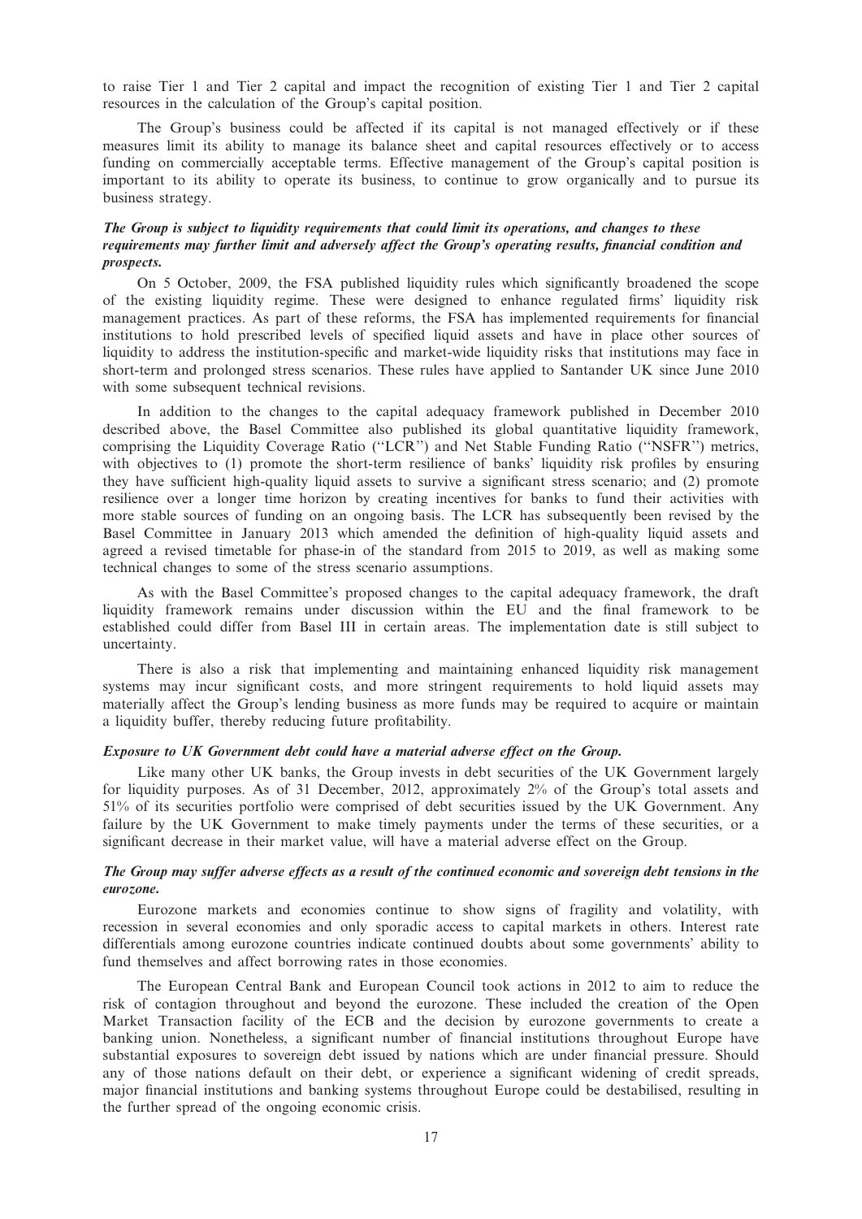to raise Tier 1 and Tier 2 capital and impact the recognition of existing Tier 1 and Tier 2 capital resources in the calculation of the Group's capital position.

The Group's business could be affected if its capital is not managed effectively or if these measures limit its ability to manage its balance sheet and capital resources effectively or to access funding on commercially acceptable terms. Effective management of the Group's capital position is important to its ability to operate its business, to continue to grow organically and to pursue its business strategy.

#### The Group is subject to liquidity requirements that could limit its operations, and changes to these requirements may further limit and adversely affect the Group's operating results, financial condition and prospects.

On 5 October, 2009, the FSA published liquidity rules which significantly broadened the scope of the existing liquidity regime. These were designed to enhance regulated firms' liquidity risk management practices. As part of these reforms, the FSA has implemented requirements for financial institutions to hold prescribed levels of specified liquid assets and have in place other sources of liquidity to address the institution-specific and market-wide liquidity risks that institutions may face in short-term and prolonged stress scenarios. These rules have applied to Santander UK since June 2010 with some subsequent technical revisions.

In addition to the changes to the capital adequacy framework published in December 2010 described above, the Basel Committee also published its global quantitative liquidity framework, comprising the Liquidity Coverage Ratio (''LCR'') and Net Stable Funding Ratio (''NSFR'') metrics, with objectives to (1) promote the short-term resilience of banks' liquidity risk profiles by ensuring they have sufficient high-quality liquid assets to survive a significant stress scenario; and (2) promote resilience over a longer time horizon by creating incentives for banks to fund their activities with more stable sources of funding on an ongoing basis. The LCR has subsequently been revised by the Basel Committee in January 2013 which amended the definition of high-quality liquid assets and agreed a revised timetable for phase-in of the standard from 2015 to 2019, as well as making some technical changes to some of the stress scenario assumptions.

As with the Basel Committee's proposed changes to the capital adequacy framework, the draft liquidity framework remains under discussion within the EU and the final framework to be established could differ from Basel III in certain areas. The implementation date is still subject to uncertainty.

There is also a risk that implementing and maintaining enhanced liquidity risk management systems may incur significant costs, and more stringent requirements to hold liquid assets may materially affect the Group's lending business as more funds may be required to acquire or maintain a liquidity buffer, thereby reducing future profitability.

## Exposure to UK Government debt could have a material adverse effect on the Group.

Like many other UK banks, the Group invests in debt securities of the UK Government largely for liquidity purposes. As of 31 December, 2012, approximately 2% of the Group's total assets and 51% of its securities portfolio were comprised of debt securities issued by the UK Government. Any failure by the UK Government to make timely payments under the terms of these securities, or a significant decrease in their market value, will have a material adverse effect on the Group.

## The Group may suffer adverse effects as a result of the continued economic and sovereign debt tensions in the eurozone.

Eurozone markets and economies continue to show signs of fragility and volatility, with recession in several economies and only sporadic access to capital markets in others. Interest rate differentials among eurozone countries indicate continued doubts about some governments' ability to fund themselves and affect borrowing rates in those economies.

The European Central Bank and European Council took actions in 2012 to aim to reduce the risk of contagion throughout and beyond the eurozone. These included the creation of the Open Market Transaction facility of the ECB and the decision by eurozone governments to create a banking union. Nonetheless, a significant number of financial institutions throughout Europe have substantial exposures to sovereign debt issued by nations which are under financial pressure. Should any of those nations default on their debt, or experience a significant widening of credit spreads, major financial institutions and banking systems throughout Europe could be destabilised, resulting in the further spread of the ongoing economic crisis.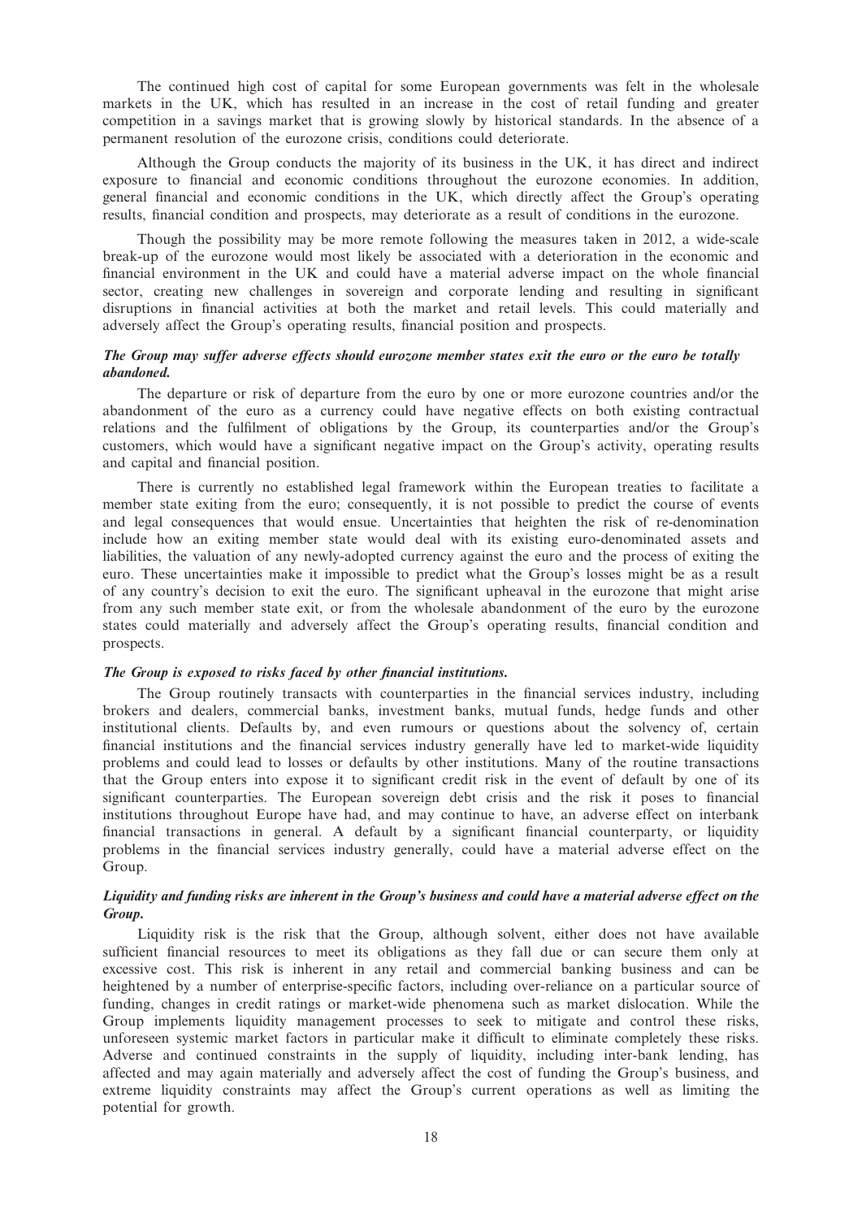The continued high cost of capital for some European governments was felt in the wholesale markets in the UK, which has resulted in an increase in the cost of retail funding and greater competition in a savings market that is growing slowly by historical standards. In the absence of a permanent resolution of the eurozone crisis, conditions could deteriorate.

Although the Group conducts the majority of its business in the UK, it has direct and indirect exposure to financial and economic conditions throughout the eurozone economies. In addition, general financial and economic conditions in the UK, which directly affect the Group's operating results, financial condition and prospects, may deteriorate as a result of conditions in the eurozone.

Though the possibility may be more remote following the measures taken in 2012, a wide-scale break-up of the eurozone would most likely be associated with a deterioration in the economic and financial environment in the UK and could have a material adverse impact on the whole financial sector, creating new challenges in sovereign and corporate lending and resulting in significant disruptions in financial activities at both the market and retail levels. This could materially and adversely affect the Group's operating results, financial position and prospects.

## The Group may suffer adverse effects should eurozone member states exit the euro or the euro be totally abandoned.

The departure or risk of departure from the euro by one or more eurozone countries and/or the abandonment of the euro as a currency could have negative effects on both existing contractual relations and the fulfilment of obligations by the Group, its counterparties and/or the Group's customers, which would have a significant negative impact on the Group's activity, operating results and capital and financial position.

There is currently no established legal framework within the European treaties to facilitate a member state exiting from the euro; consequently, it is not possible to predict the course of events and legal consequences that would ensue. Uncertainties that heighten the risk of re-denomination include how an exiting member state would deal with its existing euro-denominated assets and liabilities, the valuation of any newly-adopted currency against the euro and the process of exiting the euro. These uncertainties make it impossible to predict what the Group's losses might be as a result of any country's decision to exit the euro. The significant upheaval in the eurozone that might arise from any such member state exit, or from the wholesale abandonment of the euro by the eurozone states could materially and adversely affect the Group's operating results, financial condition and prospects.

#### The Group is exposed to risks faced by other financial institutions.

The Group routinely transacts with counterparties in the financial services industry, including brokers and dealers, commercial banks, investment banks, mutual funds, hedge funds and other institutional clients. Defaults by, and even rumours or questions about the solvency of, certain financial institutions and the financial services industry generally have led to market-wide liquidity problems and could lead to losses or defaults by other institutions. Many of the routine transactions that the Group enters into expose it to significant credit risk in the event of default by one of its significant counterparties. The European sovereign debt crisis and the risk it poses to financial institutions throughout Europe have had, and may continue to have, an adverse effect on interbank financial transactions in general. A default by a significant financial counterparty, or liquidity problems in the financial services industry generally, could have a material adverse effect on the Group.

## Liquidity and funding risks are inherent in the Group's business and could have a material adverse effect on the Group.

Liquidity risk is the risk that the Group, although solvent, either does not have available sufficient financial resources to meet its obligations as they fall due or can secure them only at excessive cost. This risk is inherent in any retail and commercial banking business and can be heightened by a number of enterprise-specific factors, including over-reliance on a particular source of funding, changes in credit ratings or market-wide phenomena such as market dislocation. While the Group implements liquidity management processes to seek to mitigate and control these risks, unforeseen systemic market factors in particular make it difficult to eliminate completely these risks. Adverse and continued constraints in the supply of liquidity, including inter-bank lending, has affected and may again materially and adversely affect the cost of funding the Group's business, and extreme liquidity constraints may affect the Group's current operations as well as limiting the potential for growth.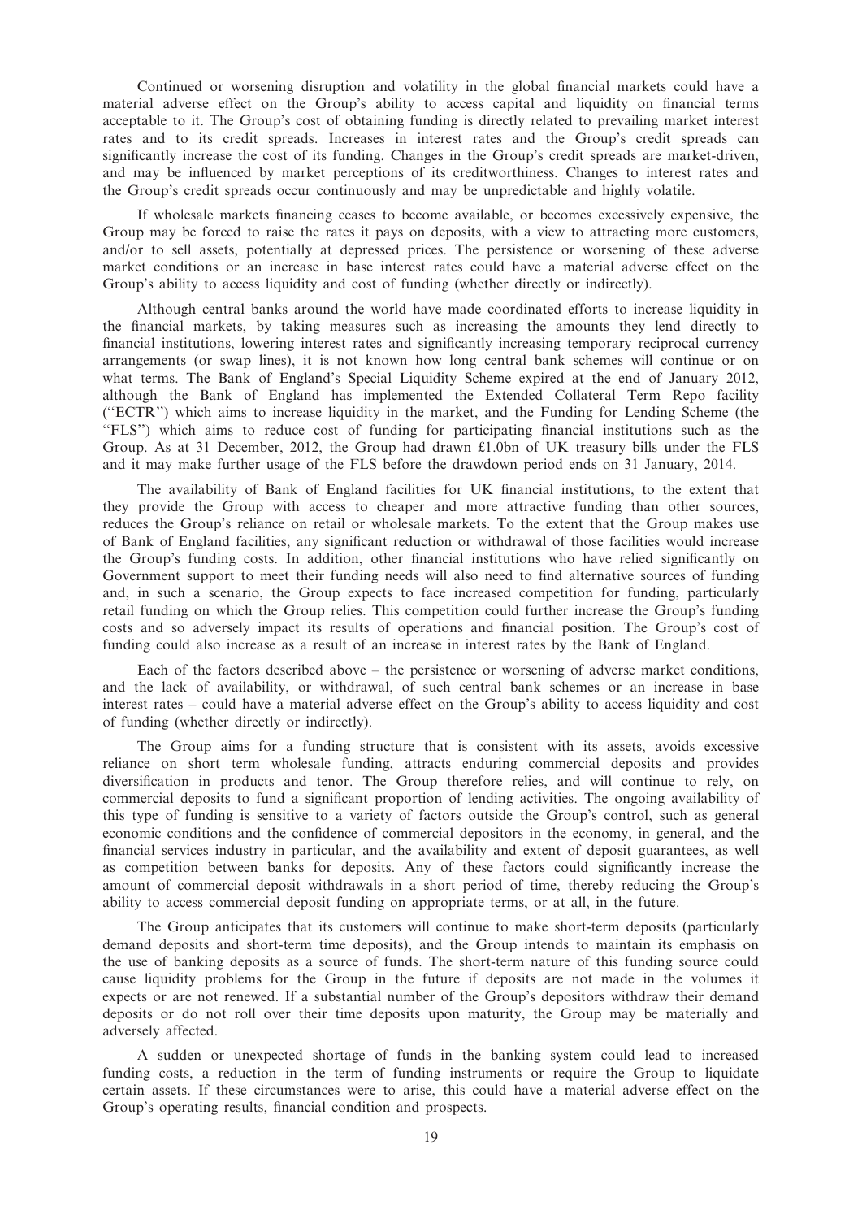Continued or worsening disruption and volatility in the global financial markets could have a material adverse effect on the Group's ability to access capital and liquidity on financial terms acceptable to it. The Group's cost of obtaining funding is directly related to prevailing market interest rates and to its credit spreads. Increases in interest rates and the Group's credit spreads can significantly increase the cost of its funding. Changes in the Group's credit spreads are market-driven, and may be influenced by market perceptions of its creditworthiness. Changes to interest rates and the Group's credit spreads occur continuously and may be unpredictable and highly volatile.

If wholesale markets financing ceases to become available, or becomes excessively expensive, the Group may be forced to raise the rates it pays on deposits, with a view to attracting more customers, and/or to sell assets, potentially at depressed prices. The persistence or worsening of these adverse market conditions or an increase in base interest rates could have a material adverse effect on the Group's ability to access liquidity and cost of funding (whether directly or indirectly).

Although central banks around the world have made coordinated efforts to increase liquidity in the financial markets, by taking measures such as increasing the amounts they lend directly to financial institutions, lowering interest rates and significantly increasing temporary reciprocal currency arrangements (or swap lines), it is not known how long central bank schemes will continue or on what terms. The Bank of England's Special Liquidity Scheme expired at the end of January 2012, although the Bank of England has implemented the Extended Collateral Term Repo facility (''ECTR'') which aims to increase liquidity in the market, and the Funding for Lending Scheme (the "FLS") which aims to reduce cost of funding for participating financial institutions such as the Group. As at 31 December, 2012, the Group had drawn £1.0bn of UK treasury bills under the FLS and it may make further usage of the FLS before the drawdown period ends on 31 January, 2014.

The availability of Bank of England facilities for UK financial institutions, to the extent that they provide the Group with access to cheaper and more attractive funding than other sources, reduces the Group's reliance on retail or wholesale markets. To the extent that the Group makes use of Bank of England facilities, any significant reduction or withdrawal of those facilities would increase the Group's funding costs. In addition, other financial institutions who have relied significantly on Government support to meet their funding needs will also need to find alternative sources of funding and, in such a scenario, the Group expects to face increased competition for funding, particularly retail funding on which the Group relies. This competition could further increase the Group's funding costs and so adversely impact its results of operations and financial position. The Group's cost of funding could also increase as a result of an increase in interest rates by the Bank of England.

Each of the factors described above – the persistence or worsening of adverse market conditions, and the lack of availability, or withdrawal, of such central bank schemes or an increase in base interest rates – could have a material adverse effect on the Group's ability to access liquidity and cost of funding (whether directly or indirectly).

The Group aims for a funding structure that is consistent with its assets, avoids excessive reliance on short term wholesale funding, attracts enduring commercial deposits and provides diversification in products and tenor. The Group therefore relies, and will continue to rely, on commercial deposits to fund a significant proportion of lending activities. The ongoing availability of this type of funding is sensitive to a variety of factors outside the Group's control, such as general economic conditions and the confidence of commercial depositors in the economy, in general, and the financial services industry in particular, and the availability and extent of deposit guarantees, as well as competition between banks for deposits. Any of these factors could significantly increase the amount of commercial deposit withdrawals in a short period of time, thereby reducing the Group's ability to access commercial deposit funding on appropriate terms, or at all, in the future.

The Group anticipates that its customers will continue to make short-term deposits (particularly demand deposits and short-term time deposits), and the Group intends to maintain its emphasis on the use of banking deposits as a source of funds. The short-term nature of this funding source could cause liquidity problems for the Group in the future if deposits are not made in the volumes it expects or are not renewed. If a substantial number of the Group's depositors withdraw their demand deposits or do not roll over their time deposits upon maturity, the Group may be materially and adversely affected.

A sudden or unexpected shortage of funds in the banking system could lead to increased funding costs, a reduction in the term of funding instruments or require the Group to liquidate certain assets. If these circumstances were to arise, this could have a material adverse effect on the Group's operating results, financial condition and prospects.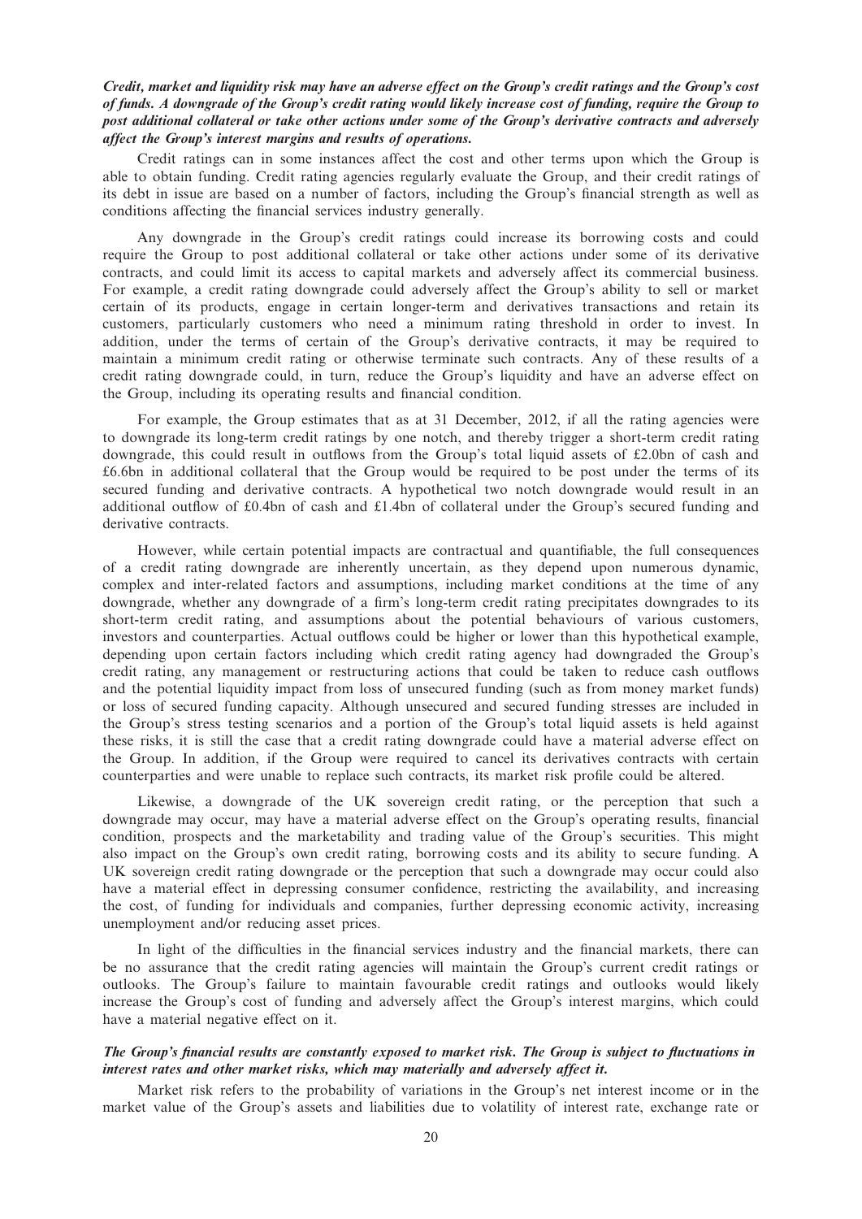## Credit, market and liquidity risk may have an adverse effect on the Group's credit ratings and the Group's cost of funds. A downgrade of the Group's credit rating would likely increase cost of funding, require the Group to post additional collateral or take other actions under some of the Group's derivative contracts and adversely affect the Group's interest margins and results of operations.

Credit ratings can in some instances affect the cost and other terms upon which the Group is able to obtain funding. Credit rating agencies regularly evaluate the Group, and their credit ratings of its debt in issue are based on a number of factors, including the Group's financial strength as well as conditions affecting the financial services industry generally.

Any downgrade in the Group's credit ratings could increase its borrowing costs and could require the Group to post additional collateral or take other actions under some of its derivative contracts, and could limit its access to capital markets and adversely affect its commercial business. For example, a credit rating downgrade could adversely affect the Group's ability to sell or market certain of its products, engage in certain longer-term and derivatives transactions and retain its customers, particularly customers who need a minimum rating threshold in order to invest. In addition, under the terms of certain of the Group's derivative contracts, it may be required to maintain a minimum credit rating or otherwise terminate such contracts. Any of these results of a credit rating downgrade could, in turn, reduce the Group's liquidity and have an adverse effect on the Group, including its operating results and financial condition.

For example, the Group estimates that as at 31 December, 2012, if all the rating agencies were to downgrade its long-term credit ratings by one notch, and thereby trigger a short-term credit rating downgrade, this could result in outflows from the Group's total liquid assets of £2.0bn of cash and £6.6bn in additional collateral that the Group would be required to be post under the terms of its secured funding and derivative contracts. A hypothetical two notch downgrade would result in an additional outflow of £0.4bn of cash and £1.4bn of collateral under the Group's secured funding and derivative contracts.

However, while certain potential impacts are contractual and quantifiable, the full consequences of a credit rating downgrade are inherently uncertain, as they depend upon numerous dynamic, complex and inter-related factors and assumptions, including market conditions at the time of any downgrade, whether any downgrade of a firm's long-term credit rating precipitates downgrades to its short-term credit rating, and assumptions about the potential behaviours of various customers, investors and counterparties. Actual outflows could be higher or lower than this hypothetical example, depending upon certain factors including which credit rating agency had downgraded the Group's credit rating, any management or restructuring actions that could be taken to reduce cash outflows and the potential liquidity impact from loss of unsecured funding (such as from money market funds) or loss of secured funding capacity. Although unsecured and secured funding stresses are included in the Group's stress testing scenarios and a portion of the Group's total liquid assets is held against these risks, it is still the case that a credit rating downgrade could have a material adverse effect on the Group. In addition, if the Group were required to cancel its derivatives contracts with certain counterparties and were unable to replace such contracts, its market risk profile could be altered.

Likewise, a downgrade of the UK sovereign credit rating, or the perception that such a downgrade may occur, may have a material adverse effect on the Group's operating results, financial condition, prospects and the marketability and trading value of the Group's securities. This might also impact on the Group's own credit rating, borrowing costs and its ability to secure funding. A UK sovereign credit rating downgrade or the perception that such a downgrade may occur could also have a material effect in depressing consumer confidence, restricting the availability, and increasing the cost, of funding for individuals and companies, further depressing economic activity, increasing unemployment and/or reducing asset prices.

In light of the difficulties in the financial services industry and the financial markets, there can be no assurance that the credit rating agencies will maintain the Group's current credit ratings or outlooks. The Group's failure to maintain favourable credit ratings and outlooks would likely increase the Group's cost of funding and adversely affect the Group's interest margins, which could have a material negative effect on it.

## The Group's financial results are constantly exposed to market risk. The Group is subject to fluctuations in interest rates and other market risks, which may materially and adversely affect it.

Market risk refers to the probability of variations in the Group's net interest income or in the market value of the Group's assets and liabilities due to volatility of interest rate, exchange rate or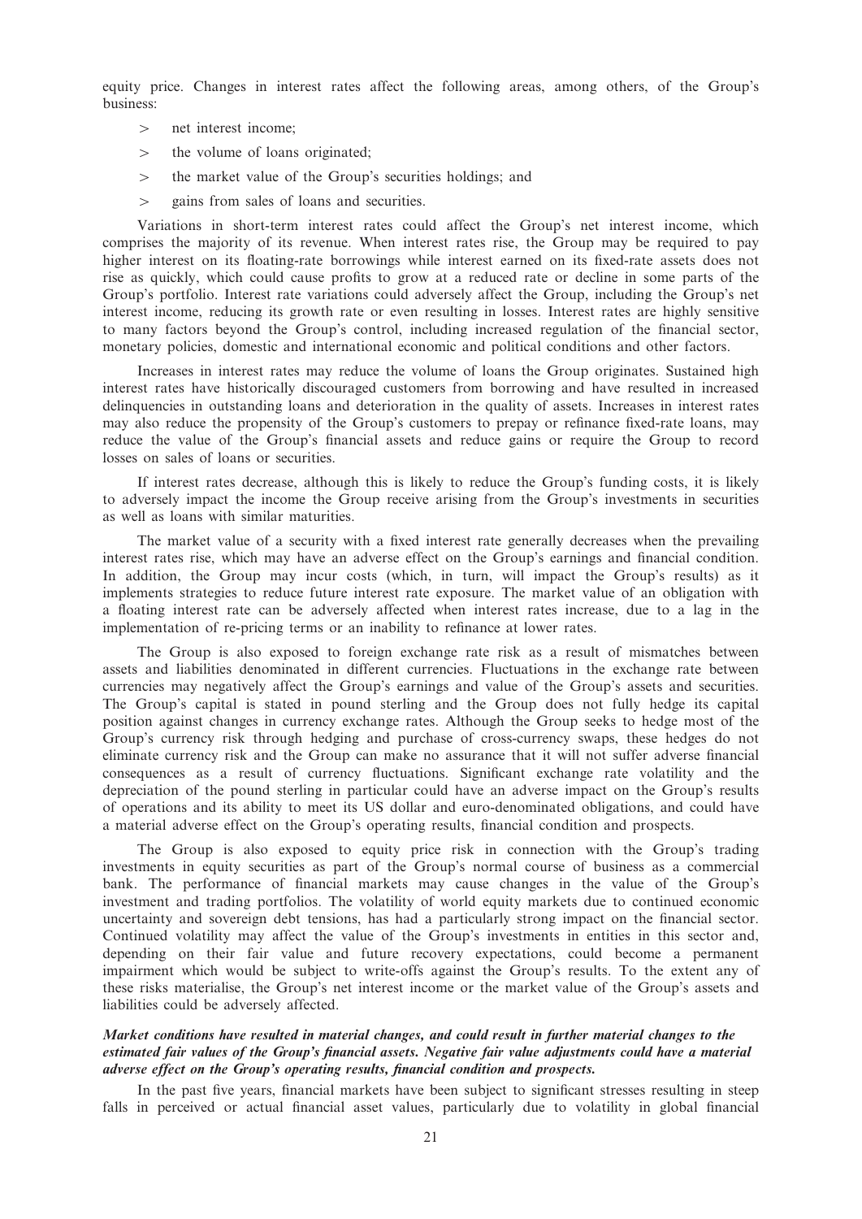equity price. Changes in interest rates affect the following areas, among others, of the Group's business:

- $>$  net interest income:
- $>$  the volume of loans originated;
- $\geq$  the market value of the Group's securities holdings; and
- $>$  gains from sales of loans and securities.

Variations in short-term interest rates could affect the Group's net interest income, which comprises the majority of its revenue. When interest rates rise, the Group may be required to pay higher interest on its floating-rate borrowings while interest earned on its fixed-rate assets does not rise as quickly, which could cause profits to grow at a reduced rate or decline in some parts of the Group's portfolio. Interest rate variations could adversely affect the Group, including the Group's net interest income, reducing its growth rate or even resulting in losses. Interest rates are highly sensitive to many factors beyond the Group's control, including increased regulation of the financial sector, monetary policies, domestic and international economic and political conditions and other factors.

Increases in interest rates may reduce the volume of loans the Group originates. Sustained high interest rates have historically discouraged customers from borrowing and have resulted in increased delinquencies in outstanding loans and deterioration in the quality of assets. Increases in interest rates may also reduce the propensity of the Group's customers to prepay or refinance fixed-rate loans, may reduce the value of the Group's financial assets and reduce gains or require the Group to record losses on sales of loans or securities.

If interest rates decrease, although this is likely to reduce the Group's funding costs, it is likely to adversely impact the income the Group receive arising from the Group's investments in securities as well as loans with similar maturities.

The market value of a security with a fixed interest rate generally decreases when the prevailing interest rates rise, which may have an adverse effect on the Group's earnings and financial condition. In addition, the Group may incur costs (which, in turn, will impact the Group's results) as it implements strategies to reduce future interest rate exposure. The market value of an obligation with a floating interest rate can be adversely affected when interest rates increase, due to a lag in the implementation of re-pricing terms or an inability to refinance at lower rates.

The Group is also exposed to foreign exchange rate risk as a result of mismatches between assets and liabilities denominated in different currencies. Fluctuations in the exchange rate between currencies may negatively affect the Group's earnings and value of the Group's assets and securities. The Group's capital is stated in pound sterling and the Group does not fully hedge its capital position against changes in currency exchange rates. Although the Group seeks to hedge most of the Group's currency risk through hedging and purchase of cross-currency swaps, these hedges do not eliminate currency risk and the Group can make no assurance that it will not suffer adverse financial consequences as a result of currency fluctuations. Significant exchange rate volatility and the depreciation of the pound sterling in particular could have an adverse impact on the Group's results of operations and its ability to meet its US dollar and euro-denominated obligations, and could have a material adverse effect on the Group's operating results, financial condition and prospects.

The Group is also exposed to equity price risk in connection with the Group's trading investments in equity securities as part of the Group's normal course of business as a commercial bank. The performance of financial markets may cause changes in the value of the Group's investment and trading portfolios. The volatility of world equity markets due to continued economic uncertainty and sovereign debt tensions, has had a particularly strong impact on the financial sector. Continued volatility may affect the value of the Group's investments in entities in this sector and, depending on their fair value and future recovery expectations, could become a permanent impairment which would be subject to write-offs against the Group's results. To the extent any of these risks materialise, the Group's net interest income or the market value of the Group's assets and liabilities could be adversely affected.

## Market conditions have resulted in material changes, and could result in further material changes to the estimated fair values of the Group's financial assets. Negative fair value adjustments could have a material adverse effect on the Group's operating results, financial condition and prospects.

In the past five years, financial markets have been subject to significant stresses resulting in steep falls in perceived or actual financial asset values, particularly due to volatility in global financial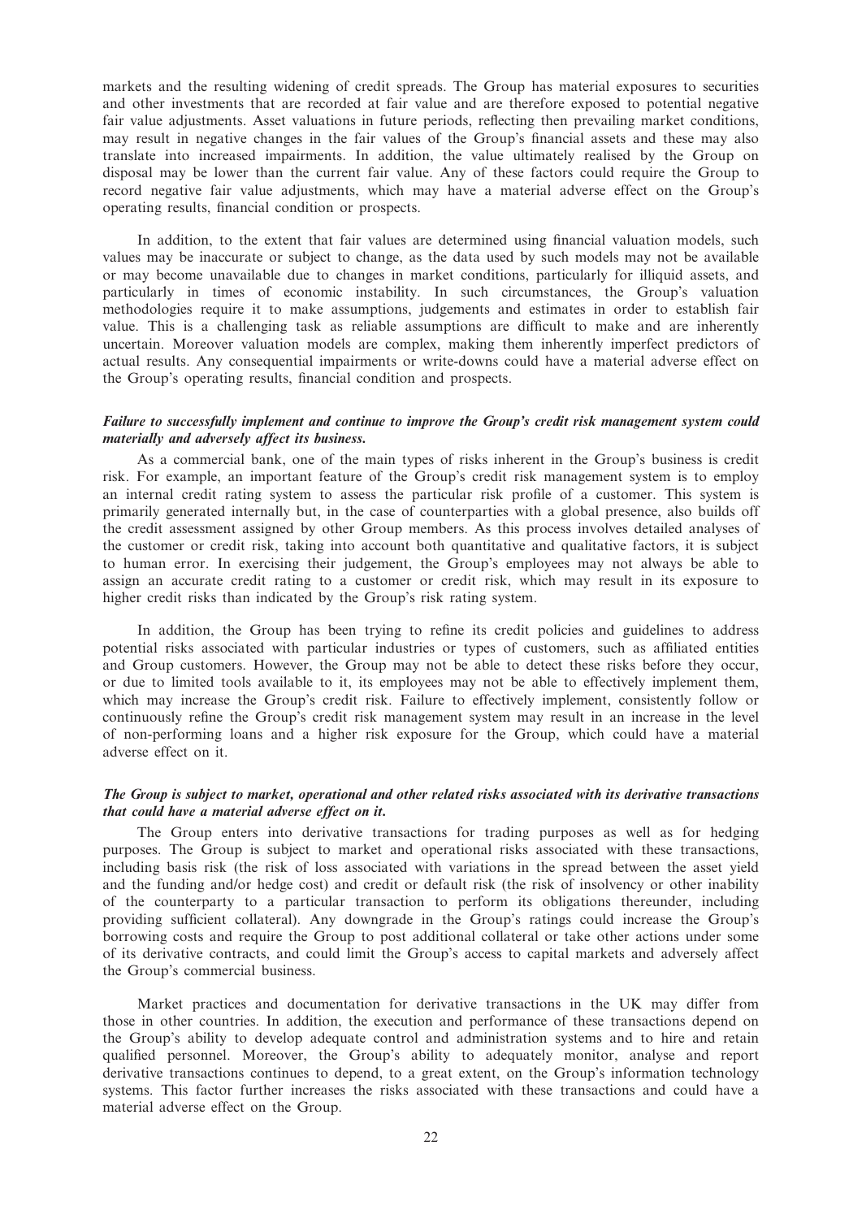markets and the resulting widening of credit spreads. The Group has material exposures to securities and other investments that are recorded at fair value and are therefore exposed to potential negative fair value adjustments. Asset valuations in future periods, reflecting then prevailing market conditions, may result in negative changes in the fair values of the Group's financial assets and these may also translate into increased impairments. In addition, the value ultimately realised by the Group on disposal may be lower than the current fair value. Any of these factors could require the Group to record negative fair value adjustments, which may have a material adverse effect on the Group's operating results, financial condition or prospects.

In addition, to the extent that fair values are determined using financial valuation models, such values may be inaccurate or subject to change, as the data used by such models may not be available or may become unavailable due to changes in market conditions, particularly for illiquid assets, and particularly in times of economic instability. In such circumstances, the Group's valuation methodologies require it to make assumptions, judgements and estimates in order to establish fair value. This is a challenging task as reliable assumptions are difficult to make and are inherently uncertain. Moreover valuation models are complex, making them inherently imperfect predictors of actual results. Any consequential impairments or write-downs could have a material adverse effect on the Group's operating results, financial condition and prospects.

### Failure to successfully implement and continue to improve the Group's credit risk management system could materially and adversely affect its business.

As a commercial bank, one of the main types of risks inherent in the Group's business is credit risk. For example, an important feature of the Group's credit risk management system is to employ an internal credit rating system to assess the particular risk profile of a customer. This system is primarily generated internally but, in the case of counterparties with a global presence, also builds off the credit assessment assigned by other Group members. As this process involves detailed analyses of the customer or credit risk, taking into account both quantitative and qualitative factors, it is subject to human error. In exercising their judgement, the Group's employees may not always be able to assign an accurate credit rating to a customer or credit risk, which may result in its exposure to higher credit risks than indicated by the Group's risk rating system.

In addition, the Group has been trying to refine its credit policies and guidelines to address potential risks associated with particular industries or types of customers, such as affiliated entities and Group customers. However, the Group may not be able to detect these risks before they occur, or due to limited tools available to it, its employees may not be able to effectively implement them, which may increase the Group's credit risk. Failure to effectively implement, consistently follow or continuously refine the Group's credit risk management system may result in an increase in the level of non-performing loans and a higher risk exposure for the Group, which could have a material adverse effect on it.

### The Group is subject to market, operational and other related risks associated with its derivative transactions that could have a material adverse effect on it.

The Group enters into derivative transactions for trading purposes as well as for hedging purposes. The Group is subject to market and operational risks associated with these transactions, including basis risk (the risk of loss associated with variations in the spread between the asset yield and the funding and/or hedge cost) and credit or default risk (the risk of insolvency or other inability of the counterparty to a particular transaction to perform its obligations thereunder, including providing sufficient collateral). Any downgrade in the Group's ratings could increase the Group's borrowing costs and require the Group to post additional collateral or take other actions under some of its derivative contracts, and could limit the Group's access to capital markets and adversely affect the Group's commercial business.

Market practices and documentation for derivative transactions in the UK may differ from those in other countries. In addition, the execution and performance of these transactions depend on the Group's ability to develop adequate control and administration systems and to hire and retain qualified personnel. Moreover, the Group's ability to adequately monitor, analyse and report derivative transactions continues to depend, to a great extent, on the Group's information technology systems. This factor further increases the risks associated with these transactions and could have a material adverse effect on the Group.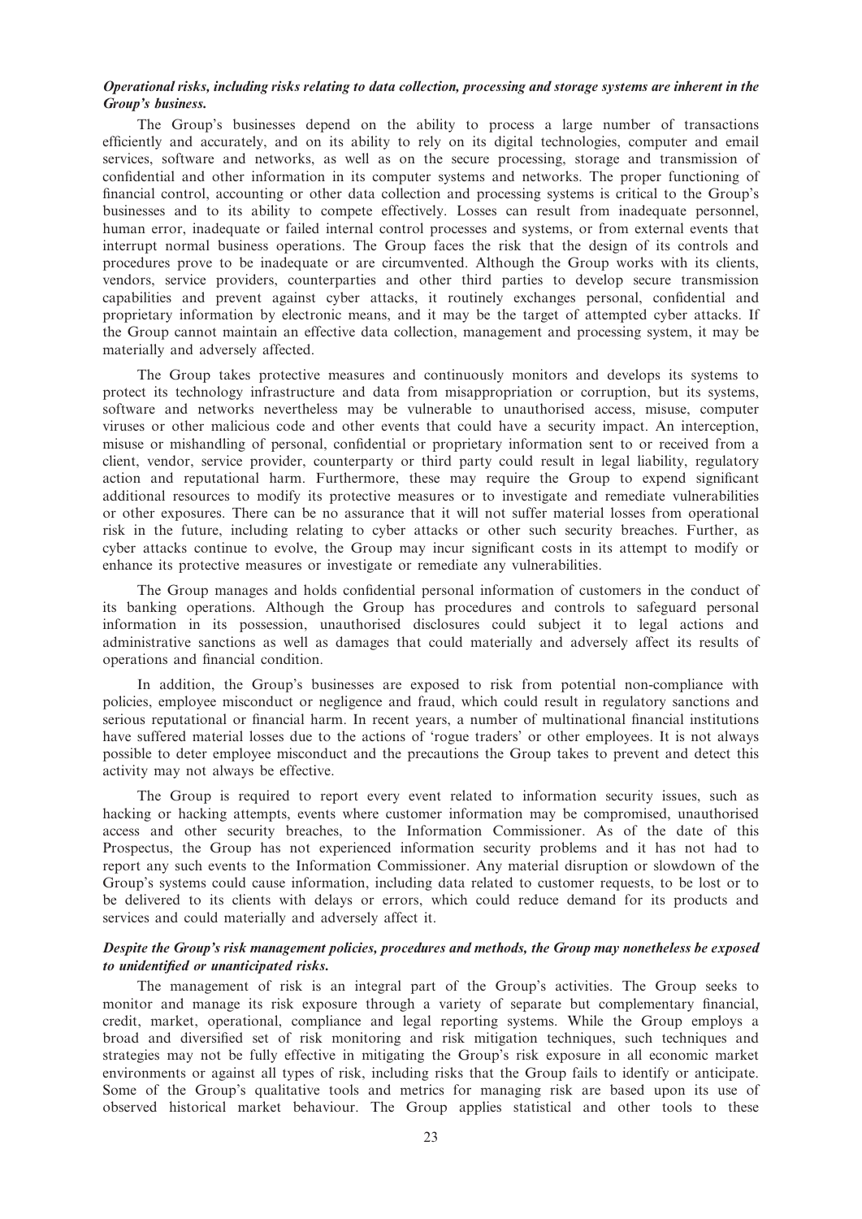## Operational risks, including risks relating to data collection, processing and storage systems are inherent in the Group's business.

The Group's businesses depend on the ability to process a large number of transactions efficiently and accurately, and on its ability to rely on its digital technologies, computer and email services, software and networks, as well as on the secure processing, storage and transmission of confidential and other information in its computer systems and networks. The proper functioning of financial control, accounting or other data collection and processing systems is critical to the Group's businesses and to its ability to compete effectively. Losses can result from inadequate personnel, human error, inadequate or failed internal control processes and systems, or from external events that interrupt normal business operations. The Group faces the risk that the design of its controls and procedures prove to be inadequate or are circumvented. Although the Group works with its clients, vendors, service providers, counterparties and other third parties to develop secure transmission capabilities and prevent against cyber attacks, it routinely exchanges personal, confidential and proprietary information by electronic means, and it may be the target of attempted cyber attacks. If the Group cannot maintain an effective data collection, management and processing system, it may be materially and adversely affected.

The Group takes protective measures and continuously monitors and develops its systems to protect its technology infrastructure and data from misappropriation or corruption, but its systems, software and networks nevertheless may be vulnerable to unauthorised access, misuse, computer viruses or other malicious code and other events that could have a security impact. An interception, misuse or mishandling of personal, confidential or proprietary information sent to or received from a client, vendor, service provider, counterparty or third party could result in legal liability, regulatory action and reputational harm. Furthermore, these may require the Group to expend significant additional resources to modify its protective measures or to investigate and remediate vulnerabilities or other exposures. There can be no assurance that it will not suffer material losses from operational risk in the future, including relating to cyber attacks or other such security breaches. Further, as cyber attacks continue to evolve, the Group may incur significant costs in its attempt to modify or enhance its protective measures or investigate or remediate any vulnerabilities.

The Group manages and holds confidential personal information of customers in the conduct of its banking operations. Although the Group has procedures and controls to safeguard personal information in its possession, unauthorised disclosures could subject it to legal actions and administrative sanctions as well as damages that could materially and adversely affect its results of operations and financial condition.

In addition, the Group's businesses are exposed to risk from potential non-compliance with policies, employee misconduct or negligence and fraud, which could result in regulatory sanctions and serious reputational or financial harm. In recent years, a number of multinational financial institutions have suffered material losses due to the actions of 'rogue traders' or other employees. It is not always possible to deter employee misconduct and the precautions the Group takes to prevent and detect this activity may not always be effective.

The Group is required to report every event related to information security issues, such as hacking or hacking attempts, events where customer information may be compromised, unauthorised access and other security breaches, to the Information Commissioner. As of the date of this Prospectus, the Group has not experienced information security problems and it has not had to report any such events to the Information Commissioner. Any material disruption or slowdown of the Group's systems could cause information, including data related to customer requests, to be lost or to be delivered to its clients with delays or errors, which could reduce demand for its products and services and could materially and adversely affect it.

## Despite the Group's risk management policies, procedures and methods, the Group may nonetheless be exposed to unidentified or unanticipated risks.

The management of risk is an integral part of the Group's activities. The Group seeks to monitor and manage its risk exposure through a variety of separate but complementary financial, credit, market, operational, compliance and legal reporting systems. While the Group employs a broad and diversified set of risk monitoring and risk mitigation techniques, such techniques and strategies may not be fully effective in mitigating the Group's risk exposure in all economic market environments or against all types of risk, including risks that the Group fails to identify or anticipate. Some of the Group's qualitative tools and metrics for managing risk are based upon its use of observed historical market behaviour. The Group applies statistical and other tools to these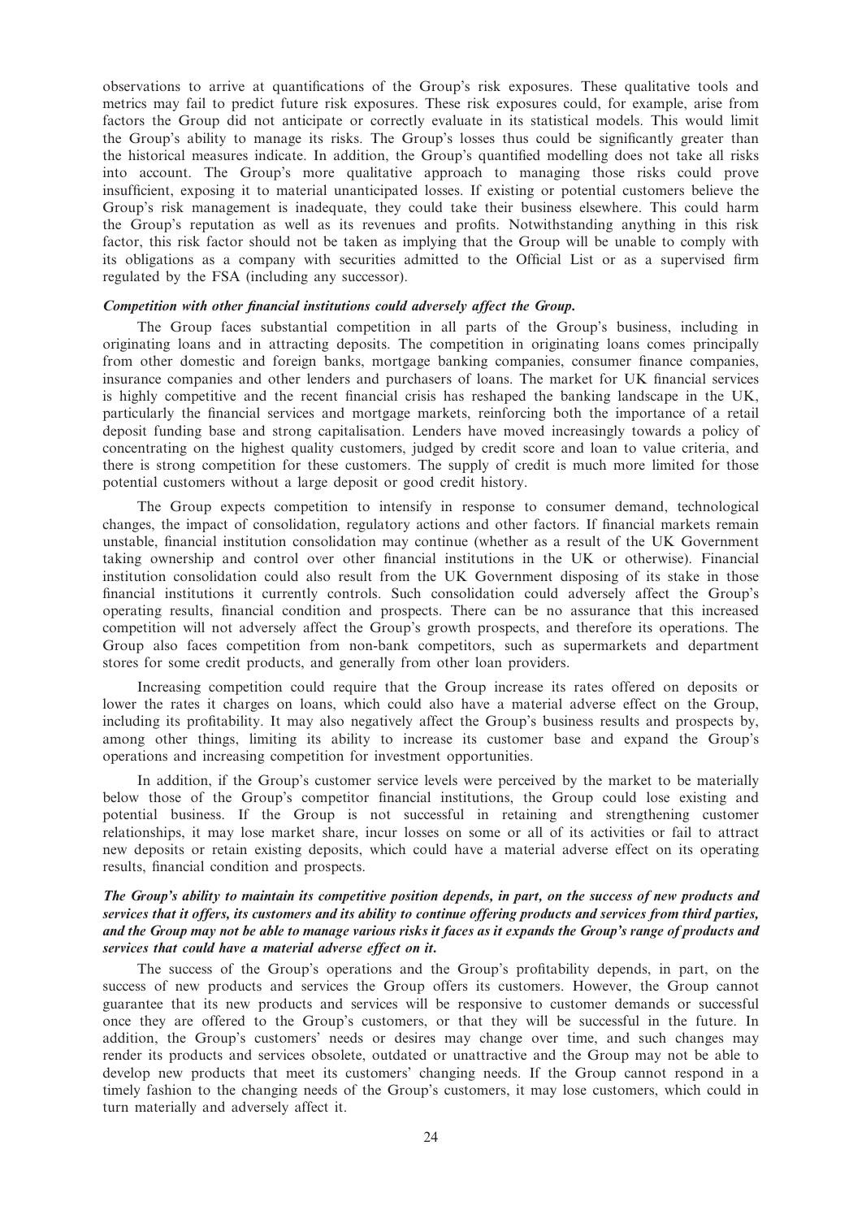observations to arrive at quantifications of the Group's risk exposures. These qualitative tools and metrics may fail to predict future risk exposures. These risk exposures could, for example, arise from factors the Group did not anticipate or correctly evaluate in its statistical models. This would limit the Group's ability to manage its risks. The Group's losses thus could be significantly greater than the historical measures indicate. In addition, the Group's quantified modelling does not take all risks into account. The Group's more qualitative approach to managing those risks could prove insufficient, exposing it to material unanticipated losses. If existing or potential customers believe the Group's risk management is inadequate, they could take their business elsewhere. This could harm the Group's reputation as well as its revenues and profits. Notwithstanding anything in this risk factor, this risk factor should not be taken as implying that the Group will be unable to comply with its obligations as a company with securities admitted to the Official List or as a supervised firm regulated by the FSA (including any successor).

#### Competition with other financial institutions could adversely affect the Group.

The Group faces substantial competition in all parts of the Group's business, including in originating loans and in attracting deposits. The competition in originating loans comes principally from other domestic and foreign banks, mortgage banking companies, consumer finance companies, insurance companies and other lenders and purchasers of loans. The market for UK financial services is highly competitive and the recent financial crisis has reshaped the banking landscape in the UK, particularly the financial services and mortgage markets, reinforcing both the importance of a retail deposit funding base and strong capitalisation. Lenders have moved increasingly towards a policy of concentrating on the highest quality customers, judged by credit score and loan to value criteria, and there is strong competition for these customers. The supply of credit is much more limited for those potential customers without a large deposit or good credit history.

The Group expects competition to intensify in response to consumer demand, technological changes, the impact of consolidation, regulatory actions and other factors. If financial markets remain unstable, financial institution consolidation may continue (whether as a result of the UK Government taking ownership and control over other financial institutions in the UK or otherwise). Financial institution consolidation could also result from the UK Government disposing of its stake in those financial institutions it currently controls. Such consolidation could adversely affect the Group's operating results, financial condition and prospects. There can be no assurance that this increased competition will not adversely affect the Group's growth prospects, and therefore its operations. The Group also faces competition from non-bank competitors, such as supermarkets and department stores for some credit products, and generally from other loan providers.

Increasing competition could require that the Group increase its rates offered on deposits or lower the rates it charges on loans, which could also have a material adverse effect on the Group, including its profitability. It may also negatively affect the Group's business results and prospects by, among other things, limiting its ability to increase its customer base and expand the Group's operations and increasing competition for investment opportunities.

In addition, if the Group's customer service levels were perceived by the market to be materially below those of the Group's competitor financial institutions, the Group could lose existing and potential business. If the Group is not successful in retaining and strengthening customer relationships, it may lose market share, incur losses on some or all of its activities or fail to attract new deposits or retain existing deposits, which could have a material adverse effect on its operating results, financial condition and prospects.

## The Group's ability to maintain its competitive position depends, in part, on the success of new products and services that it offers, its customers and its ability to continue offering products and services from third parties, and the Group may not be able to manage various risks it faces as it expands the Group's range of products and services that could have a material adverse effect on it.

The success of the Group's operations and the Group's profitability depends, in part, on the success of new products and services the Group offers its customers. However, the Group cannot guarantee that its new products and services will be responsive to customer demands or successful once they are offered to the Group's customers, or that they will be successful in the future. In addition, the Group's customers' needs or desires may change over time, and such changes may render its products and services obsolete, outdated or unattractive and the Group may not be able to develop new products that meet its customers' changing needs. If the Group cannot respond in a timely fashion to the changing needs of the Group's customers, it may lose customers, which could in turn materially and adversely affect it.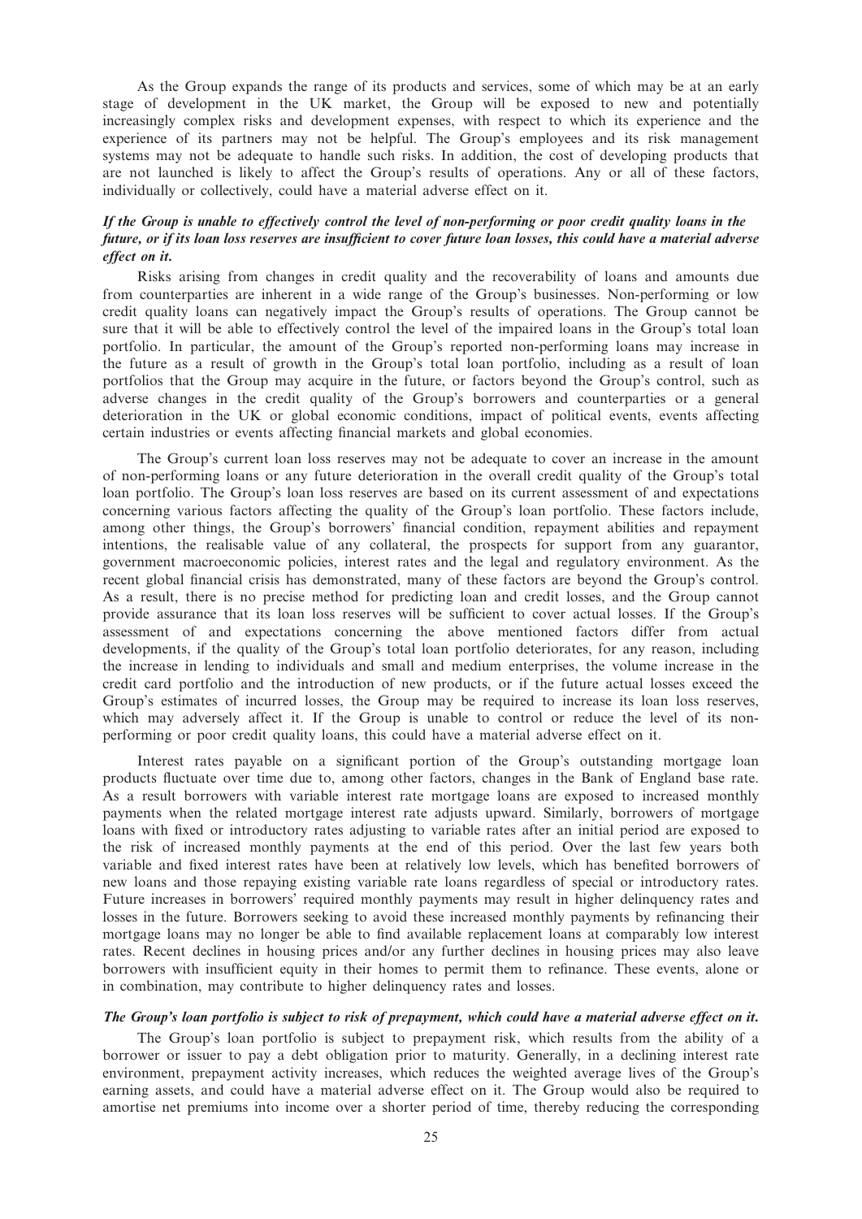As the Group expands the range of its products and services, some of which may be at an early stage of development in the UK market, the Group will be exposed to new and potentially increasingly complex risks and development expenses, with respect to which its experience and the experience of its partners may not be helpful. The Group's employees and its risk management systems may not be adequate to handle such risks. In addition, the cost of developing products that are not launched is likely to affect the Group's results of operations. Any or all of these factors, individually or collectively, could have a material adverse effect on it.

## If the Group is unable to effectively control the level of non-performing or poor credit quality loans in the future, or if its loan loss reserves are insufficient to cover future loan losses, this could have a material adverse effect on it.

Risks arising from changes in credit quality and the recoverability of loans and amounts due from counterparties are inherent in a wide range of the Group's businesses. Non-performing or low credit quality loans can negatively impact the Group's results of operations. The Group cannot be sure that it will be able to effectively control the level of the impaired loans in the Group's total loan portfolio. In particular, the amount of the Group's reported non-performing loans may increase in the future as a result of growth in the Group's total loan portfolio, including as a result of loan portfolios that the Group may acquire in the future, or factors beyond the Group's control, such as adverse changes in the credit quality of the Group's borrowers and counterparties or a general deterioration in the UK or global economic conditions, impact of political events, events affecting certain industries or events affecting financial markets and global economies.

The Group's current loan loss reserves may not be adequate to cover an increase in the amount of non-performing loans or any future deterioration in the overall credit quality of the Group's total loan portfolio. The Group's loan loss reserves are based on its current assessment of and expectations concerning various factors affecting the quality of the Group's loan portfolio. These factors include, among other things, the Group's borrowers' financial condition, repayment abilities and repayment intentions, the realisable value of any collateral, the prospects for support from any guarantor, government macroeconomic policies, interest rates and the legal and regulatory environment. As the recent global financial crisis has demonstrated, many of these factors are beyond the Group's control. As a result, there is no precise method for predicting loan and credit losses, and the Group cannot provide assurance that its loan loss reserves will be sufficient to cover actual losses. If the Group's assessment of and expectations concerning the above mentioned factors differ from actual developments, if the quality of the Group's total loan portfolio deteriorates, for any reason, including the increase in lending to individuals and small and medium enterprises, the volume increase in the credit card portfolio and the introduction of new products, or if the future actual losses exceed the Group's estimates of incurred losses, the Group may be required to increase its loan loss reserves, which may adversely affect it. If the Group is unable to control or reduce the level of its nonperforming or poor credit quality loans, this could have a material adverse effect on it.

Interest rates payable on a significant portion of the Group's outstanding mortgage loan products fluctuate over time due to, among other factors, changes in the Bank of England base rate. As a result borrowers with variable interest rate mortgage loans are exposed to increased monthly payments when the related mortgage interest rate adjusts upward. Similarly, borrowers of mortgage loans with fixed or introductory rates adjusting to variable rates after an initial period are exposed to the risk of increased monthly payments at the end of this period. Over the last few years both variable and fixed interest rates have been at relatively low levels, which has benefited borrowers of new loans and those repaying existing variable rate loans regardless of special or introductory rates. Future increases in borrowers' required monthly payments may result in higher delinquency rates and losses in the future. Borrowers seeking to avoid these increased monthly payments by refinancing their mortgage loans may no longer be able to find available replacement loans at comparably low interest rates. Recent declines in housing prices and/or any further declines in housing prices may also leave borrowers with insufficient equity in their homes to permit them to refinance. These events, alone or in combination, may contribute to higher delinquency rates and losses.

#### The Group's loan portfolio is subject to risk of prepayment, which could have a material adverse effect on it.

The Group's loan portfolio is subject to prepayment risk, which results from the ability of a borrower or issuer to pay a debt obligation prior to maturity. Generally, in a declining interest rate environment, prepayment activity increases, which reduces the weighted average lives of the Group's earning assets, and could have a material adverse effect on it. The Group would also be required to amortise net premiums into income over a shorter period of time, thereby reducing the corresponding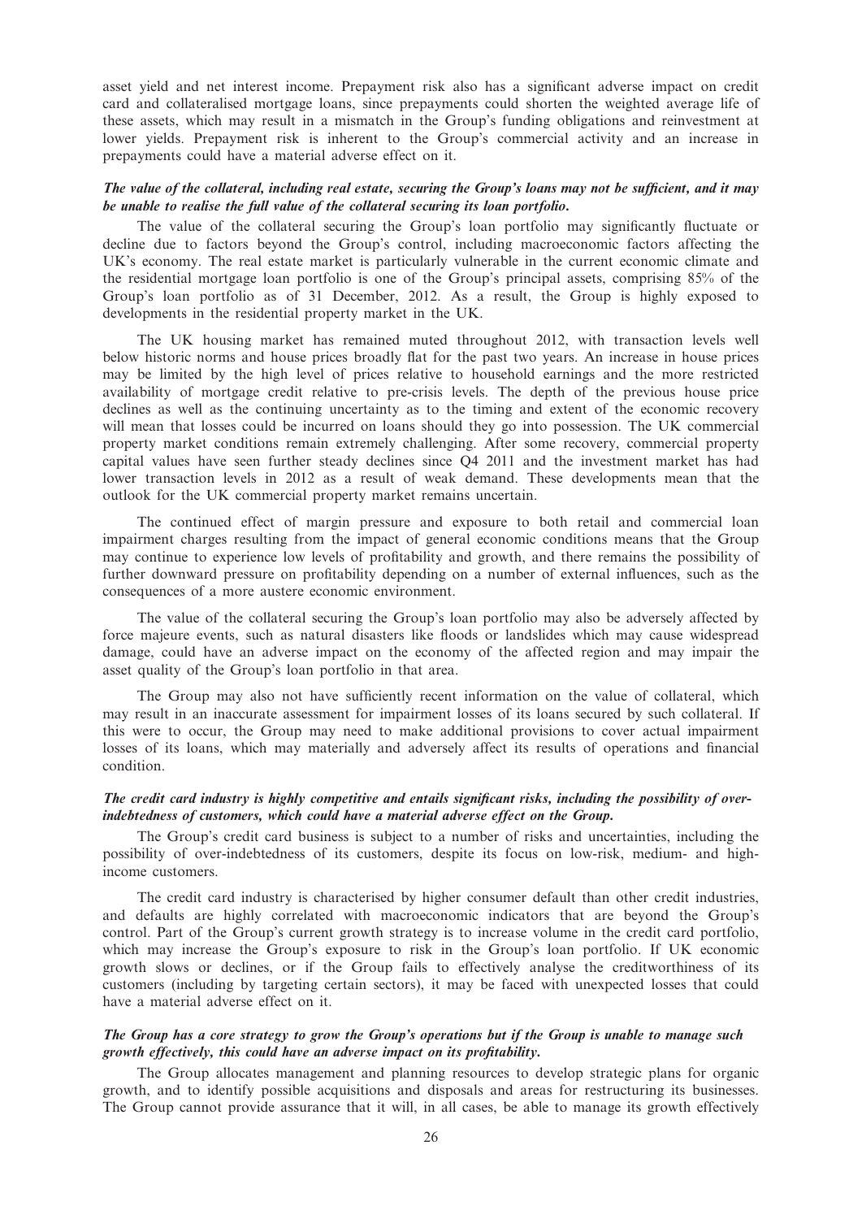asset yield and net interest income. Prepayment risk also has a significant adverse impact on credit card and collateralised mortgage loans, since prepayments could shorten the weighted average life of these assets, which may result in a mismatch in the Group's funding obligations and reinvestment at lower yields. Prepayment risk is inherent to the Group's commercial activity and an increase in prepayments could have a material adverse effect on it.

## The value of the collateral, including real estate, securing the Group's loans may not be sufficient, and it may be unable to realise the full value of the collateral securing its loan portfolio.

The value of the collateral securing the Group's loan portfolio may significantly fluctuate or decline due to factors beyond the Group's control, including macroeconomic factors affecting the UK's economy. The real estate market is particularly vulnerable in the current economic climate and the residential mortgage loan portfolio is one of the Group's principal assets, comprising 85% of the Group's loan portfolio as of 31 December, 2012. As a result, the Group is highly exposed to developments in the residential property market in the UK.

The UK housing market has remained muted throughout 2012, with transaction levels well below historic norms and house prices broadly flat for the past two years. An increase in house prices may be limited by the high level of prices relative to household earnings and the more restricted availability of mortgage credit relative to pre-crisis levels. The depth of the previous house price declines as well as the continuing uncertainty as to the timing and extent of the economic recovery will mean that losses could be incurred on loans should they go into possession. The UK commercial property market conditions remain extremely challenging. After some recovery, commercial property capital values have seen further steady declines since Q4 2011 and the investment market has had lower transaction levels in 2012 as a result of weak demand. These developments mean that the outlook for the UK commercial property market remains uncertain.

The continued effect of margin pressure and exposure to both retail and commercial loan impairment charges resulting from the impact of general economic conditions means that the Group may continue to experience low levels of profitability and growth, and there remains the possibility of further downward pressure on profitability depending on a number of external influences, such as the consequences of a more austere economic environment.

The value of the collateral securing the Group's loan portfolio may also be adversely affected by force majeure events, such as natural disasters like floods or landslides which may cause widespread damage, could have an adverse impact on the economy of the affected region and may impair the asset quality of the Group's loan portfolio in that area.

The Group may also not have sufficiently recent information on the value of collateral, which may result in an inaccurate assessment for impairment losses of its loans secured by such collateral. If this were to occur, the Group may need to make additional provisions to cover actual impairment losses of its loans, which may materially and adversely affect its results of operations and financial condition.

## The credit card industry is highly competitive and entails significant risks, including the possibility of overindebtedness of customers, which could have a material adverse effect on the Group.

The Group's credit card business is subject to a number of risks and uncertainties, including the possibility of over-indebtedness of its customers, despite its focus on low-risk, medium- and highincome customers.

The credit card industry is characterised by higher consumer default than other credit industries, and defaults are highly correlated with macroeconomic indicators that are beyond the Group's control. Part of the Group's current growth strategy is to increase volume in the credit card portfolio, which may increase the Group's exposure to risk in the Group's loan portfolio. If UK economic growth slows or declines, or if the Group fails to effectively analyse the creditworthiness of its customers (including by targeting certain sectors), it may be faced with unexpected losses that could have a material adverse effect on it.

## The Group has a core strategy to grow the Group's operations but if the Group is unable to manage such growth effectively, this could have an adverse impact on its profitability.

The Group allocates management and planning resources to develop strategic plans for organic growth, and to identify possible acquisitions and disposals and areas for restructuring its businesses. The Group cannot provide assurance that it will, in all cases, be able to manage its growth effectively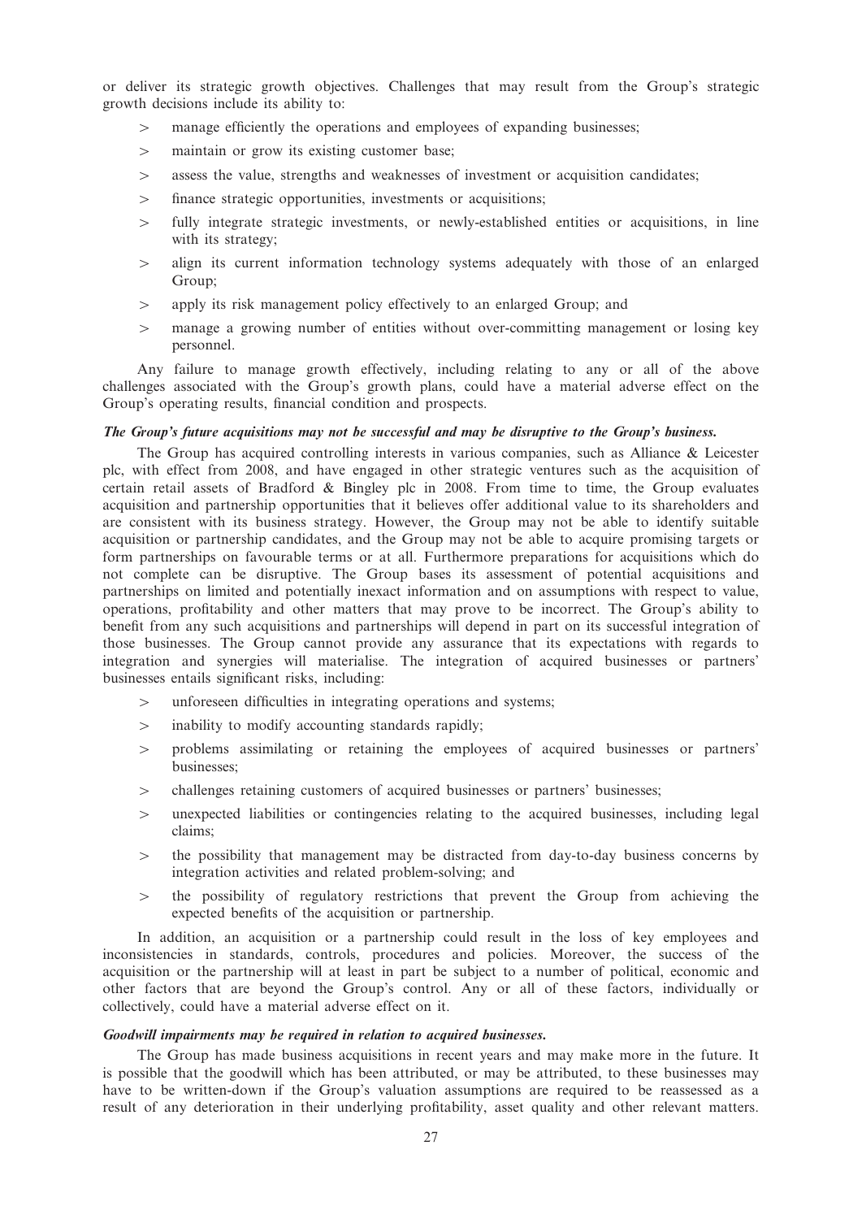or deliver its strategic growth objectives. Challenges that may result from the Group's strategic growth decisions include its ability to:

- $>$  manage efficiently the operations and employees of expanding businesses;
- $>$  maintain or grow its existing customer base;
- $\geq$  assess the value, strengths and weaknesses of investment or acquisition candidates;
- $\geq$  finance strategic opportunities, investments or acquisitions;
- $\geq$  fully integrate strategic investments, or newly-established entities or acquisitions, in line with its strategy;
- $>$  align its current information technology systems adequately with those of an enlarged Group;
- $>$  apply its risk management policy effectively to an enlarged Group; and
- $>$  manage a growing number of entities without over-committing management or losing key personnel.

Any failure to manage growth effectively, including relating to any or all of the above challenges associated with the Group's growth plans, could have a material adverse effect on the Group's operating results, financial condition and prospects.

#### The Group's future acquisitions may not be successful and may be disruptive to the Group's business.

The Group has acquired controlling interests in various companies, such as Alliance & Leicester plc, with effect from 2008, and have engaged in other strategic ventures such as the acquisition of certain retail assets of Bradford & Bingley plc in 2008. From time to time, the Group evaluates acquisition and partnership opportunities that it believes offer additional value to its shareholders and are consistent with its business strategy. However, the Group may not be able to identify suitable acquisition or partnership candidates, and the Group may not be able to acquire promising targets or form partnerships on favourable terms or at all. Furthermore preparations for acquisitions which do not complete can be disruptive. The Group bases its assessment of potential acquisitions and partnerships on limited and potentially inexact information and on assumptions with respect to value, operations, profitability and other matters that may prove to be incorrect. The Group's ability to benefit from any such acquisitions and partnerships will depend in part on its successful integration of those businesses. The Group cannot provide any assurance that its expectations with regards to integration and synergies will materialise. The integration of acquired businesses or partners' businesses entails significant risks, including:

- $>$  unforeseen difficulties in integrating operations and systems;
- $>$  inability to modify accounting standards rapidly;
- 4 problems assimilating or retaining the employees of acquired businesses or partners' businesses;
- $>$  challenges retaining customers of acquired businesses or partners' businesses;
- $\geq$  unexpected liabilities or contingencies relating to the acquired businesses, including legal claims;
- $\Rightarrow$  the possibility that management may be distracted from day-to-day business concerns by integration activities and related problem-solving; and
- $\geq$  the possibility of regulatory restrictions that prevent the Group from achieving the expected benefits of the acquisition or partnership.

In addition, an acquisition or a partnership could result in the loss of key employees and inconsistencies in standards, controls, procedures and policies. Moreover, the success of the acquisition or the partnership will at least in part be subject to a number of political, economic and other factors that are beyond the Group's control. Any or all of these factors, individually or collectively, could have a material adverse effect on it.

#### Goodwill impairments may be required in relation to acquired businesses.

The Group has made business acquisitions in recent years and may make more in the future. It is possible that the goodwill which has been attributed, or may be attributed, to these businesses may have to be written-down if the Group's valuation assumptions are required to be reassessed as a result of any deterioration in their underlying profitability, asset quality and other relevant matters.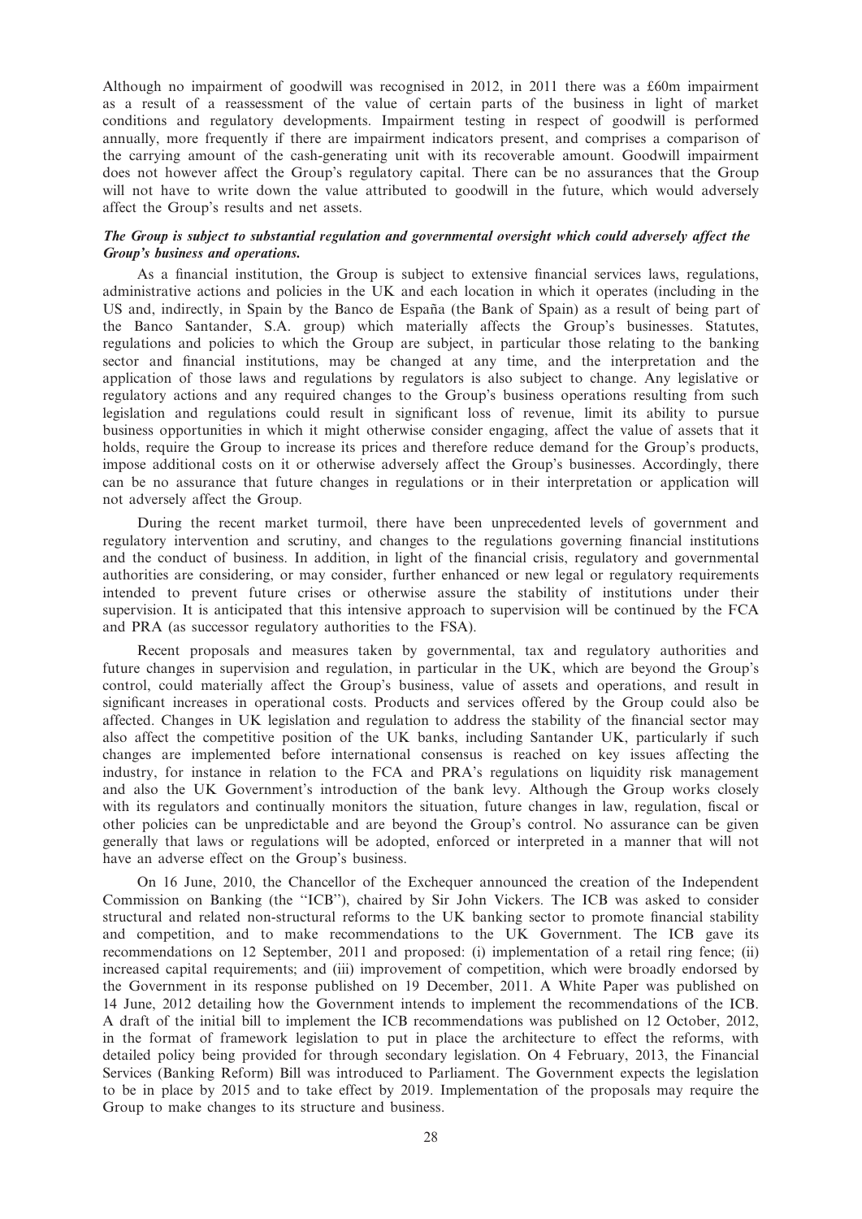Although no impairment of goodwill was recognised in 2012, in 2011 there was a £60m impairment as a result of a reassessment of the value of certain parts of the business in light of market conditions and regulatory developments. Impairment testing in respect of goodwill is performed annually, more frequently if there are impairment indicators present, and comprises a comparison of the carrying amount of the cash-generating unit with its recoverable amount. Goodwill impairment does not however affect the Group's regulatory capital. There can be no assurances that the Group will not have to write down the value attributed to goodwill in the future, which would adversely affect the Group's results and net assets.

## The Group is subject to substantial regulation and governmental oversight which could adversely affect the Group's business and operations.

As a financial institution, the Group is subject to extensive financial services laws, regulations, administrative actions and policies in the UK and each location in which it operates (including in the US and, indirectly, in Spain by the Banco de España (the Bank of Spain) as a result of being part of the Banco Santander, S.A. group) which materially affects the Group's businesses. Statutes, regulations and policies to which the Group are subject, in particular those relating to the banking sector and financial institutions, may be changed at any time, and the interpretation and the application of those laws and regulations by regulators is also subject to change. Any legislative or regulatory actions and any required changes to the Group's business operations resulting from such legislation and regulations could result in significant loss of revenue, limit its ability to pursue business opportunities in which it might otherwise consider engaging, affect the value of assets that it holds, require the Group to increase its prices and therefore reduce demand for the Group's products, impose additional costs on it or otherwise adversely affect the Group's businesses. Accordingly, there can be no assurance that future changes in regulations or in their interpretation or application will not adversely affect the Group.

During the recent market turmoil, there have been unprecedented levels of government and regulatory intervention and scrutiny, and changes to the regulations governing financial institutions and the conduct of business. In addition, in light of the financial crisis, regulatory and governmental authorities are considering, or may consider, further enhanced or new legal or regulatory requirements intended to prevent future crises or otherwise assure the stability of institutions under their supervision. It is anticipated that this intensive approach to supervision will be continued by the FCA and PRA (as successor regulatory authorities to the FSA).

Recent proposals and measures taken by governmental, tax and regulatory authorities and future changes in supervision and regulation, in particular in the UK, which are beyond the Group's control, could materially affect the Group's business, value of assets and operations, and result in significant increases in operational costs. Products and services offered by the Group could also be affected. Changes in UK legislation and regulation to address the stability of the financial sector may also affect the competitive position of the UK banks, including Santander UK, particularly if such changes are implemented before international consensus is reached on key issues affecting the industry, for instance in relation to the FCA and PRA's regulations on liquidity risk management and also the UK Government's introduction of the bank levy. Although the Group works closely with its regulators and continually monitors the situation, future changes in law, regulation, fiscal or other policies can be unpredictable and are beyond the Group's control. No assurance can be given generally that laws or regulations will be adopted, enforced or interpreted in a manner that will not have an adverse effect on the Group's business.

On 16 June, 2010, the Chancellor of the Exchequer announced the creation of the Independent Commission on Banking (the ''ICB''), chaired by Sir John Vickers. The ICB was asked to consider structural and related non-structural reforms to the UK banking sector to promote financial stability and competition, and to make recommendations to the UK Government. The ICB gave its recommendations on 12 September, 2011 and proposed: (i) implementation of a retail ring fence; (ii) increased capital requirements; and (iii) improvement of competition, which were broadly endorsed by the Government in its response published on 19 December, 2011. A White Paper was published on 14 June, 2012 detailing how the Government intends to implement the recommendations of the ICB. A draft of the initial bill to implement the ICB recommendations was published on 12 October, 2012, in the format of framework legislation to put in place the architecture to effect the reforms, with detailed policy being provided for through secondary legislation. On 4 February, 2013, the Financial Services (Banking Reform) Bill was introduced to Parliament. The Government expects the legislation to be in place by 2015 and to take effect by 2019. Implementation of the proposals may require the Group to make changes to its structure and business.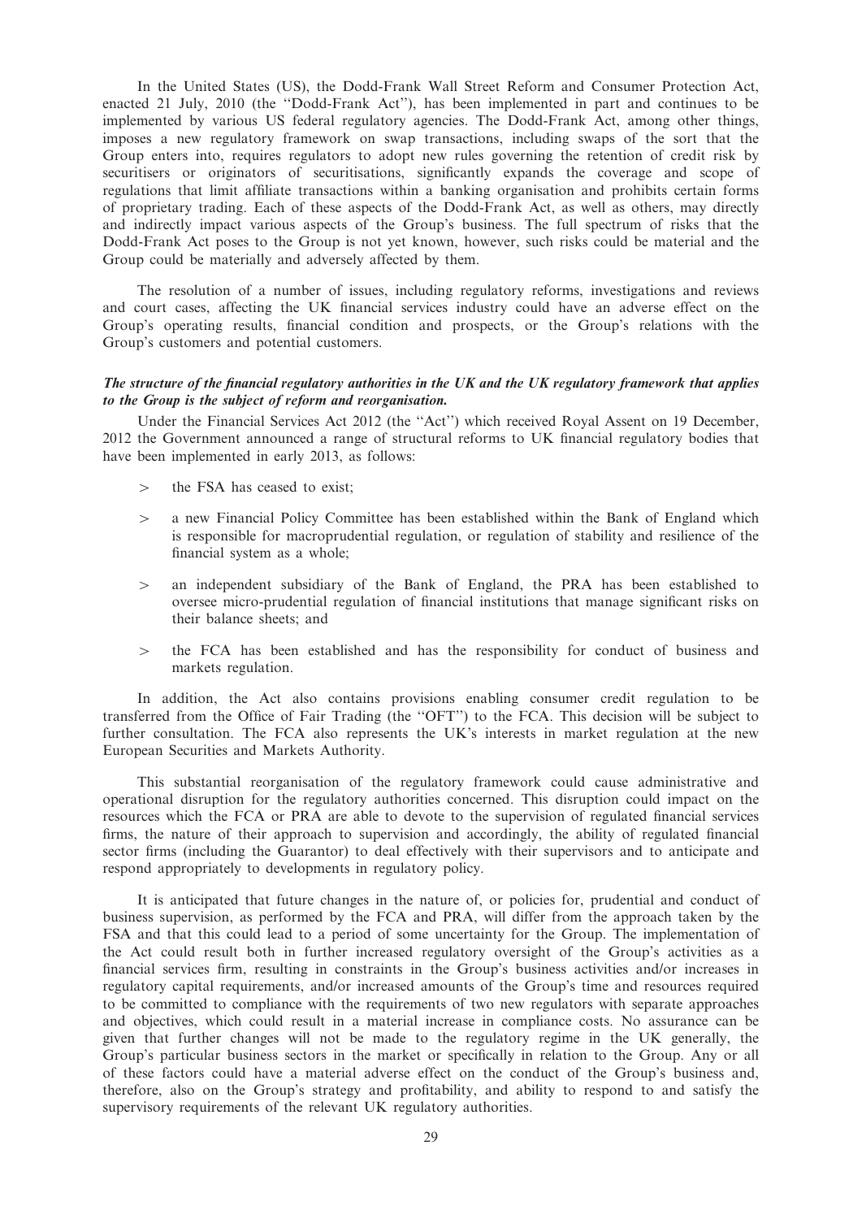In the United States (US), the Dodd-Frank Wall Street Reform and Consumer Protection Act, enacted 21 July, 2010 (the ''Dodd-Frank Act''), has been implemented in part and continues to be implemented by various US federal regulatory agencies. The Dodd-Frank Act, among other things, imposes a new regulatory framework on swap transactions, including swaps of the sort that the Group enters into, requires regulators to adopt new rules governing the retention of credit risk by securitisers or originators of securitisations, significantly expands the coverage and scope of regulations that limit affiliate transactions within a banking organisation and prohibits certain forms of proprietary trading. Each of these aspects of the Dodd-Frank Act, as well as others, may directly and indirectly impact various aspects of the Group's business. The full spectrum of risks that the Dodd-Frank Act poses to the Group is not yet known, however, such risks could be material and the Group could be materially and adversely affected by them.

The resolution of a number of issues, including regulatory reforms, investigations and reviews and court cases, affecting the UK financial services industry could have an adverse effect on the Group's operating results, financial condition and prospects, or the Group's relations with the Group's customers and potential customers.

## The structure of the financial regulatory authorities in the UK and the UK regulatory framework that applies to the Group is the subject of reform and reorganisation.

Under the Financial Services Act 2012 (the ''Act'') which received Royal Assent on 19 December, 2012 the Government announced a range of structural reforms to UK financial regulatory bodies that have been implemented in early 2013, as follows:

- the FSA has ceased to exist:
- $\geq$  a new Financial Policy Committee has been established within the Bank of England which is responsible for macroprudential regulation, or regulation of stability and resilience of the financial system as a whole;
- $>$  an independent subsidiary of the Bank of England, the PRA has been established to oversee micro-prudential regulation of financial institutions that manage significant risks on their balance sheets; and
- $\geq$  the FCA has been established and has the responsibility for conduct of business and markets regulation.

In addition, the Act also contains provisions enabling consumer credit regulation to be transferred from the Office of Fair Trading (the ''OFT'') to the FCA. This decision will be subject to further consultation. The FCA also represents the UK's interests in market regulation at the new European Securities and Markets Authority.

This substantial reorganisation of the regulatory framework could cause administrative and operational disruption for the regulatory authorities concerned. This disruption could impact on the resources which the FCA or PRA are able to devote to the supervision of regulated financial services firms, the nature of their approach to supervision and accordingly, the ability of regulated financial sector firms (including the Guarantor) to deal effectively with their supervisors and to anticipate and respond appropriately to developments in regulatory policy.

It is anticipated that future changes in the nature of, or policies for, prudential and conduct of business supervision, as performed by the FCA and PRA, will differ from the approach taken by the FSA and that this could lead to a period of some uncertainty for the Group. The implementation of the Act could result both in further increased regulatory oversight of the Group's activities as a financial services firm, resulting in constraints in the Group's business activities and/or increases in regulatory capital requirements, and/or increased amounts of the Group's time and resources required to be committed to compliance with the requirements of two new regulators with separate approaches and objectives, which could result in a material increase in compliance costs. No assurance can be given that further changes will not be made to the regulatory regime in the UK generally, the Group's particular business sectors in the market or specifically in relation to the Group. Any or all of these factors could have a material adverse effect on the conduct of the Group's business and, therefore, also on the Group's strategy and profitability, and ability to respond to and satisfy the supervisory requirements of the relevant UK regulatory authorities.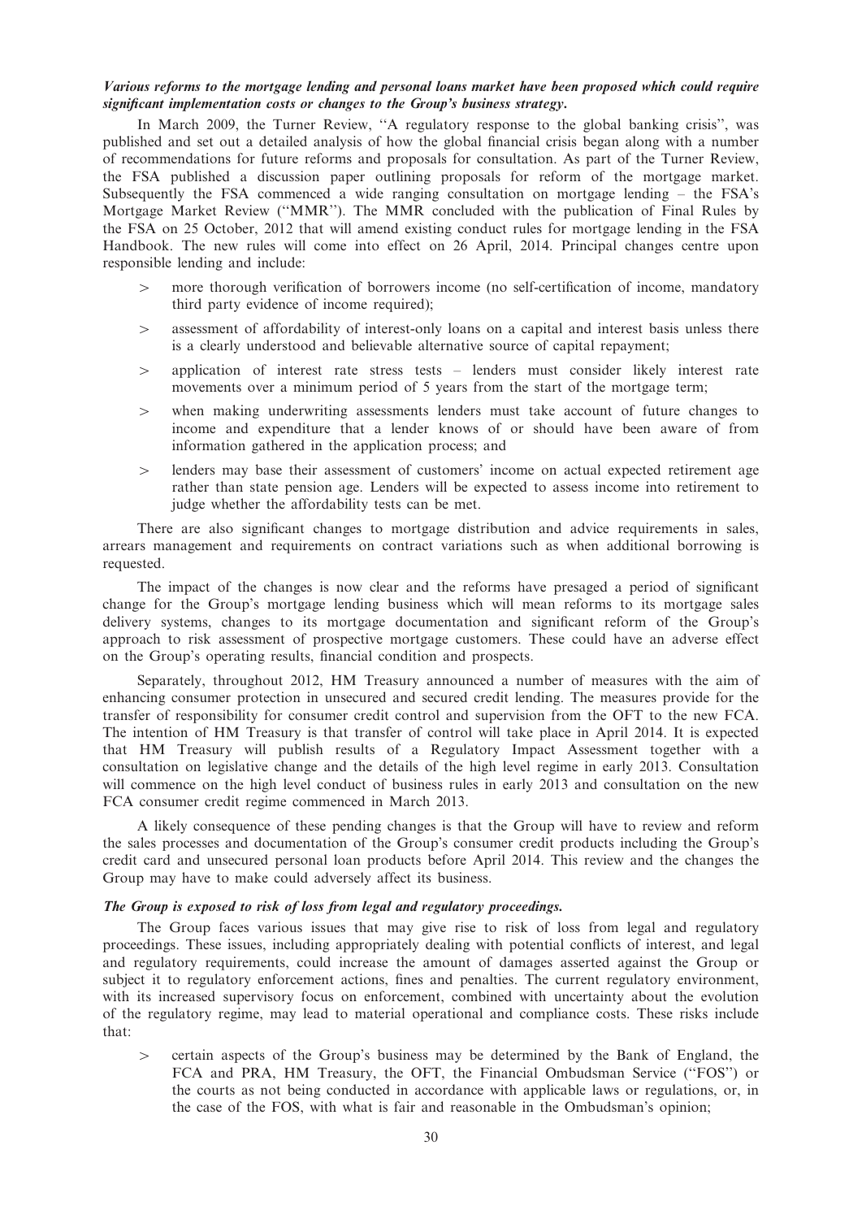## Various reforms to the mortgage lending and personal loans market have been proposed which could require significant implementation costs or changes to the Group's business strategy.

In March 2009, the Turner Review, ''A regulatory response to the global banking crisis'', was published and set out a detailed analysis of how the global financial crisis began along with a number of recommendations for future reforms and proposals for consultation. As part of the Turner Review, the FSA published a discussion paper outlining proposals for reform of the mortgage market. Subsequently the FSA commenced a wide ranging consultation on mortgage lending – the FSA's Mortgage Market Review (''MMR''). The MMR concluded with the publication of Final Rules by the FSA on 25 October, 2012 that will amend existing conduct rules for mortgage lending in the FSA Handbook. The new rules will come into effect on 26 April, 2014. Principal changes centre upon responsible lending and include:

- $>$  more thorough verification of borrowers income (no self-certification of income, mandatory third party evidence of income required);
- $\geq$  assessment of affordability of interest-only loans on a capital and interest basis unless there is a clearly understood and believable alternative source of capital repayment;
- 4 application of interest rate stress tests lenders must consider likely interest rate movements over a minimum period of 5 years from the start of the mortgage term;
- $\geq$  when making underwriting assessments lenders must take account of future changes to income and expenditure that a lender knows of or should have been aware of from information gathered in the application process; and
- $>$  lenders may base their assessment of customers' income on actual expected retirement age rather than state pension age. Lenders will be expected to assess income into retirement to judge whether the affordability tests can be met.

There are also significant changes to mortgage distribution and advice requirements in sales, arrears management and requirements on contract variations such as when additional borrowing is requested.

The impact of the changes is now clear and the reforms have presaged a period of significant change for the Group's mortgage lending business which will mean reforms to its mortgage sales delivery systems, changes to its mortgage documentation and significant reform of the Group's approach to risk assessment of prospective mortgage customers. These could have an adverse effect on the Group's operating results, financial condition and prospects.

Separately, throughout 2012, HM Treasury announced a number of measures with the aim of enhancing consumer protection in unsecured and secured credit lending. The measures provide for the transfer of responsibility for consumer credit control and supervision from the OFT to the new FCA. The intention of HM Treasury is that transfer of control will take place in April 2014. It is expected that HM Treasury will publish results of a Regulatory Impact Assessment together with a consultation on legislative change and the details of the high level regime in early 2013. Consultation will commence on the high level conduct of business rules in early 2013 and consultation on the new FCA consumer credit regime commenced in March 2013.

A likely consequence of these pending changes is that the Group will have to review and reform the sales processes and documentation of the Group's consumer credit products including the Group's credit card and unsecured personal loan products before April 2014. This review and the changes the Group may have to make could adversely affect its business.

#### The Group is exposed to risk of loss from legal and regulatory proceedings.

The Group faces various issues that may give rise to risk of loss from legal and regulatory proceedings. These issues, including appropriately dealing with potential conflicts of interest, and legal and regulatory requirements, could increase the amount of damages asserted against the Group or subject it to regulatory enforcement actions, fines and penalties. The current regulatory environment, with its increased supervisory focus on enforcement, combined with uncertainty about the evolution of the regulatory regime, may lead to material operational and compliance costs. These risks include that:

 $\ge$  certain aspects of the Group's business may be determined by the Bank of England, the FCA and PRA, HM Treasury, the OFT, the Financial Ombudsman Service ("FOS") or the courts as not being conducted in accordance with applicable laws or regulations, or, in the case of the FOS, with what is fair and reasonable in the Ombudsman's opinion;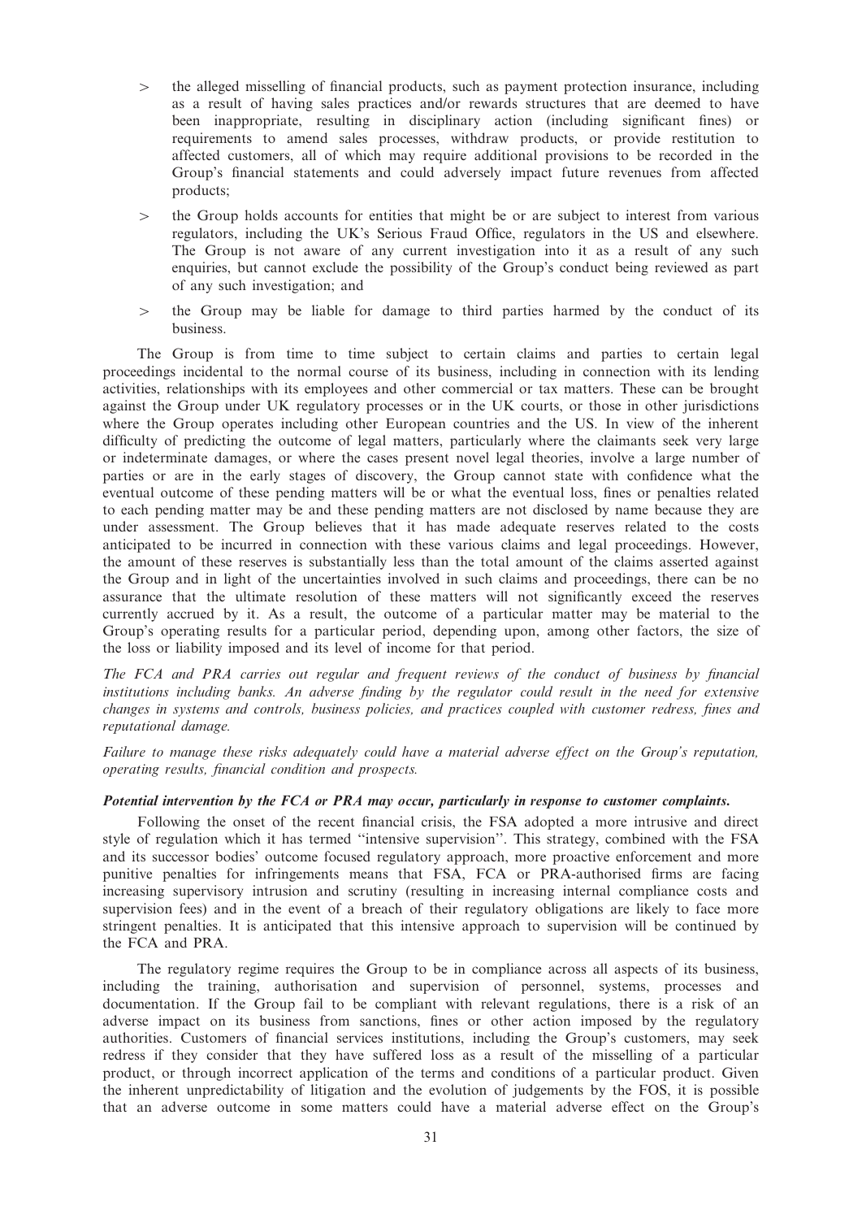- $\geq$  the alleged misselling of financial products, such as payment protection insurance, including as a result of having sales practices and/or rewards structures that are deemed to have been inappropriate, resulting in disciplinary action (including significant fines) or requirements to amend sales processes, withdraw products, or provide restitution to affected customers, all of which may require additional provisions to be recorded in the Group's financial statements and could adversely impact future revenues from affected products;
- $\geq$  the Group holds accounts for entities that might be or are subject to interest from various regulators, including the UK's Serious Fraud Office, regulators in the US and elsewhere. The Group is not aware of any current investigation into it as a result of any such enquiries, but cannot exclude the possibility of the Group's conduct being reviewed as part of any such investigation; and
- $\geq$  the Group may be liable for damage to third parties harmed by the conduct of its business.

The Group is from time to time subject to certain claims and parties to certain legal proceedings incidental to the normal course of its business, including in connection with its lending activities, relationships with its employees and other commercial or tax matters. These can be brought against the Group under UK regulatory processes or in the UK courts, or those in other jurisdictions where the Group operates including other European countries and the US. In view of the inherent difficulty of predicting the outcome of legal matters, particularly where the claimants seek very large or indeterminate damages, or where the cases present novel legal theories, involve a large number of parties or are in the early stages of discovery, the Group cannot state with confidence what the eventual outcome of these pending matters will be or what the eventual loss, fines or penalties related to each pending matter may be and these pending matters are not disclosed by name because they are under assessment. The Group believes that it has made adequate reserves related to the costs anticipated to be incurred in connection with these various claims and legal proceedings. However, the amount of these reserves is substantially less than the total amount of the claims asserted against the Group and in light of the uncertainties involved in such claims and proceedings, there can be no assurance that the ultimate resolution of these matters will not significantly exceed the reserves currently accrued by it. As a result, the outcome of a particular matter may be material to the Group's operating results for a particular period, depending upon, among other factors, the size of the loss or liability imposed and its level of income for that period.

The FCA and PRA carries out regular and frequent reviews of the conduct of business by financial institutions including banks. An adverse finding by the regulator could result in the need for extensive changes in systems and controls, business policies, and practices coupled with customer redress, fines and reputational damage.

Failure to manage these risks adequately could have a material adverse effect on the Group's reputation, operating results, financial condition and prospects.

## Potential intervention by the FCA or PRA may occur, particularly in response to customer complaints.

Following the onset of the recent financial crisis, the FSA adopted a more intrusive and direct style of regulation which it has termed ''intensive supervision''. This strategy, combined with the FSA and its successor bodies' outcome focused regulatory approach, more proactive enforcement and more punitive penalties for infringements means that FSA, FCA or PRA-authorised firms are facing increasing supervisory intrusion and scrutiny (resulting in increasing internal compliance costs and supervision fees) and in the event of a breach of their regulatory obligations are likely to face more stringent penalties. It is anticipated that this intensive approach to supervision will be continued by the FCA and PRA.

The regulatory regime requires the Group to be in compliance across all aspects of its business, including the training, authorisation and supervision of personnel, systems, processes and documentation. If the Group fail to be compliant with relevant regulations, there is a risk of an adverse impact on its business from sanctions, fines or other action imposed by the regulatory authorities. Customers of financial services institutions, including the Group's customers, may seek redress if they consider that they have suffered loss as a result of the misselling of a particular product, or through incorrect application of the terms and conditions of a particular product. Given the inherent unpredictability of litigation and the evolution of judgements by the FOS, it is possible that an adverse outcome in some matters could have a material adverse effect on the Group's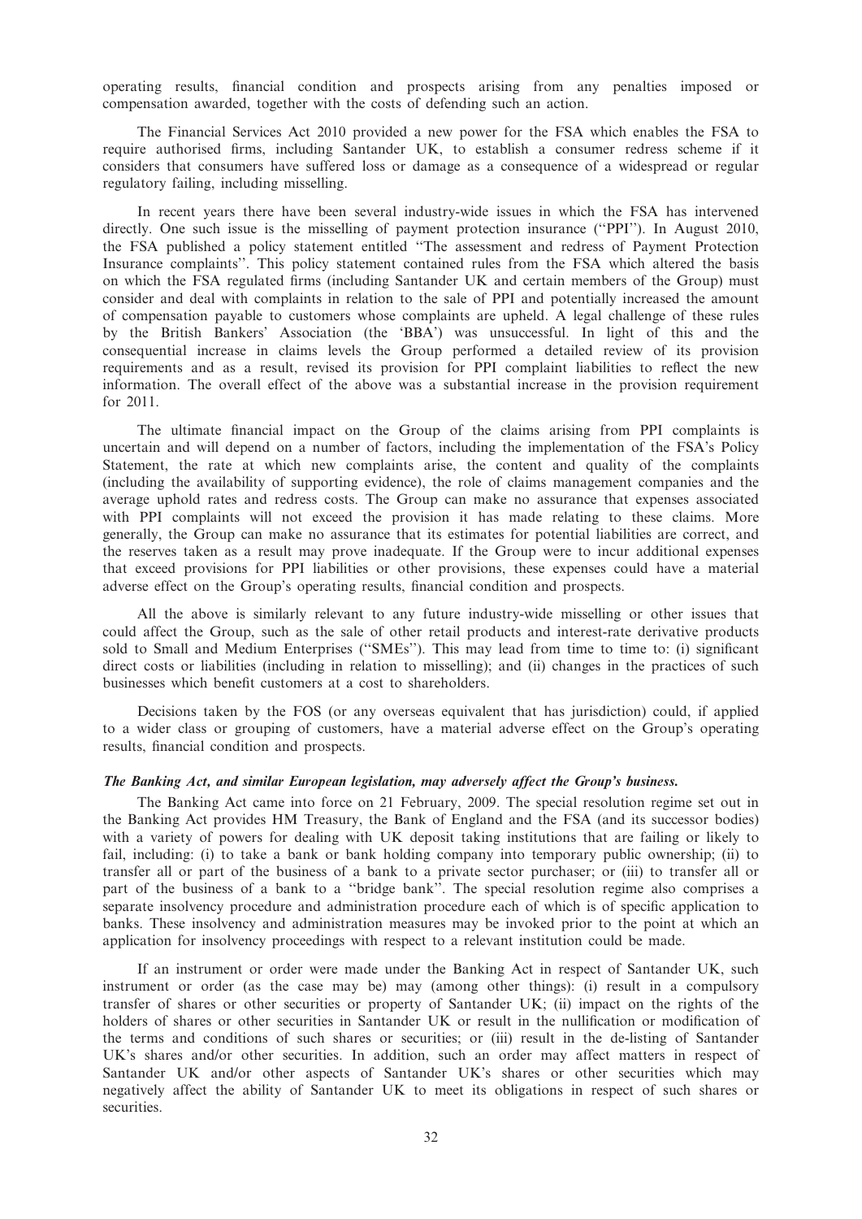operating results, financial condition and prospects arising from any penalties imposed or compensation awarded, together with the costs of defending such an action.

The Financial Services Act 2010 provided a new power for the FSA which enables the FSA to require authorised firms, including Santander UK, to establish a consumer redress scheme if it considers that consumers have suffered loss or damage as a consequence of a widespread or regular regulatory failing, including misselling.

In recent years there have been several industry-wide issues in which the FSA has intervened directly. One such issue is the misselling of payment protection insurance (''PPI''). In August 2010, the FSA published a policy statement entitled ''The assessment and redress of Payment Protection Insurance complaints''. This policy statement contained rules from the FSA which altered the basis on which the FSA regulated firms (including Santander UK and certain members of the Group) must consider and deal with complaints in relation to the sale of PPI and potentially increased the amount of compensation payable to customers whose complaints are upheld. A legal challenge of these rules by the British Bankers' Association (the 'BBA') was unsuccessful. In light of this and the consequential increase in claims levels the Group performed a detailed review of its provision requirements and as a result, revised its provision for PPI complaint liabilities to reflect the new information. The overall effect of the above was a substantial increase in the provision requirement for 2011.

The ultimate financial impact on the Group of the claims arising from PPI complaints is uncertain and will depend on a number of factors, including the implementation of the FSA's Policy Statement, the rate at which new complaints arise, the content and quality of the complaints (including the availability of supporting evidence), the role of claims management companies and the average uphold rates and redress costs. The Group can make no assurance that expenses associated with PPI complaints will not exceed the provision it has made relating to these claims. More generally, the Group can make no assurance that its estimates for potential liabilities are correct, and the reserves taken as a result may prove inadequate. If the Group were to incur additional expenses that exceed provisions for PPI liabilities or other provisions, these expenses could have a material adverse effect on the Group's operating results, financial condition and prospects.

All the above is similarly relevant to any future industry-wide misselling or other issues that could affect the Group, such as the sale of other retail products and interest-rate derivative products sold to Small and Medium Enterprises (''SMEs''). This may lead from time to time to: (i) significant direct costs or liabilities (including in relation to misselling); and (ii) changes in the practices of such businesses which benefit customers at a cost to shareholders.

Decisions taken by the FOS (or any overseas equivalent that has jurisdiction) could, if applied to a wider class or grouping of customers, have a material adverse effect on the Group's operating results, financial condition and prospects.

#### The Banking Act, and similar European legislation, may adversely affect the Group's business.

The Banking Act came into force on 21 February, 2009. The special resolution regime set out in the Banking Act provides HM Treasury, the Bank of England and the FSA (and its successor bodies) with a variety of powers for dealing with UK deposit taking institutions that are failing or likely to fail, including: (i) to take a bank or bank holding company into temporary public ownership; (ii) to transfer all or part of the business of a bank to a private sector purchaser; or (iii) to transfer all or part of the business of a bank to a ''bridge bank''. The special resolution regime also comprises a separate insolvency procedure and administration procedure each of which is of specific application to banks. These insolvency and administration measures may be invoked prior to the point at which an application for insolvency proceedings with respect to a relevant institution could be made.

If an instrument or order were made under the Banking Act in respect of Santander UK, such instrument or order (as the case may be) may (among other things): (i) result in a compulsory transfer of shares or other securities or property of Santander UK; (ii) impact on the rights of the holders of shares or other securities in Santander UK or result in the nullification or modification of the terms and conditions of such shares or securities; or (iii) result in the de-listing of Santander UK's shares and/or other securities. In addition, such an order may affect matters in respect of Santander UK and/or other aspects of Santander UK's shares or other securities which may negatively affect the ability of Santander UK to meet its obligations in respect of such shares or securities.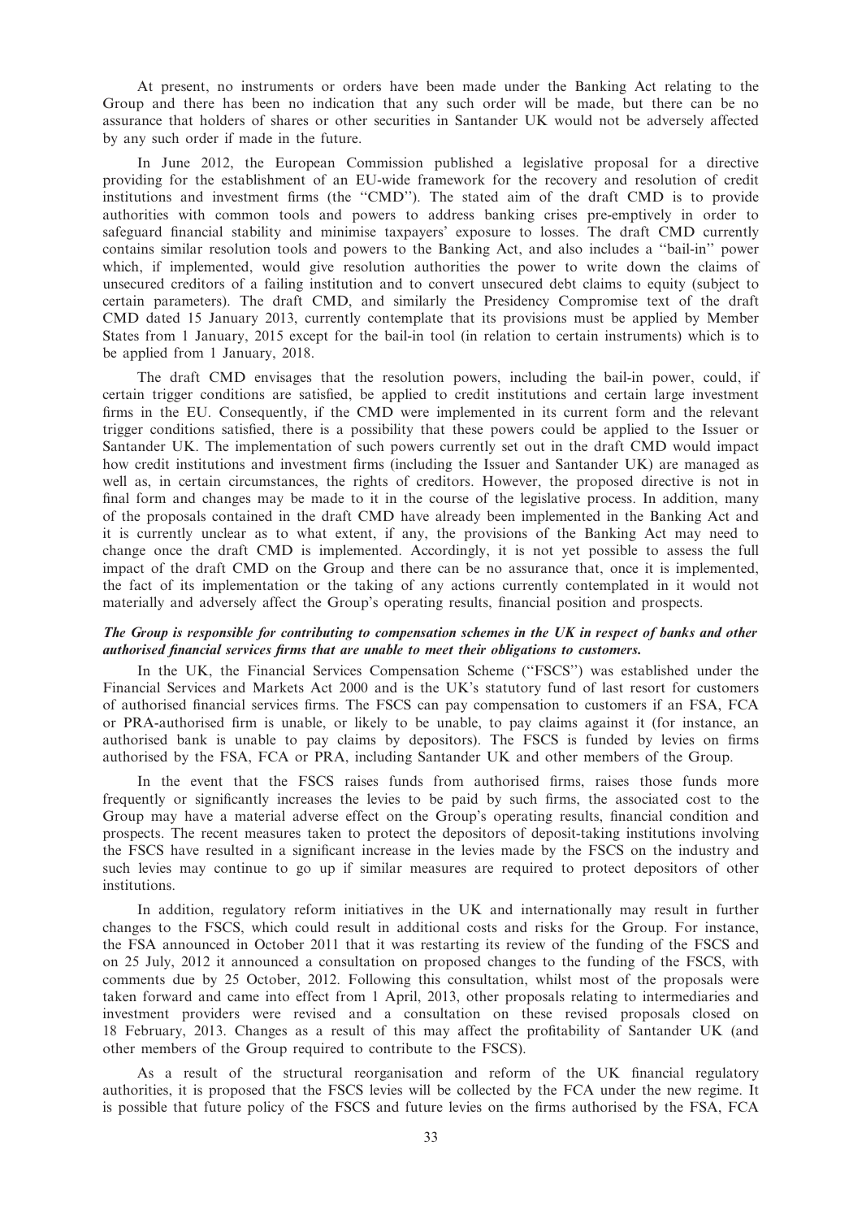At present, no instruments or orders have been made under the Banking Act relating to the Group and there has been no indication that any such order will be made, but there can be no assurance that holders of shares or other securities in Santander UK would not be adversely affected by any such order if made in the future.

In June 2012, the European Commission published a legislative proposal for a directive providing for the establishment of an EU-wide framework for the recovery and resolution of credit institutions and investment firms (the ''CMD''). The stated aim of the draft CMD is to provide authorities with common tools and powers to address banking crises pre-emptively in order to safeguard financial stability and minimise taxpayers' exposure to losses. The draft CMD currently contains similar resolution tools and powers to the Banking Act, and also includes a ''bail-in'' power which, if implemented, would give resolution authorities the power to write down the claims of unsecured creditors of a failing institution and to convert unsecured debt claims to equity (subject to certain parameters). The draft CMD, and similarly the Presidency Compromise text of the draft CMD dated 15 January 2013, currently contemplate that its provisions must be applied by Member States from 1 January, 2015 except for the bail-in tool (in relation to certain instruments) which is to be applied from 1 January, 2018.

The draft CMD envisages that the resolution powers, including the bail-in power, could, if certain trigger conditions are satisfied, be applied to credit institutions and certain large investment firms in the EU. Consequently, if the CMD were implemented in its current form and the relevant trigger conditions satisfied, there is a possibility that these powers could be applied to the Issuer or Santander UK. The implementation of such powers currently set out in the draft CMD would impact how credit institutions and investment firms (including the Issuer and Santander UK) are managed as well as, in certain circumstances, the rights of creditors. However, the proposed directive is not in final form and changes may be made to it in the course of the legislative process. In addition, many of the proposals contained in the draft CMD have already been implemented in the Banking Act and it is currently unclear as to what extent, if any, the provisions of the Banking Act may need to change once the draft CMD is implemented. Accordingly, it is not yet possible to assess the full impact of the draft CMD on the Group and there can be no assurance that, once it is implemented, the fact of its implementation or the taking of any actions currently contemplated in it would not materially and adversely affect the Group's operating results, financial position and prospects.

#### The Group is responsible for contributing to compensation schemes in the UK in respect of banks and other authorised financial services firms that are unable to meet their obligations to customers.

In the UK, the Financial Services Compensation Scheme (''FSCS'') was established under the Financial Services and Markets Act 2000 and is the UK's statutory fund of last resort for customers of authorised financial services firms. The FSCS can pay compensation to customers if an FSA, FCA or PRA-authorised firm is unable, or likely to be unable, to pay claims against it (for instance, an authorised bank is unable to pay claims by depositors). The FSCS is funded by levies on firms authorised by the FSA, FCA or PRA, including Santander UK and other members of the Group.

In the event that the FSCS raises funds from authorised firms, raises those funds more frequently or significantly increases the levies to be paid by such firms, the associated cost to the Group may have a material adverse effect on the Group's operating results, financial condition and prospects. The recent measures taken to protect the depositors of deposit-taking institutions involving the FSCS have resulted in a significant increase in the levies made by the FSCS on the industry and such levies may continue to go up if similar measures are required to protect depositors of other institutions.

In addition, regulatory reform initiatives in the UK and internationally may result in further changes to the FSCS, which could result in additional costs and risks for the Group. For instance, the FSA announced in October 2011 that it was restarting its review of the funding of the FSCS and on 25 July, 2012 it announced a consultation on proposed changes to the funding of the FSCS, with comments due by 25 October, 2012. Following this consultation, whilst most of the proposals were taken forward and came into effect from 1 April, 2013, other proposals relating to intermediaries and investment providers were revised and a consultation on these revised proposals closed on 18 February, 2013. Changes as a result of this may affect the profitability of Santander UK (and other members of the Group required to contribute to the FSCS).

As a result of the structural reorganisation and reform of the UK financial regulatory authorities, it is proposed that the FSCS levies will be collected by the FCA under the new regime. It is possible that future policy of the FSCS and future levies on the firms authorised by the FSA, FCA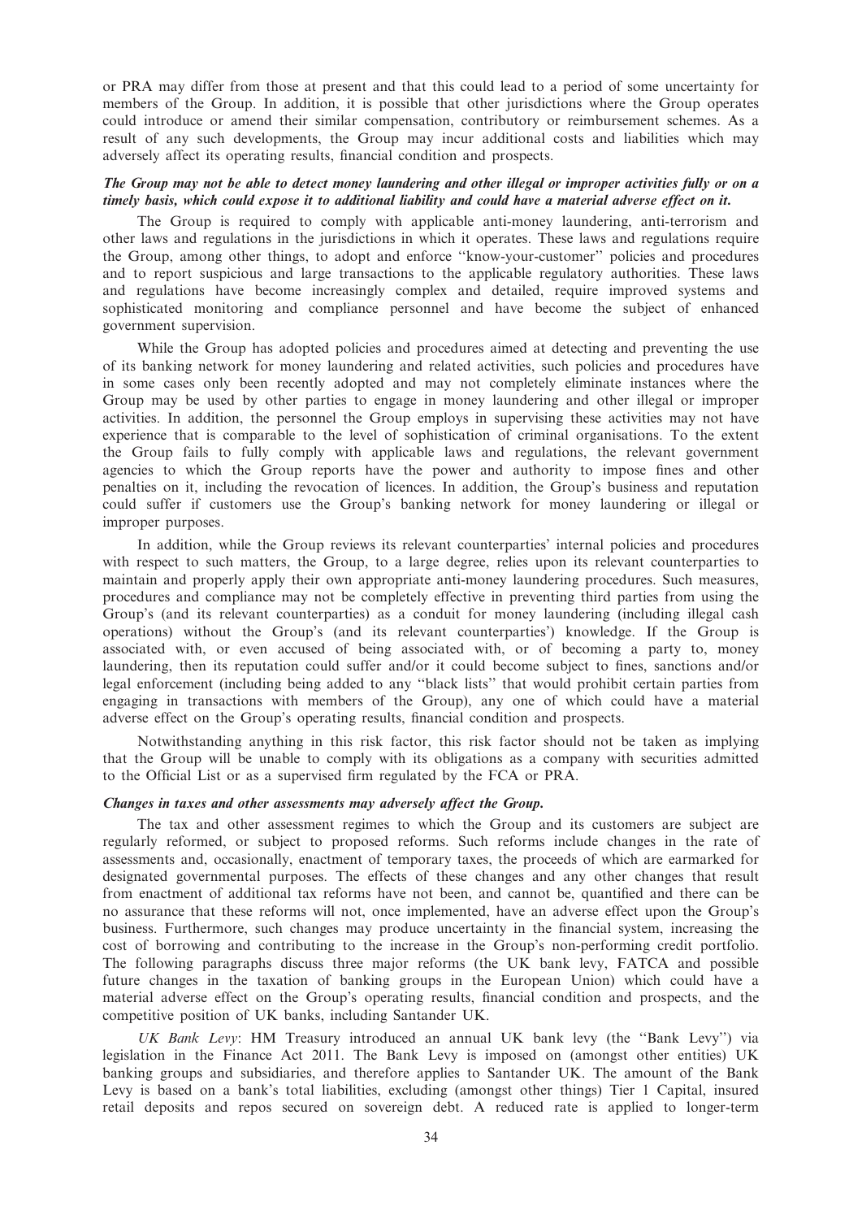or PRA may differ from those at present and that this could lead to a period of some uncertainty for members of the Group. In addition, it is possible that other jurisdictions where the Group operates could introduce or amend their similar compensation, contributory or reimbursement schemes. As a result of any such developments, the Group may incur additional costs and liabilities which may adversely affect its operating results, financial condition and prospects.

## The Group may not be able to detect money laundering and other illegal or improper activities fully or on a timely basis, which could expose it to additional liability and could have a material adverse effect on it.

The Group is required to comply with applicable anti-money laundering, anti-terrorism and other laws and regulations in the jurisdictions in which it operates. These laws and regulations require the Group, among other things, to adopt and enforce ''know-your-customer'' policies and procedures and to report suspicious and large transactions to the applicable regulatory authorities. These laws and regulations have become increasingly complex and detailed, require improved systems and sophisticated monitoring and compliance personnel and have become the subject of enhanced government supervision.

While the Group has adopted policies and procedures aimed at detecting and preventing the use of its banking network for money laundering and related activities, such policies and procedures have in some cases only been recently adopted and may not completely eliminate instances where the Group may be used by other parties to engage in money laundering and other illegal or improper activities. In addition, the personnel the Group employs in supervising these activities may not have experience that is comparable to the level of sophistication of criminal organisations. To the extent the Group fails to fully comply with applicable laws and regulations, the relevant government agencies to which the Group reports have the power and authority to impose fines and other penalties on it, including the revocation of licences. In addition, the Group's business and reputation could suffer if customers use the Group's banking network for money laundering or illegal or improper purposes.

In addition, while the Group reviews its relevant counterparties' internal policies and procedures with respect to such matters, the Group, to a large degree, relies upon its relevant counterparties to maintain and properly apply their own appropriate anti-money laundering procedures. Such measures, procedures and compliance may not be completely effective in preventing third parties from using the Group's (and its relevant counterparties) as a conduit for money laundering (including illegal cash operations) without the Group's (and its relevant counterparties') knowledge. If the Group is associated with, or even accused of being associated with, or of becoming a party to, money laundering, then its reputation could suffer and/or it could become subject to fines, sanctions and/or legal enforcement (including being added to any ''black lists'' that would prohibit certain parties from engaging in transactions with members of the Group), any one of which could have a material adverse effect on the Group's operating results, financial condition and prospects.

Notwithstanding anything in this risk factor, this risk factor should not be taken as implying that the Group will be unable to comply with its obligations as a company with securities admitted to the Official List or as a supervised firm regulated by the FCA or PRA.

#### Changes in taxes and other assessments may adversely affect the Group.

The tax and other assessment regimes to which the Group and its customers are subject are regularly reformed, or subject to proposed reforms. Such reforms include changes in the rate of assessments and, occasionally, enactment of temporary taxes, the proceeds of which are earmarked for designated governmental purposes. The effects of these changes and any other changes that result from enactment of additional tax reforms have not been, and cannot be, quantified and there can be no assurance that these reforms will not, once implemented, have an adverse effect upon the Group's business. Furthermore, such changes may produce uncertainty in the financial system, increasing the cost of borrowing and contributing to the increase in the Group's non-performing credit portfolio. The following paragraphs discuss three major reforms (the UK bank levy, FATCA and possible future changes in the taxation of banking groups in the European Union) which could have a material adverse effect on the Group's operating results, financial condition and prospects, and the competitive position of UK banks, including Santander UK.

UK Bank Levy: HM Treasury introduced an annual UK bank levy (the ''Bank Levy'') via legislation in the Finance Act 2011. The Bank Levy is imposed on (amongst other entities) UK banking groups and subsidiaries, and therefore applies to Santander UK. The amount of the Bank Levy is based on a bank's total liabilities, excluding (amongst other things) Tier 1 Capital, insured retail deposits and repos secured on sovereign debt. A reduced rate is applied to longer-term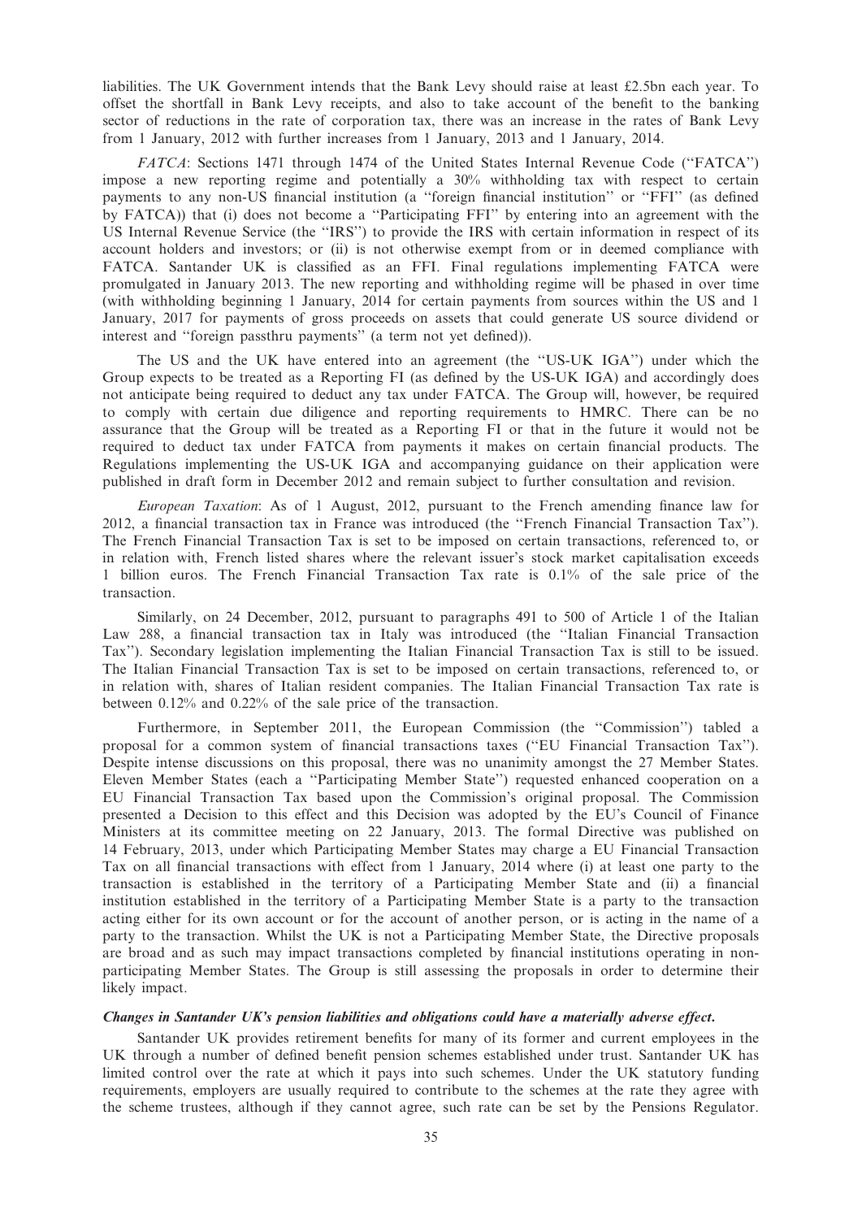liabilities. The UK Government intends that the Bank Levy should raise at least £2.5bn each year. To offset the shortfall in Bank Levy receipts, and also to take account of the benefit to the banking sector of reductions in the rate of corporation tax, there was an increase in the rates of Bank Levy from 1 January, 2012 with further increases from 1 January, 2013 and 1 January, 2014.

FATCA: Sections 1471 through 1474 of the United States Internal Revenue Code (''FATCA'') impose a new reporting regime and potentially a 30% withholding tax with respect to certain payments to any non-US financial institution (a ''foreign financial institution'' or ''FFI'' (as defined by FATCA)) that (i) does not become a ''Participating FFI'' by entering into an agreement with the US Internal Revenue Service (the ''IRS'') to provide the IRS with certain information in respect of its account holders and investors; or (ii) is not otherwise exempt from or in deemed compliance with FATCA. Santander UK is classified as an FFI. Final regulations implementing FATCA were promulgated in January 2013. The new reporting and withholding regime will be phased in over time (with withholding beginning 1 January, 2014 for certain payments from sources within the US and 1 January, 2017 for payments of gross proceeds on assets that could generate US source dividend or interest and ''foreign passthru payments'' (a term not yet defined)).

The US and the UK have entered into an agreement (the ''US-UK IGA'') under which the Group expects to be treated as a Reporting FI (as defined by the US-UK IGA) and accordingly does not anticipate being required to deduct any tax under FATCA. The Group will, however, be required to comply with certain due diligence and reporting requirements to HMRC. There can be no assurance that the Group will be treated as a Reporting FI or that in the future it would not be required to deduct tax under FATCA from payments it makes on certain financial products. The Regulations implementing the US-UK IGA and accompanying guidance on their application were published in draft form in December 2012 and remain subject to further consultation and revision.

European Taxation: As of 1 August, 2012, pursuant to the French amending finance law for 2012, a financial transaction tax in France was introduced (the ''French Financial Transaction Tax''). The French Financial Transaction Tax is set to be imposed on certain transactions, referenced to, or in relation with, French listed shares where the relevant issuer's stock market capitalisation exceeds 1 billion euros. The French Financial Transaction Tax rate is 0.1% of the sale price of the transaction.

Similarly, on 24 December, 2012, pursuant to paragraphs 491 to 500 of Article 1 of the Italian Law 288, a financial transaction tax in Italy was introduced (the ''Italian Financial Transaction Tax''). Secondary legislation implementing the Italian Financial Transaction Tax is still to be issued. The Italian Financial Transaction Tax is set to be imposed on certain transactions, referenced to, or in relation with, shares of Italian resident companies. The Italian Financial Transaction Tax rate is between 0.12% and 0.22% of the sale price of the transaction.

Furthermore, in September 2011, the European Commission (the ''Commission'') tabled a proposal for a common system of financial transactions taxes (''EU Financial Transaction Tax''). Despite intense discussions on this proposal, there was no unanimity amongst the 27 Member States. Eleven Member States (each a ''Participating Member State'') requested enhanced cooperation on a EU Financial Transaction Tax based upon the Commission's original proposal. The Commission presented a Decision to this effect and this Decision was adopted by the EU's Council of Finance Ministers at its committee meeting on 22 January, 2013. The formal Directive was published on 14 February, 2013, under which Participating Member States may charge a EU Financial Transaction Tax on all financial transactions with effect from 1 January, 2014 where (i) at least one party to the transaction is established in the territory of a Participating Member State and (ii) a financial institution established in the territory of a Participating Member State is a party to the transaction acting either for its own account or for the account of another person, or is acting in the name of a party to the transaction. Whilst the UK is not a Participating Member State, the Directive proposals are broad and as such may impact transactions completed by financial institutions operating in nonparticipating Member States. The Group is still assessing the proposals in order to determine their likely impact.

#### Changes in Santander UK's pension liabilities and obligations could have a materially adverse effect.

Santander UK provides retirement benefits for many of its former and current employees in the UK through a number of defined benefit pension schemes established under trust. Santander UK has limited control over the rate at which it pays into such schemes. Under the UK statutory funding requirements, employers are usually required to contribute to the schemes at the rate they agree with the scheme trustees, although if they cannot agree, such rate can be set by the Pensions Regulator.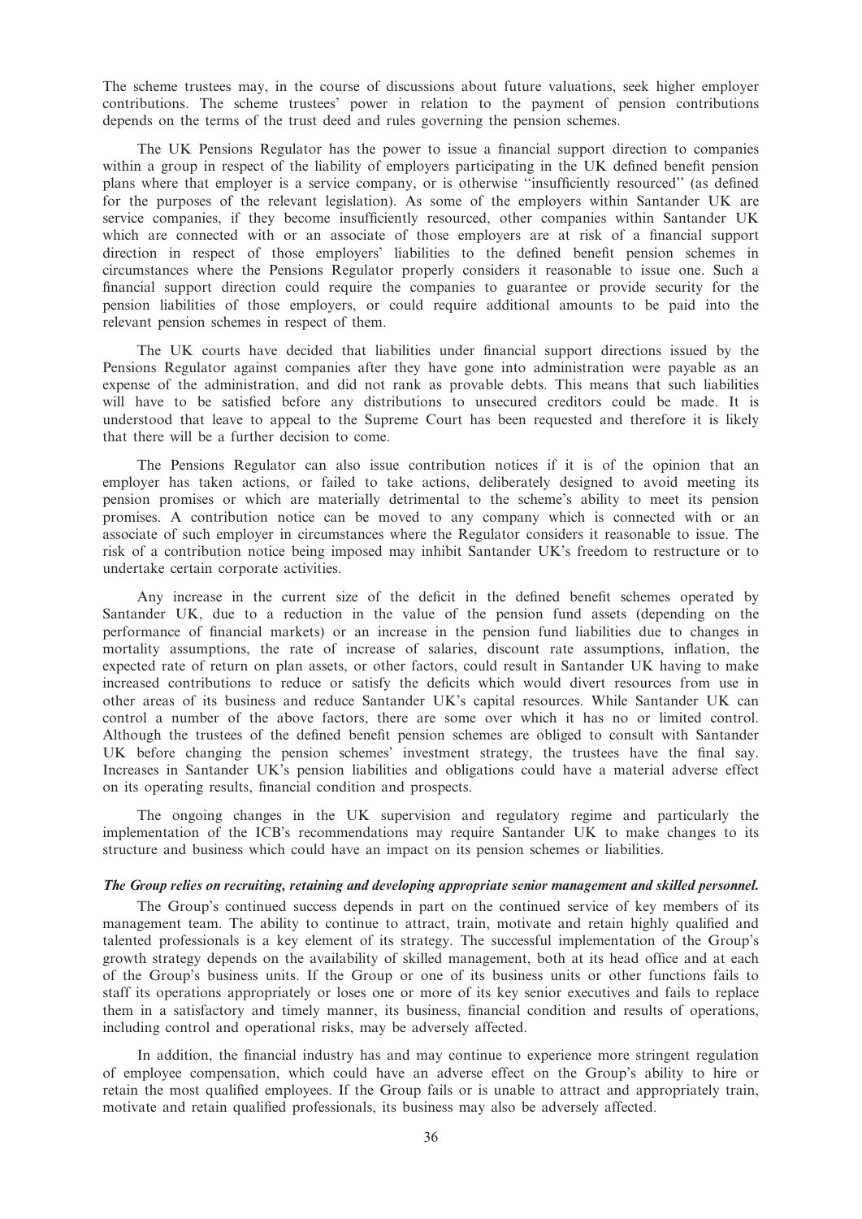The scheme trustees may, in the course of discussions about future valuations, seek higher employer contributions. The scheme trustees' power in relation to the payment of pension contributions depends on the terms of the trust deed and rules governing the pension schemes.

The UK Pensions Regulator has the power to issue a financial support direction to companies within a group in respect of the liability of employers participating in the UK defined benefit pension plans where that employer is a service company, or is otherwise ''insufficiently resourced'' (as defined for the purposes of the relevant legislation). As some of the employers within Santander UK are service companies, if they become insufficiently resourced, other companies within Santander UK which are connected with or an associate of those employers are at risk of a financial support direction in respect of those employers' liabilities to the defined benefit pension schemes in circumstances where the Pensions Regulator properly considers it reasonable to issue one. Such a financial support direction could require the companies to guarantee or provide security for the pension liabilities of those employers, or could require additional amounts to be paid into the relevant pension schemes in respect of them.

The UK courts have decided that liabilities under financial support directions issued by the Pensions Regulator against companies after they have gone into administration were payable as an expense of the administration, and did not rank as provable debts. This means that such liabilities will have to be satisfied before any distributions to unsecured creditors could be made. It is understood that leave to appeal to the Supreme Court has been requested and therefore it is likely that there will be a further decision to come.

The Pensions Regulator can also issue contribution notices if it is of the opinion that an employer has taken actions, or failed to take actions, deliberately designed to avoid meeting its pension promises or which are materially detrimental to the scheme's ability to meet its pension promises. A contribution notice can be moved to any company which is connected with or an associate of such employer in circumstances where the Regulator considers it reasonable to issue. The risk of a contribution notice being imposed may inhibit Santander UK's freedom to restructure or to undertake certain corporate activities.

Any increase in the current size of the deficit in the defined benefit schemes operated by Santander UK, due to a reduction in the value of the pension fund assets (depending on the performance of financial markets) or an increase in the pension fund liabilities due to changes in mortality assumptions, the rate of increase of salaries, discount rate assumptions, inflation, the expected rate of return on plan assets, or other factors, could result in Santander UK having to make increased contributions to reduce or satisfy the deficits which would divert resources from use in other areas of its business and reduce Santander UK's capital resources. While Santander UK can control a number of the above factors, there are some over which it has no or limited control. Although the trustees of the defined benefit pension schemes are obliged to consult with Santander UK before changing the pension schemes' investment strategy, the trustees have the final say. Increases in Santander UK's pension liabilities and obligations could have a material adverse effect on its operating results, financial condition and prospects.

The ongoing changes in the UK supervision and regulatory regime and particularly the implementation of the ICB's recommendations may require Santander UK to make changes to its structure and business which could have an impact on its pension schemes or liabilities.

#### The Group relies on recruiting, retaining and developing appropriate senior management and skilled personnel.

The Group's continued success depends in part on the continued service of key members of its management team. The ability to continue to attract, train, motivate and retain highly qualified and talented professionals is a key element of its strategy. The successful implementation of the Group's growth strategy depends on the availability of skilled management, both at its head office and at each of the Group's business units. If the Group or one of its business units or other functions fails to staff its operations appropriately or loses one or more of its key senior executives and fails to replace them in a satisfactory and timely manner, its business, financial condition and results of operations, including control and operational risks, may be adversely affected.

In addition, the financial industry has and may continue to experience more stringent regulation of employee compensation, which could have an adverse effect on the Group's ability to hire or retain the most qualified employees. If the Group fails or is unable to attract and appropriately train, motivate and retain qualified professionals, its business may also be adversely affected.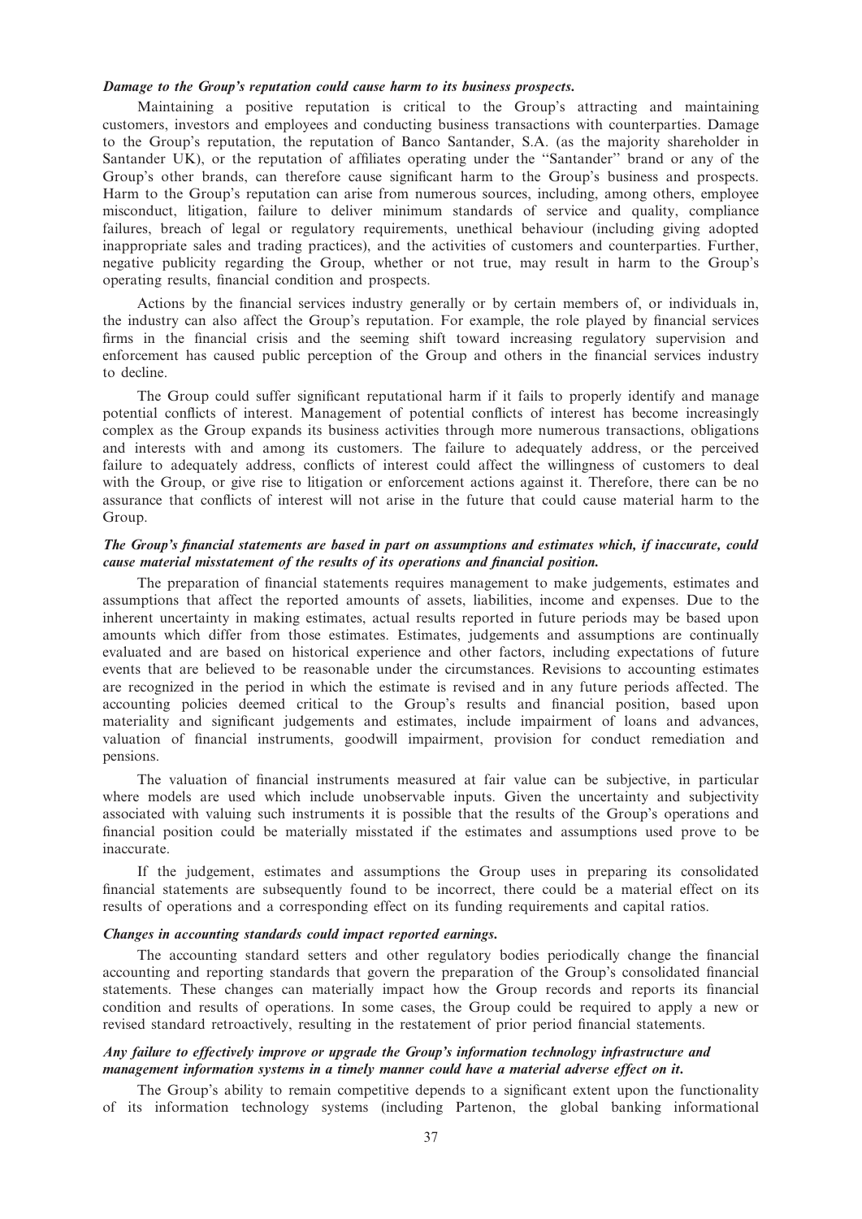## Damage to the Group's reputation could cause harm to its business prospects.

Maintaining a positive reputation is critical to the Group's attracting and maintaining customers, investors and employees and conducting business transactions with counterparties. Damage to the Group's reputation, the reputation of Banco Santander, S.A. (as the majority shareholder in Santander UK), or the reputation of affiliates operating under the ''Santander'' brand or any of the Group's other brands, can therefore cause significant harm to the Group's business and prospects. Harm to the Group's reputation can arise from numerous sources, including, among others, employee misconduct, litigation, failure to deliver minimum standards of service and quality, compliance failures, breach of legal or regulatory requirements, unethical behaviour (including giving adopted inappropriate sales and trading practices), and the activities of customers and counterparties. Further, negative publicity regarding the Group, whether or not true, may result in harm to the Group's operating results, financial condition and prospects.

Actions by the financial services industry generally or by certain members of, or individuals in, the industry can also affect the Group's reputation. For example, the role played by financial services firms in the financial crisis and the seeming shift toward increasing regulatory supervision and enforcement has caused public perception of the Group and others in the financial services industry to decline.

The Group could suffer significant reputational harm if it fails to properly identify and manage potential conflicts of interest. Management of potential conflicts of interest has become increasingly complex as the Group expands its business activities through more numerous transactions, obligations and interests with and among its customers. The failure to adequately address, or the perceived failure to adequately address, conflicts of interest could affect the willingness of customers to deal with the Group, or give rise to litigation or enforcement actions against it. Therefore, there can be no assurance that conflicts of interest will not arise in the future that could cause material harm to the Group.

## The Group's financial statements are based in part on assumptions and estimates which, if inaccurate, could cause material misstatement of the results of its operations and financial position.

The preparation of financial statements requires management to make judgements, estimates and assumptions that affect the reported amounts of assets, liabilities, income and expenses. Due to the inherent uncertainty in making estimates, actual results reported in future periods may be based upon amounts which differ from those estimates. Estimates, judgements and assumptions are continually evaluated and are based on historical experience and other factors, including expectations of future events that are believed to be reasonable under the circumstances. Revisions to accounting estimates are recognized in the period in which the estimate is revised and in any future periods affected. The accounting policies deemed critical to the Group's results and financial position, based upon materiality and significant judgements and estimates, include impairment of loans and advances, valuation of financial instruments, goodwill impairment, provision for conduct remediation and pensions.

The valuation of financial instruments measured at fair value can be subjective, in particular where models are used which include unobservable inputs. Given the uncertainty and subjectivity associated with valuing such instruments it is possible that the results of the Group's operations and financial position could be materially misstated if the estimates and assumptions used prove to be inaccurate.

If the judgement, estimates and assumptions the Group uses in preparing its consolidated financial statements are subsequently found to be incorrect, there could be a material effect on its results of operations and a corresponding effect on its funding requirements and capital ratios.

#### Changes in accounting standards could impact reported earnings.

The accounting standard setters and other regulatory bodies periodically change the financial accounting and reporting standards that govern the preparation of the Group's consolidated financial statements. These changes can materially impact how the Group records and reports its financial condition and results of operations. In some cases, the Group could be required to apply a new or revised standard retroactively, resulting in the restatement of prior period financial statements.

## Any failure to effectively improve or upgrade the Group's information technology infrastructure and management information systems in a timely manner could have a material adverse effect on it.

The Group's ability to remain competitive depends to a significant extent upon the functionality of its information technology systems (including Partenon, the global banking informational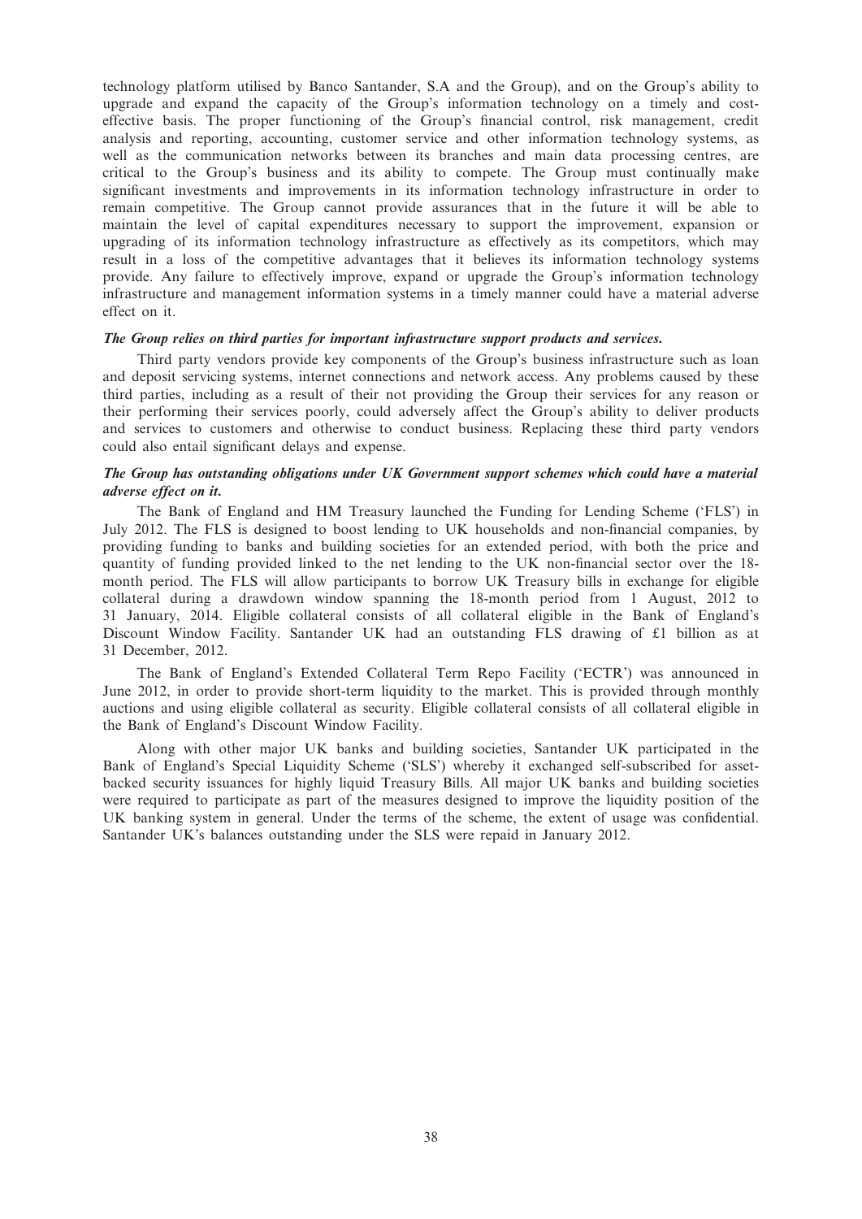technology platform utilised by Banco Santander, S.A and the Group), and on the Group's ability to upgrade and expand the capacity of the Group's information technology on a timely and costeffective basis. The proper functioning of the Group's financial control, risk management, credit analysis and reporting, accounting, customer service and other information technology systems, as well as the communication networks between its branches and main data processing centres, are critical to the Group's business and its ability to compete. The Group must continually make significant investments and improvements in its information technology infrastructure in order to remain competitive. The Group cannot provide assurances that in the future it will be able to maintain the level of capital expenditures necessary to support the improvement, expansion or upgrading of its information technology infrastructure as effectively as its competitors, which may result in a loss of the competitive advantages that it believes its information technology systems provide. Any failure to effectively improve, expand or upgrade the Group's information technology infrastructure and management information systems in a timely manner could have a material adverse effect on it.

## The Group relies on third parties for important infrastructure support products and services.

Third party vendors provide key components of the Group's business infrastructure such as loan and deposit servicing systems, internet connections and network access. Any problems caused by these third parties, including as a result of their not providing the Group their services for any reason or their performing their services poorly, could adversely affect the Group's ability to deliver products and services to customers and otherwise to conduct business. Replacing these third party vendors could also entail significant delays and expense.

## The Group has outstanding obligations under UK Government support schemes which could have a material adverse effect on it.

The Bank of England and HM Treasury launched the Funding for Lending Scheme ('FLS') in July 2012. The FLS is designed to boost lending to UK households and non-financial companies, by providing funding to banks and building societies for an extended period, with both the price and quantity of funding provided linked to the net lending to the UK non-financial sector over the 18 month period. The FLS will allow participants to borrow UK Treasury bills in exchange for eligible collateral during a drawdown window spanning the 18-month period from 1 August, 2012 to 31 January, 2014. Eligible collateral consists of all collateral eligible in the Bank of England's Discount Window Facility. Santander UK had an outstanding FLS drawing of £1 billion as at 31 December, 2012.

The Bank of England's Extended Collateral Term Repo Facility ('ECTR') was announced in June 2012, in order to provide short-term liquidity to the market. This is provided through monthly auctions and using eligible collateral as security. Eligible collateral consists of all collateral eligible in the Bank of England's Discount Window Facility.

Along with other major UK banks and building societies, Santander UK participated in the Bank of England's Special Liquidity Scheme ('SLS') whereby it exchanged self-subscribed for assetbacked security issuances for highly liquid Treasury Bills. All major UK banks and building societies were required to participate as part of the measures designed to improve the liquidity position of the UK banking system in general. Under the terms of the scheme, the extent of usage was confidential. Santander UK's balances outstanding under the SLS were repaid in January 2012.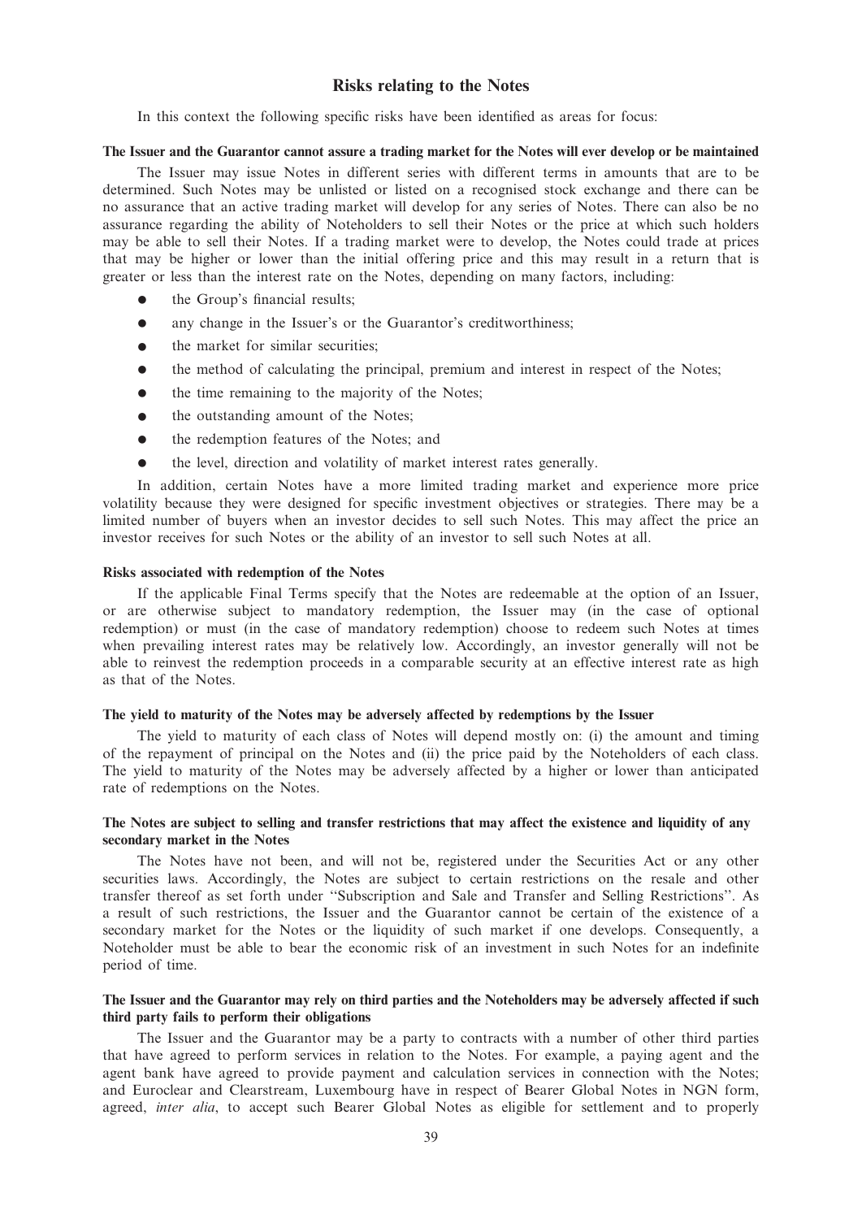## Risks relating to the Notes

In this context the following specific risks have been identified as areas for focus:

#### The Issuer and the Guarantor cannot assure a trading market for the Notes will ever develop or be maintained

The Issuer may issue Notes in different series with different terms in amounts that are to be determined. Such Notes may be unlisted or listed on a recognised stock exchange and there can be no assurance that an active trading market will develop for any series of Notes. There can also be no assurance regarding the ability of Noteholders to sell their Notes or the price at which such holders may be able to sell their Notes. If a trading market were to develop, the Notes could trade at prices that may be higher or lower than the initial offering price and this may result in a return that is greater or less than the interest rate on the Notes, depending on many factors, including:

- $\bullet$  the Group's financial results;
- any change in the Issuer's or the Guarantor's creditworthiness;
- the market for similar securities:
- the method of calculating the principal, premium and interest in respect of the Notes;
- $\bullet$  the time remaining to the majority of the Notes;
- the outstanding amount of the Notes;
- the redemption features of the Notes; and
- $\bullet$  the level, direction and volatility of market interest rates generally.

In addition, certain Notes have a more limited trading market and experience more price volatility because they were designed for specific investment objectives or strategies. There may be a limited number of buyers when an investor decides to sell such Notes. This may affect the price an investor receives for such Notes or the ability of an investor to sell such Notes at all.

#### Risks associated with redemption of the Notes

If the applicable Final Terms specify that the Notes are redeemable at the option of an Issuer, or are otherwise subject to mandatory redemption, the Issuer may (in the case of optional redemption) or must (in the case of mandatory redemption) choose to redeem such Notes at times when prevailing interest rates may be relatively low. Accordingly, an investor generally will not be able to reinvest the redemption proceeds in a comparable security at an effective interest rate as high as that of the Notes.

#### The yield to maturity of the Notes may be adversely affected by redemptions by the Issuer

The yield to maturity of each class of Notes will depend mostly on: (i) the amount and timing of the repayment of principal on the Notes and (ii) the price paid by the Noteholders of each class. The yield to maturity of the Notes may be adversely affected by a higher or lower than anticipated rate of redemptions on the Notes.

## The Notes are subject to selling and transfer restrictions that may affect the existence and liquidity of any secondary market in the Notes

The Notes have not been, and will not be, registered under the Securities Act or any other securities laws. Accordingly, the Notes are subject to certain restrictions on the resale and other transfer thereof as set forth under ''Subscription and Sale and Transfer and Selling Restrictions''. As a result of such restrictions, the Issuer and the Guarantor cannot be certain of the existence of a secondary market for the Notes or the liquidity of such market if one develops. Consequently, a Noteholder must be able to bear the economic risk of an investment in such Notes for an indefinite period of time.

## The Issuer and the Guarantor may rely on third parties and the Noteholders may be adversely affected if such third party fails to perform their obligations

The Issuer and the Guarantor may be a party to contracts with a number of other third parties that have agreed to perform services in relation to the Notes. For example, a paying agent and the agent bank have agreed to provide payment and calculation services in connection with the Notes; and Euroclear and Clearstream, Luxembourg have in respect of Bearer Global Notes in NGN form, agreed, inter alia, to accept such Bearer Global Notes as eligible for settlement and to properly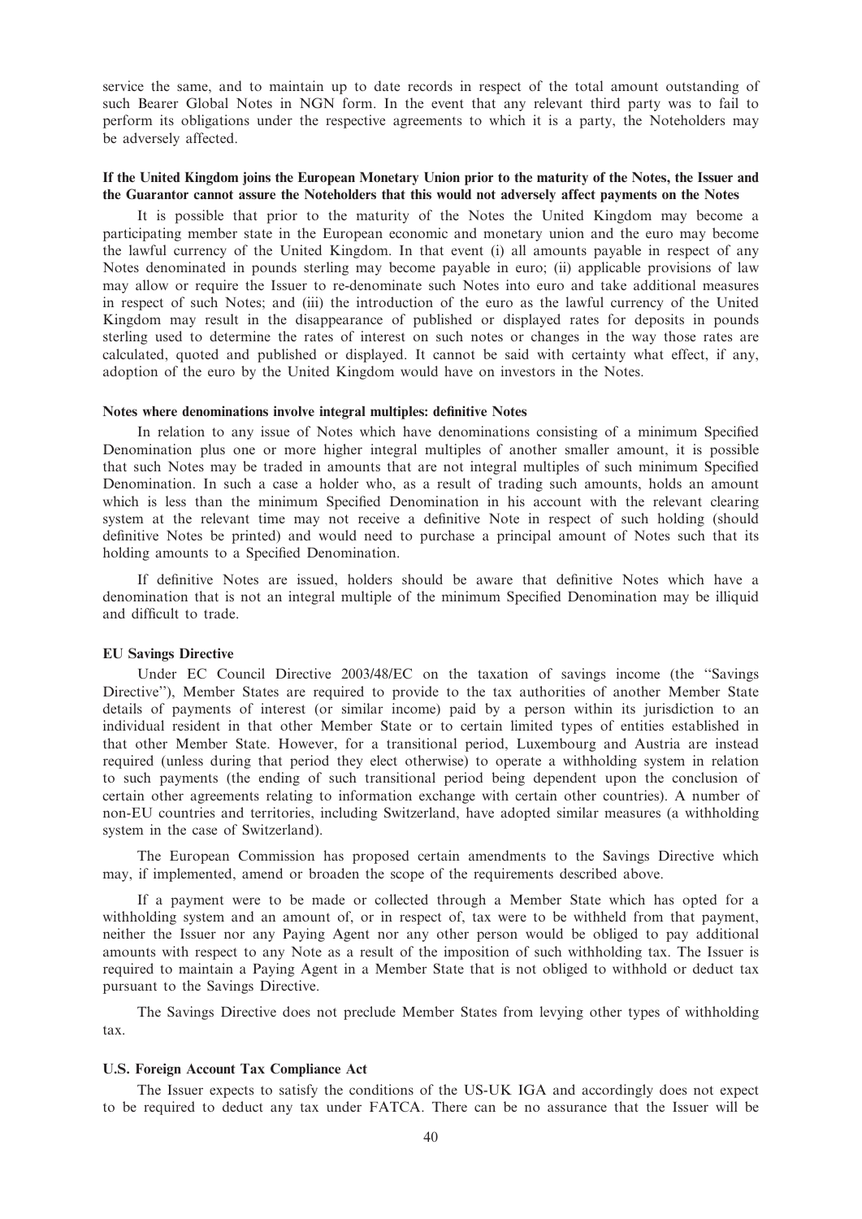service the same, and to maintain up to date records in respect of the total amount outstanding of such Bearer Global Notes in NGN form. In the event that any relevant third party was to fail to perform its obligations under the respective agreements to which it is a party, the Noteholders may be adversely affected.

#### If the United Kingdom joins the European Monetary Union prior to the maturity of the Notes, the Issuer and the Guarantor cannot assure the Noteholders that this would not adversely affect payments on the Notes

It is possible that prior to the maturity of the Notes the United Kingdom may become a participating member state in the European economic and monetary union and the euro may become the lawful currency of the United Kingdom. In that event (i) all amounts payable in respect of any Notes denominated in pounds sterling may become payable in euro; (ii) applicable provisions of law may allow or require the Issuer to re-denominate such Notes into euro and take additional measures in respect of such Notes; and (iii) the introduction of the euro as the lawful currency of the United Kingdom may result in the disappearance of published or displayed rates for deposits in pounds sterling used to determine the rates of interest on such notes or changes in the way those rates are calculated, quoted and published or displayed. It cannot be said with certainty what effect, if any, adoption of the euro by the United Kingdom would have on investors in the Notes.

#### Notes where denominations involve integral multiples: definitive Notes

In relation to any issue of Notes which have denominations consisting of a minimum Specified Denomination plus one or more higher integral multiples of another smaller amount, it is possible that such Notes may be traded in amounts that are not integral multiples of such minimum Specified Denomination. In such a case a holder who, as a result of trading such amounts, holds an amount which is less than the minimum Specified Denomination in his account with the relevant clearing system at the relevant time may not receive a definitive Note in respect of such holding (should definitive Notes be printed) and would need to purchase a principal amount of Notes such that its holding amounts to a Specified Denomination.

If definitive Notes are issued, holders should be aware that definitive Notes which have a denomination that is not an integral multiple of the minimum Specified Denomination may be illiquid and difficult to trade.

#### EU Savings Directive

Under EC Council Directive 2003/48/EC on the taxation of savings income (the ''Savings Directive''), Member States are required to provide to the tax authorities of another Member State details of payments of interest (or similar income) paid by a person within its jurisdiction to an individual resident in that other Member State or to certain limited types of entities established in that other Member State. However, for a transitional period, Luxembourg and Austria are instead required (unless during that period they elect otherwise) to operate a withholding system in relation to such payments (the ending of such transitional period being dependent upon the conclusion of certain other agreements relating to information exchange with certain other countries). A number of non-EU countries and territories, including Switzerland, have adopted similar measures (a withholding system in the case of Switzerland).

The European Commission has proposed certain amendments to the Savings Directive which may, if implemented, amend or broaden the scope of the requirements described above.

If a payment were to be made or collected through a Member State which has opted for a withholding system and an amount of, or in respect of, tax were to be withheld from that payment, neither the Issuer nor any Paying Agent nor any other person would be obliged to pay additional amounts with respect to any Note as a result of the imposition of such withholding tax. The Issuer is required to maintain a Paying Agent in a Member State that is not obliged to withhold or deduct tax pursuant to the Savings Directive.

The Savings Directive does not preclude Member States from levying other types of withholding tax.

#### U.S. Foreign Account Tax Compliance Act

The Issuer expects to satisfy the conditions of the US-UK IGA and accordingly does not expect to be required to deduct any tax under FATCA. There can be no assurance that the Issuer will be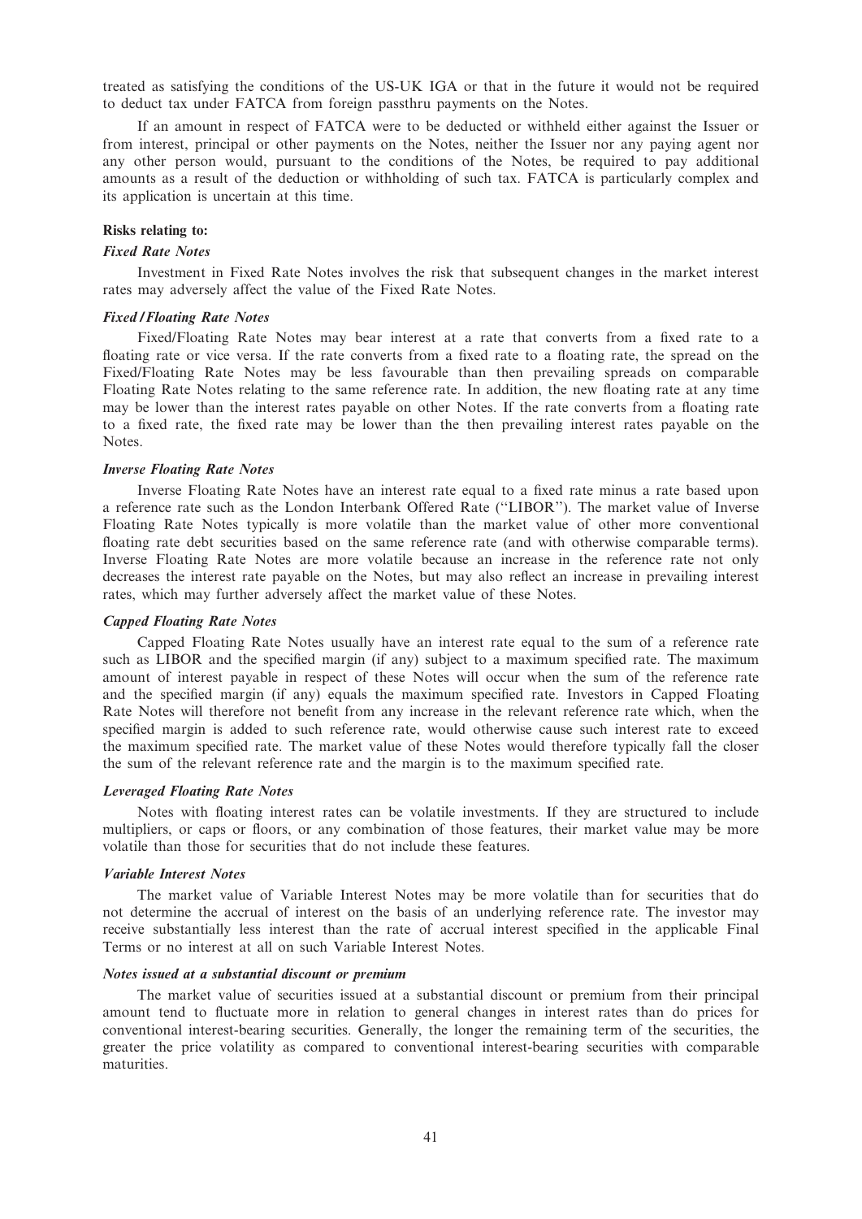treated as satisfying the conditions of the US-UK IGA or that in the future it would not be required to deduct tax under FATCA from foreign passthru payments on the Notes.

If an amount in respect of FATCA were to be deducted or withheld either against the Issuer or from interest, principal or other payments on the Notes, neither the Issuer nor any paying agent nor any other person would, pursuant to the conditions of the Notes, be required to pay additional amounts as a result of the deduction or withholding of such tax. FATCA is particularly complex and its application is uncertain at this time.

#### Risks relating to:

#### Fixed Rate Notes

Investment in Fixed Rate Notes involves the risk that subsequent changes in the market interest rates may adversely affect the value of the Fixed Rate Notes.

#### Fixed / Floating Rate Notes

Fixed/Floating Rate Notes may bear interest at a rate that converts from a fixed rate to a floating rate or vice versa. If the rate converts from a fixed rate to a floating rate, the spread on the Fixed/Floating Rate Notes may be less favourable than then prevailing spreads on comparable Floating Rate Notes relating to the same reference rate. In addition, the new floating rate at any time may be lower than the interest rates payable on other Notes. If the rate converts from a floating rate to a fixed rate, the fixed rate may be lower than the then prevailing interest rates payable on the Notes.

## Inverse Floating Rate Notes

Inverse Floating Rate Notes have an interest rate equal to a fixed rate minus a rate based upon a reference rate such as the London Interbank Offered Rate (''LIBOR''). The market value of Inverse Floating Rate Notes typically is more volatile than the market value of other more conventional floating rate debt securities based on the same reference rate (and with otherwise comparable terms). Inverse Floating Rate Notes are more volatile because an increase in the reference rate not only decreases the interest rate payable on the Notes, but may also reflect an increase in prevailing interest rates, which may further adversely affect the market value of these Notes.

#### Capped Floating Rate Notes

Capped Floating Rate Notes usually have an interest rate equal to the sum of a reference rate such as LIBOR and the specified margin (if any) subject to a maximum specified rate. The maximum amount of interest payable in respect of these Notes will occur when the sum of the reference rate and the specified margin (if any) equals the maximum specified rate. Investors in Capped Floating Rate Notes will therefore not benefit from any increase in the relevant reference rate which, when the specified margin is added to such reference rate, would otherwise cause such interest rate to exceed the maximum specified rate. The market value of these Notes would therefore typically fall the closer the sum of the relevant reference rate and the margin is to the maximum specified rate.

#### Leveraged Floating Rate Notes

Notes with floating interest rates can be volatile investments. If they are structured to include multipliers, or caps or floors, or any combination of those features, their market value may be more volatile than those for securities that do not include these features.

#### Variable Interest Notes

The market value of Variable Interest Notes may be more volatile than for securities that do not determine the accrual of interest on the basis of an underlying reference rate. The investor may receive substantially less interest than the rate of accrual interest specified in the applicable Final Terms or no interest at all on such Variable Interest Notes.

#### Notes issued at a substantial discount or premium

The market value of securities issued at a substantial discount or premium from their principal amount tend to fluctuate more in relation to general changes in interest rates than do prices for conventional interest-bearing securities. Generally, the longer the remaining term of the securities, the greater the price volatility as compared to conventional interest-bearing securities with comparable maturities.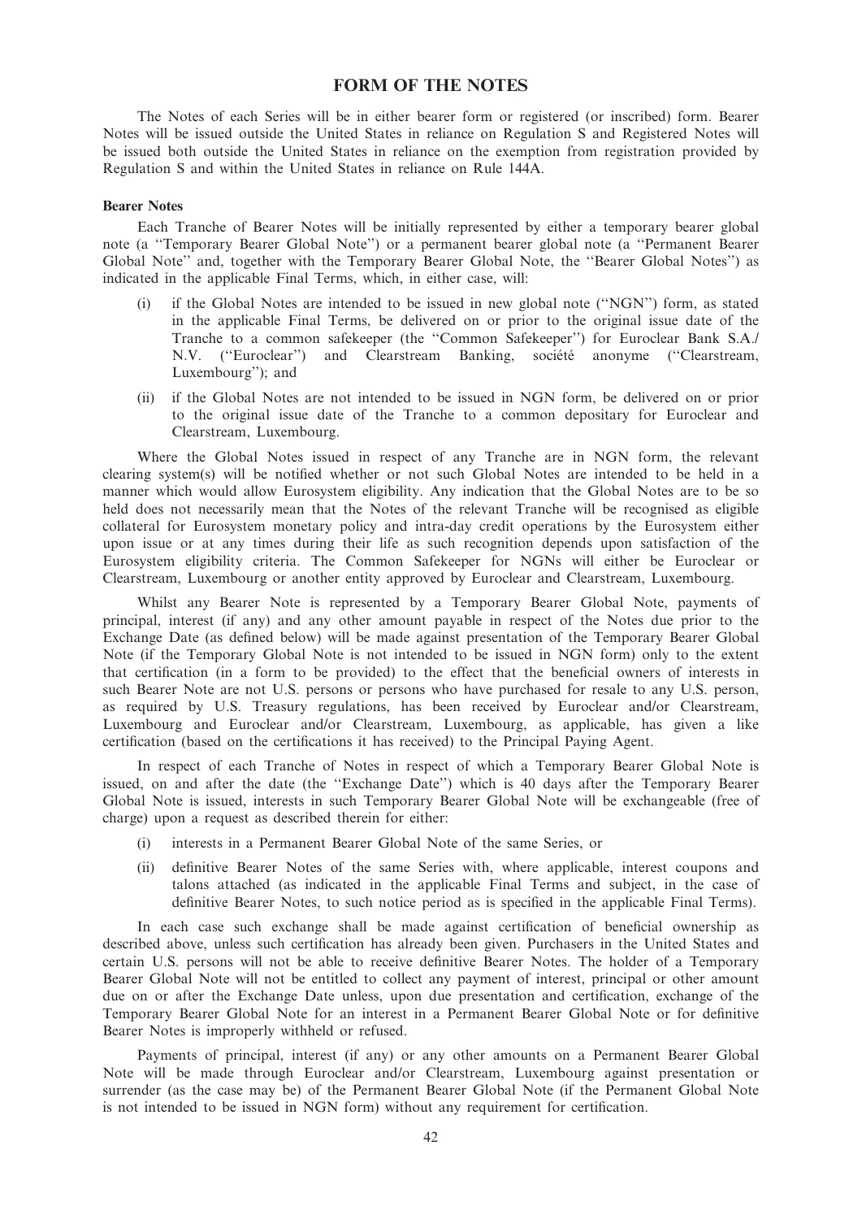## FORM OF THE NOTES

The Notes of each Series will be in either bearer form or registered (or inscribed) form. Bearer Notes will be issued outside the United States in reliance on Regulation S and Registered Notes will be issued both outside the United States in reliance on the exemption from registration provided by Regulation S and within the United States in reliance on Rule 144A.

#### Bearer Notes

Each Tranche of Bearer Notes will be initially represented by either a temporary bearer global note (a ''Temporary Bearer Global Note'') or a permanent bearer global note (a ''Permanent Bearer Global Note'' and, together with the Temporary Bearer Global Note, the ''Bearer Global Notes'') as indicated in the applicable Final Terms, which, in either case, will:

- (i) if the Global Notes are intended to be issued in new global note (''NGN'') form, as stated in the applicable Final Terms, be delivered on or prior to the original issue date of the Tranche to a common safekeeper (the ''Common Safekeeper'') for Euroclear Bank S.A./ N.V. ("Euroclear") and Clearstream Banking, société anonyme ("Clearstream, Luxembourg''); and
- (ii) if the Global Notes are not intended to be issued in NGN form, be delivered on or prior to the original issue date of the Tranche to a common depositary for Euroclear and Clearstream, Luxembourg.

Where the Global Notes issued in respect of any Tranche are in NGN form, the relevant clearing system(s) will be notified whether or not such Global Notes are intended to be held in a manner which would allow Eurosystem eligibility. Any indication that the Global Notes are to be so held does not necessarily mean that the Notes of the relevant Tranche will be recognised as eligible collateral for Eurosystem monetary policy and intra-day credit operations by the Eurosystem either upon issue or at any times during their life as such recognition depends upon satisfaction of the Eurosystem eligibility criteria. The Common Safekeeper for NGNs will either be Euroclear or Clearstream, Luxembourg or another entity approved by Euroclear and Clearstream, Luxembourg.

Whilst any Bearer Note is represented by a Temporary Bearer Global Note, payments of principal, interest (if any) and any other amount payable in respect of the Notes due prior to the Exchange Date (as defined below) will be made against presentation of the Temporary Bearer Global Note (if the Temporary Global Note is not intended to be issued in NGN form) only to the extent that certification (in a form to be provided) to the effect that the beneficial owners of interests in such Bearer Note are not U.S. persons or persons who have purchased for resale to any U.S. person, as required by U.S. Treasury regulations, has been received by Euroclear and/or Clearstream, Luxembourg and Euroclear and/or Clearstream, Luxembourg, as applicable, has given a like certification (based on the certifications it has received) to the Principal Paying Agent.

In respect of each Tranche of Notes in respect of which a Temporary Bearer Global Note is issued, on and after the date (the ''Exchange Date'') which is 40 days after the Temporary Bearer Global Note is issued, interests in such Temporary Bearer Global Note will be exchangeable (free of charge) upon a request as described therein for either:

- (i) interests in a Permanent Bearer Global Note of the same Series, or
- (ii) definitive Bearer Notes of the same Series with, where applicable, interest coupons and talons attached (as indicated in the applicable Final Terms and subject, in the case of definitive Bearer Notes, to such notice period as is specified in the applicable Final Terms).

In each case such exchange shall be made against certification of beneficial ownership as described above, unless such certification has already been given. Purchasers in the United States and certain U.S. persons will not be able to receive definitive Bearer Notes. The holder of a Temporary Bearer Global Note will not be entitled to collect any payment of interest, principal or other amount due on or after the Exchange Date unless, upon due presentation and certification, exchange of the Temporary Bearer Global Note for an interest in a Permanent Bearer Global Note or for definitive Bearer Notes is improperly withheld or refused.

Payments of principal, interest (if any) or any other amounts on a Permanent Bearer Global Note will be made through Euroclear and/or Clearstream, Luxembourg against presentation or surrender (as the case may be) of the Permanent Bearer Global Note (if the Permanent Global Note is not intended to be issued in NGN form) without any requirement for certification.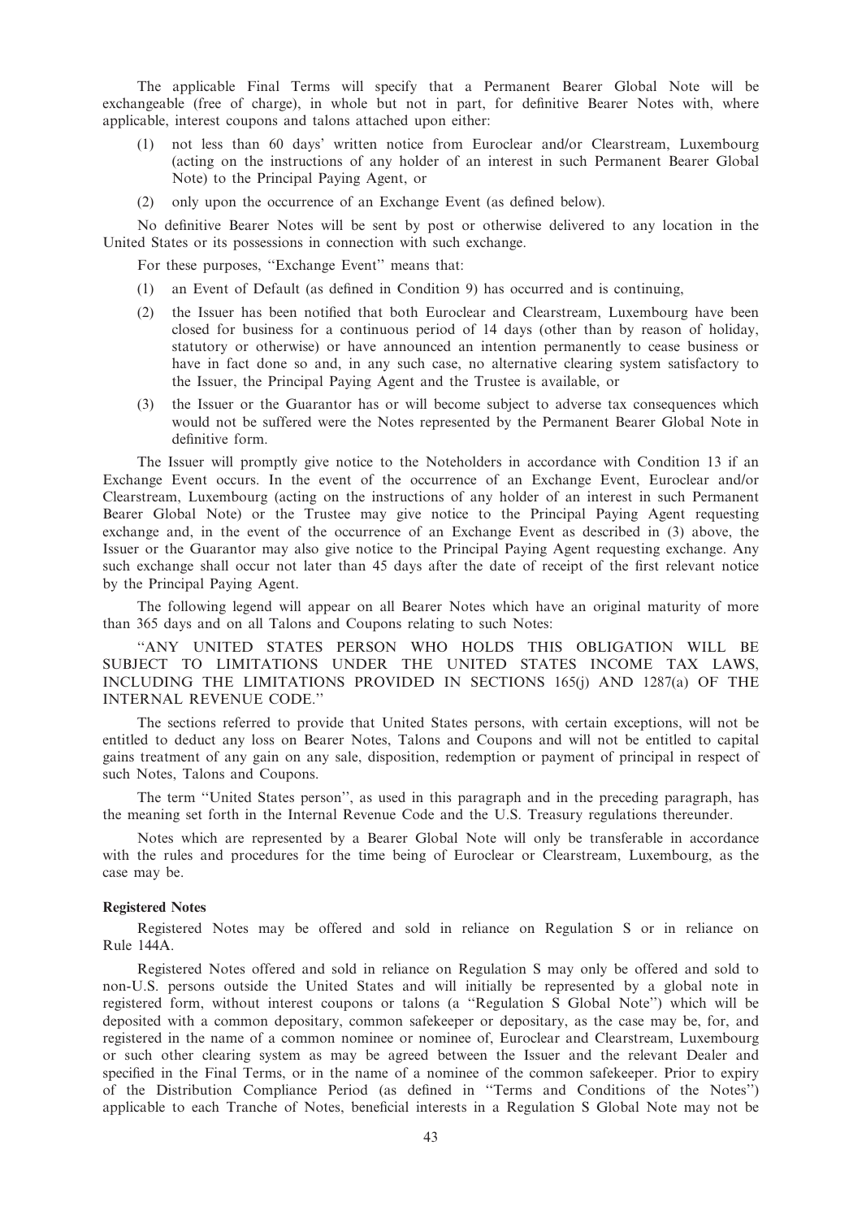The applicable Final Terms will specify that a Permanent Bearer Global Note will be exchangeable (free of charge), in whole but not in part, for definitive Bearer Notes with, where applicable, interest coupons and talons attached upon either:

- (1) not less than 60 days' written notice from Euroclear and/or Clearstream, Luxembourg (acting on the instructions of any holder of an interest in such Permanent Bearer Global Note) to the Principal Paying Agent, or
- (2) only upon the occurrence of an Exchange Event (as defined below).

No definitive Bearer Notes will be sent by post or otherwise delivered to any location in the United States or its possessions in connection with such exchange.

For these purposes, ''Exchange Event'' means that:

- (1) an Event of Default (as defined in Condition 9) has occurred and is continuing,
- (2) the Issuer has been notified that both Euroclear and Clearstream, Luxembourg have been closed for business for a continuous period of 14 days (other than by reason of holiday, statutory or otherwise) or have announced an intention permanently to cease business or have in fact done so and, in any such case, no alternative clearing system satisfactory to the Issuer, the Principal Paying Agent and the Trustee is available, or
- (3) the Issuer or the Guarantor has or will become subject to adverse tax consequences which would not be suffered were the Notes represented by the Permanent Bearer Global Note in definitive form.

The Issuer will promptly give notice to the Noteholders in accordance with Condition 13 if an Exchange Event occurs. In the event of the occurrence of an Exchange Event, Euroclear and/or Clearstream, Luxembourg (acting on the instructions of any holder of an interest in such Permanent Bearer Global Note) or the Trustee may give notice to the Principal Paying Agent requesting exchange and, in the event of the occurrence of an Exchange Event as described in (3) above, the Issuer or the Guarantor may also give notice to the Principal Paying Agent requesting exchange. Any such exchange shall occur not later than 45 days after the date of receipt of the first relevant notice by the Principal Paying Agent.

The following legend will appear on all Bearer Notes which have an original maturity of more than 365 days and on all Talons and Coupons relating to such Notes:

''ANY UNITED STATES PERSON WHO HOLDS THIS OBLIGATION WILL BE SUBJECT TO LIMITATIONS UNDER THE UNITED STATES INCOME TAX LAWS, INCLUDING THE LIMITATIONS PROVIDED IN SECTIONS 165(j) AND 1287(a) OF THE INTERNAL REVENUE CODE.''

The sections referred to provide that United States persons, with certain exceptions, will not be entitled to deduct any loss on Bearer Notes, Talons and Coupons and will not be entitled to capital gains treatment of any gain on any sale, disposition, redemption or payment of principal in respect of such Notes, Talons and Coupons.

The term ''United States person'', as used in this paragraph and in the preceding paragraph, has the meaning set forth in the Internal Revenue Code and the U.S. Treasury regulations thereunder.

Notes which are represented by a Bearer Global Note will only be transferable in accordance with the rules and procedures for the time being of Euroclear or Clearstream, Luxembourg, as the case may be.

#### Registered Notes

Registered Notes may be offered and sold in reliance on Regulation S or in reliance on Rule 144A.

Registered Notes offered and sold in reliance on Regulation S may only be offered and sold to non-U.S. persons outside the United States and will initially be represented by a global note in registered form, without interest coupons or talons (a ''Regulation S Global Note'') which will be deposited with a common depositary, common safekeeper or depositary, as the case may be, for, and registered in the name of a common nominee or nominee of, Euroclear and Clearstream, Luxembourg or such other clearing system as may be agreed between the Issuer and the relevant Dealer and specified in the Final Terms, or in the name of a nominee of the common safekeeper. Prior to expiry of the Distribution Compliance Period (as defined in ''Terms and Conditions of the Notes'') applicable to each Tranche of Notes, beneficial interests in a Regulation S Global Note may not be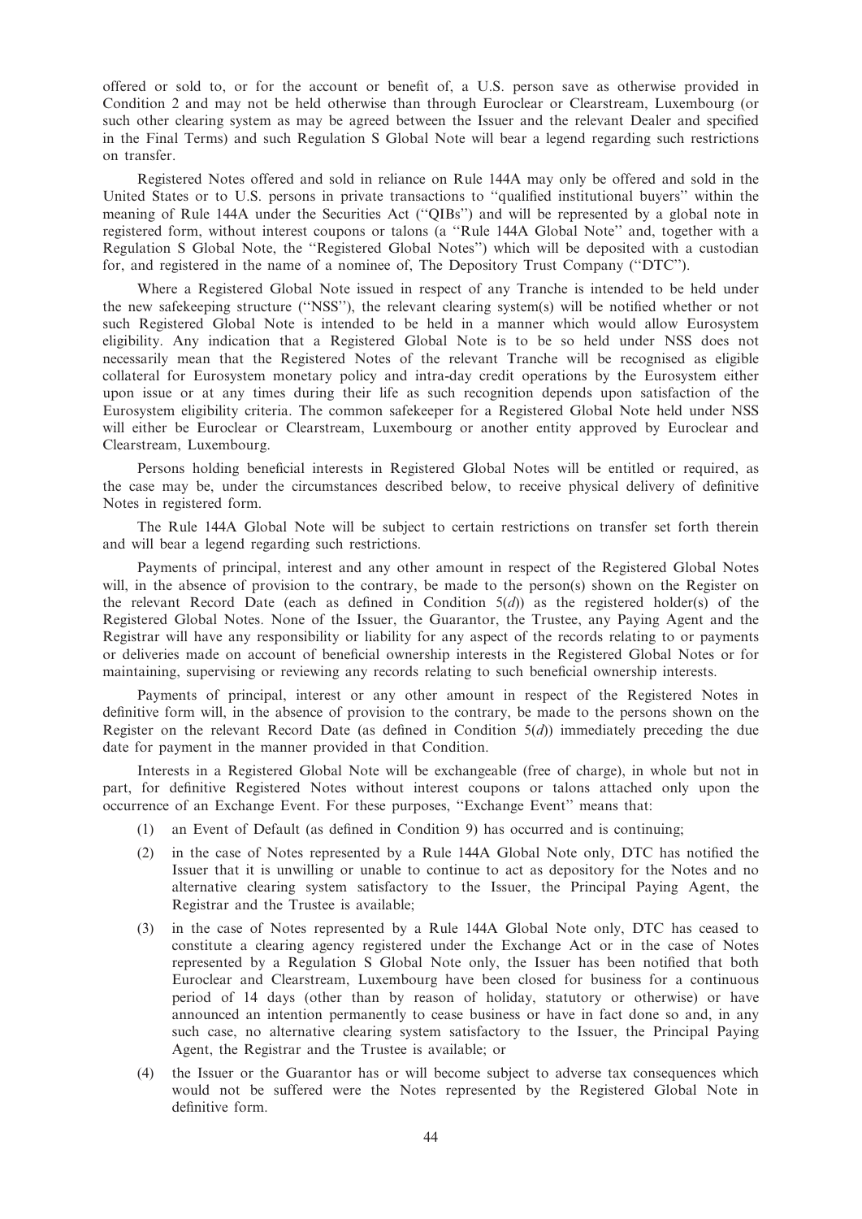offered or sold to, or for the account or benefit of, a U.S. person save as otherwise provided in Condition 2 and may not be held otherwise than through Euroclear or Clearstream, Luxembourg (or such other clearing system as may be agreed between the Issuer and the relevant Dealer and specified in the Final Terms) and such Regulation S Global Note will bear a legend regarding such restrictions on transfer.

Registered Notes offered and sold in reliance on Rule 144A may only be offered and sold in the United States or to U.S. persons in private transactions to ''qualified institutional buyers'' within the meaning of Rule 144A under the Securities Act (''QIBs'') and will be represented by a global note in registered form, without interest coupons or talons (a ''Rule 144A Global Note'' and, together with a Regulation S Global Note, the ''Registered Global Notes'') which will be deposited with a custodian for, and registered in the name of a nominee of, The Depository Trust Company (''DTC'').

Where a Registered Global Note issued in respect of any Tranche is intended to be held under the new safekeeping structure (''NSS''), the relevant clearing system(s) will be notified whether or not such Registered Global Note is intended to be held in a manner which would allow Eurosystem eligibility. Any indication that a Registered Global Note is to be so held under NSS does not necessarily mean that the Registered Notes of the relevant Tranche will be recognised as eligible collateral for Eurosystem monetary policy and intra-day credit operations by the Eurosystem either upon issue or at any times during their life as such recognition depends upon satisfaction of the Eurosystem eligibility criteria. The common safekeeper for a Registered Global Note held under NSS will either be Euroclear or Clearstream, Luxembourg or another entity approved by Euroclear and Clearstream, Luxembourg.

Persons holding beneficial interests in Registered Global Notes will be entitled or required, as the case may be, under the circumstances described below, to receive physical delivery of definitive Notes in registered form.

The Rule 144A Global Note will be subject to certain restrictions on transfer set forth therein and will bear a legend regarding such restrictions.

Payments of principal, interest and any other amount in respect of the Registered Global Notes will, in the absence of provision to the contrary, be made to the person(s) shown on the Register on the relevant Record Date (each as defined in Condition  $5(d)$ ) as the registered holder(s) of the Registered Global Notes. None of the Issuer, the Guarantor, the Trustee, any Paying Agent and the Registrar will have any responsibility or liability for any aspect of the records relating to or payments or deliveries made on account of beneficial ownership interests in the Registered Global Notes or for maintaining, supervising or reviewing any records relating to such beneficial ownership interests.

Payments of principal, interest or any other amount in respect of the Registered Notes in definitive form will, in the absence of provision to the contrary, be made to the persons shown on the Register on the relevant Record Date (as defined in Condition  $5(d)$ ) immediately preceding the due date for payment in the manner provided in that Condition.

Interests in a Registered Global Note will be exchangeable (free of charge), in whole but not in part, for definitive Registered Notes without interest coupons or talons attached only upon the occurrence of an Exchange Event. For these purposes, ''Exchange Event'' means that:

- (1) an Event of Default (as defined in Condition 9) has occurred and is continuing;
- (2) in the case of Notes represented by a Rule 144A Global Note only, DTC has notified the Issuer that it is unwilling or unable to continue to act as depository for the Notes and no alternative clearing system satisfactory to the Issuer, the Principal Paying Agent, the Registrar and the Trustee is available;
- (3) in the case of Notes represented by a Rule 144A Global Note only, DTC has ceased to constitute a clearing agency registered under the Exchange Act or in the case of Notes represented by a Regulation S Global Note only, the Issuer has been notified that both Euroclear and Clearstream, Luxembourg have been closed for business for a continuous period of 14 days (other than by reason of holiday, statutory or otherwise) or have announced an intention permanently to cease business or have in fact done so and, in any such case, no alternative clearing system satisfactory to the Issuer, the Principal Paying Agent, the Registrar and the Trustee is available; or
- (4) the Issuer or the Guarantor has or will become subject to adverse tax consequences which would not be suffered were the Notes represented by the Registered Global Note in definitive form.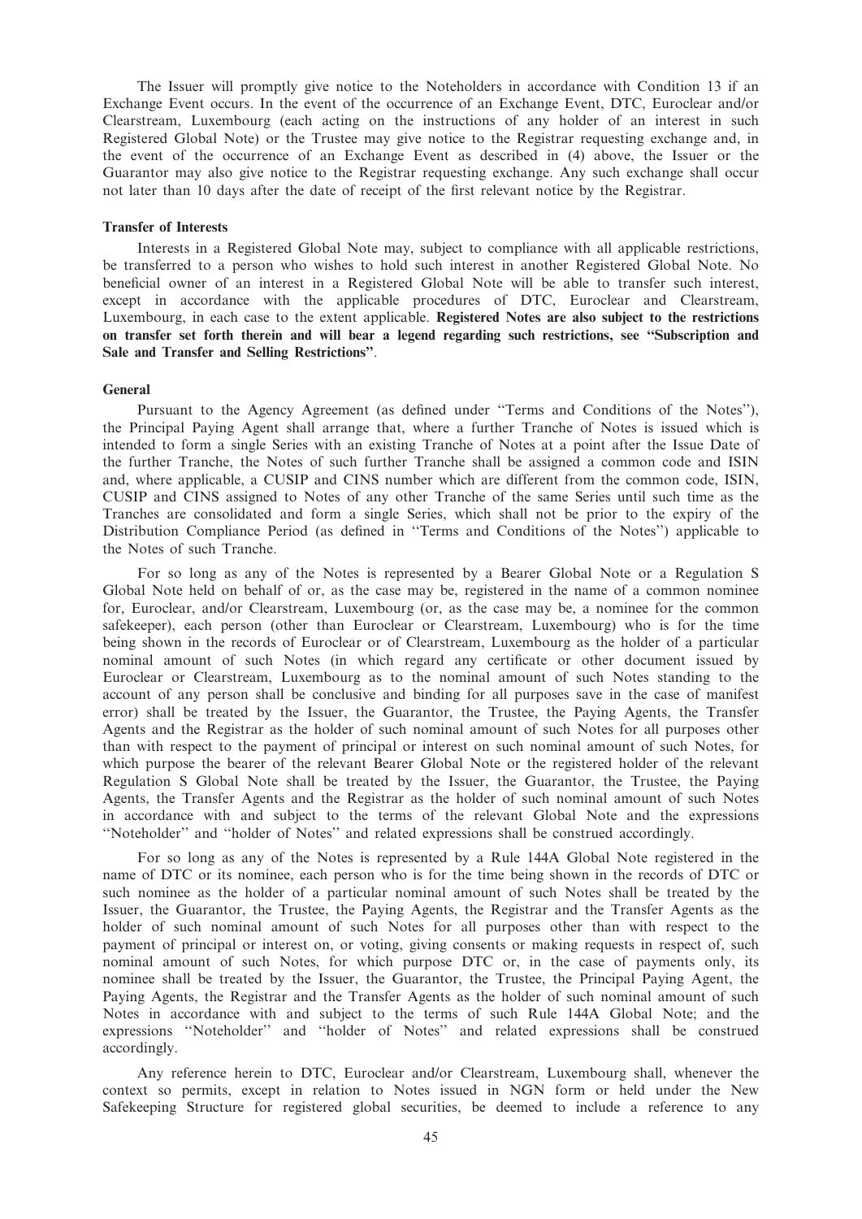The Issuer will promptly give notice to the Noteholders in accordance with Condition 13 if an Exchange Event occurs. In the event of the occurrence of an Exchange Event, DTC, Euroclear and/or Clearstream, Luxembourg (each acting on the instructions of any holder of an interest in such Registered Global Note) or the Trustee may give notice to the Registrar requesting exchange and, in the event of the occurrence of an Exchange Event as described in (4) above, the Issuer or the Guarantor may also give notice to the Registrar requesting exchange. Any such exchange shall occur not later than 10 days after the date of receipt of the first relevant notice by the Registrar.

#### Transfer of Interests

Interests in a Registered Global Note may, subject to compliance with all applicable restrictions, be transferred to a person who wishes to hold such interest in another Registered Global Note. No beneficial owner of an interest in a Registered Global Note will be able to transfer such interest, except in accordance with the applicable procedures of DTC, Euroclear and Clearstream, Luxembourg, in each case to the extent applicable. Registered Notes are also subject to the restrictions on transfer set forth therein and will bear a legend regarding such restrictions, see ''Subscription and Sale and Transfer and Selling Restrictions''.

#### General

Pursuant to the Agency Agreement (as defined under ''Terms and Conditions of the Notes''), the Principal Paying Agent shall arrange that, where a further Tranche of Notes is issued which is intended to form a single Series with an existing Tranche of Notes at a point after the Issue Date of the further Tranche, the Notes of such further Tranche shall be assigned a common code and ISIN and, where applicable, a CUSIP and CINS number which are different from the common code, ISIN, CUSIP and CINS assigned to Notes of any other Tranche of the same Series until such time as the Tranches are consolidated and form a single Series, which shall not be prior to the expiry of the Distribution Compliance Period (as defined in ''Terms and Conditions of the Notes'') applicable to the Notes of such Tranche.

For so long as any of the Notes is represented by a Bearer Global Note or a Regulation S Global Note held on behalf of or, as the case may be, registered in the name of a common nominee for, Euroclear, and/or Clearstream, Luxembourg (or, as the case may be, a nominee for the common safekeeper), each person (other than Euroclear or Clearstream, Luxembourg) who is for the time being shown in the records of Euroclear or of Clearstream, Luxembourg as the holder of a particular nominal amount of such Notes (in which regard any certificate or other document issued by Euroclear or Clearstream, Luxembourg as to the nominal amount of such Notes standing to the account of any person shall be conclusive and binding for all purposes save in the case of manifest error) shall be treated by the Issuer, the Guarantor, the Trustee, the Paying Agents, the Transfer Agents and the Registrar as the holder of such nominal amount of such Notes for all purposes other than with respect to the payment of principal or interest on such nominal amount of such Notes, for which purpose the bearer of the relevant Bearer Global Note or the registered holder of the relevant Regulation S Global Note shall be treated by the Issuer, the Guarantor, the Trustee, the Paying Agents, the Transfer Agents and the Registrar as the holder of such nominal amount of such Notes in accordance with and subject to the terms of the relevant Global Note and the expressions ''Noteholder'' and ''holder of Notes'' and related expressions shall be construed accordingly.

For so long as any of the Notes is represented by a Rule 144A Global Note registered in the name of DTC or its nominee, each person who is for the time being shown in the records of DTC or such nominee as the holder of a particular nominal amount of such Notes shall be treated by the Issuer, the Guarantor, the Trustee, the Paying Agents, the Registrar and the Transfer Agents as the holder of such nominal amount of such Notes for all purposes other than with respect to the payment of principal or interest on, or voting, giving consents or making requests in respect of, such nominal amount of such Notes, for which purpose DTC or, in the case of payments only, its nominee shall be treated by the Issuer, the Guarantor, the Trustee, the Principal Paying Agent, the Paying Agents, the Registrar and the Transfer Agents as the holder of such nominal amount of such Notes in accordance with and subject to the terms of such Rule 144A Global Note; and the expressions ''Noteholder'' and ''holder of Notes'' and related expressions shall be construed accordingly.

Any reference herein to DTC, Euroclear and/or Clearstream, Luxembourg shall, whenever the context so permits, except in relation to Notes issued in NGN form or held under the New Safekeeping Structure for registered global securities, be deemed to include a reference to any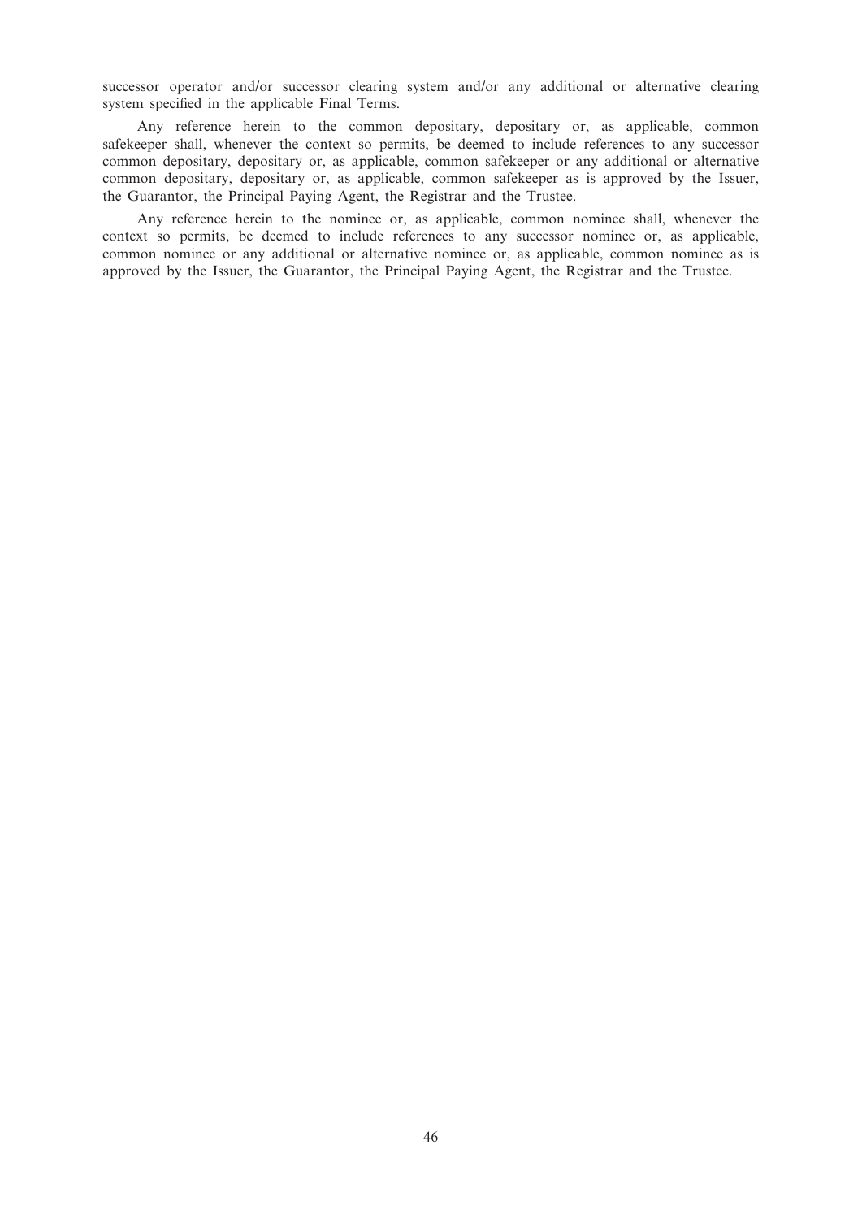successor operator and/or successor clearing system and/or any additional or alternative clearing system specified in the applicable Final Terms.

Any reference herein to the common depositary, depositary or, as applicable, common safekeeper shall, whenever the context so permits, be deemed to include references to any successor common depositary, depositary or, as applicable, common safekeeper or any additional or alternative common depositary, depositary or, as applicable, common safekeeper as is approved by the Issuer, the Guarantor, the Principal Paying Agent, the Registrar and the Trustee.

Any reference herein to the nominee or, as applicable, common nominee shall, whenever the context so permits, be deemed to include references to any successor nominee or, as applicable, common nominee or any additional or alternative nominee or, as applicable, common nominee as is approved by the Issuer, the Guarantor, the Principal Paying Agent, the Registrar and the Trustee.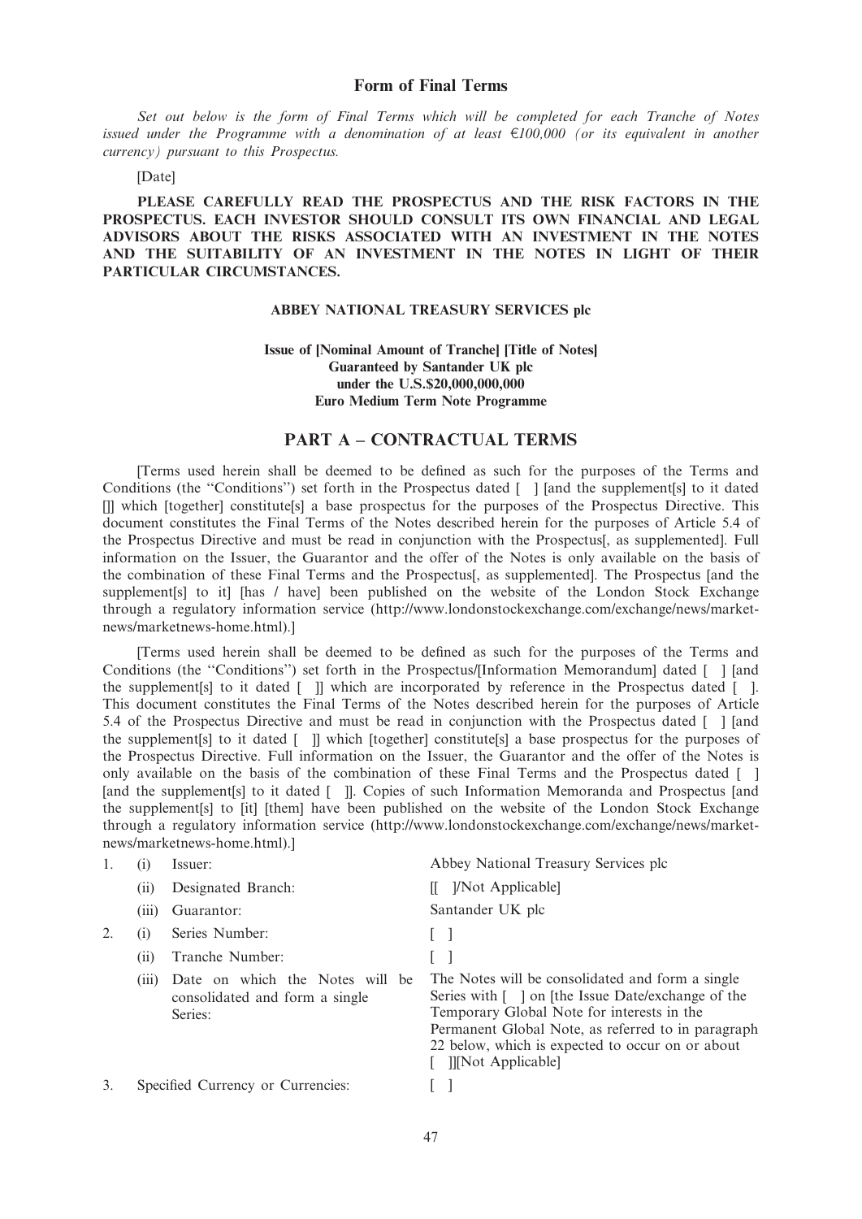Set out below is the form of Final Terms which will be completed for each Tranche of Notes issued under the Programme with a denomination of at least  $\epsilon$ 100,000 (or its equivalent in another currency) pursuant to this Prospectus.

#### [Date]

PLEASE CAREFULLY READ THE PROSPECTUS AND THE RISK FACTORS IN THE PROSPECTUS. EACH INVESTOR SHOULD CONSULT ITS OWN FINANCIAL AND LEGAL ADVISORS ABOUT THE RISKS ASSOCIATED WITH AN INVESTMENT IN THE NOTES AND THE SUITABILITY OF AN INVESTMENT IN THE NOTES IN LIGHT OF THEIR PARTICULAR CIRCUMSTANCES.

## ABBEY NATIONAL TREASURY SERVICES plc

## Issue of [Nominal Amount of Tranche] [Title of Notes] Guaranteed by Santander UK plc under the U.S.\$20,000,000,000 Euro Medium Term Note Programme

## PART A – CONTRACTUAL TERMS

[Terms used herein shall be deemed to be defined as such for the purposes of the Terms and Conditions (the "Conditions") set forth in the Prospectus dated [ ] [and the supplement[s] to it dated []] which [together] constitute[s] a base prospectus for the purposes of the Prospectus Directive. This document constitutes the Final Terms of the Notes described herein for the purposes of Article 5.4 of the Prospectus Directive and must be read in conjunction with the Prospectus[, as supplemented]. Full information on the Issuer, the Guarantor and the offer of the Notes is only available on the basis of the combination of these Final Terms and the Prospectus[, as supplemented]. The Prospectus [and the supplement [s] to it] [has / have] been published on the website of the London Stock Exchange through a regulatory information service (http://www.londonstockexchange.com/exchange/news/marketnews/marketnews-home.html).]

[Terms used herein shall be deemed to be defined as such for the purposes of the Terms and Conditions (the ''Conditions'') set forth in the Prospectus/[Information Memorandum] dated [ ] [and the supplement[s] to it dated [ ]] which are incorporated by reference in the Prospectus dated [ ]. This document constitutes the Final Terms of the Notes described herein for the purposes of Article 5.4 of the Prospectus Directive and must be read in conjunction with the Prospectus dated [ ] [and the supplement[s] to it dated [ ]] which [together] constitute[s] a base prospectus for the purposes of the Prospectus Directive. Full information on the Issuer, the Guarantor and the offer of the Notes is only available on the basis of the combination of these Final Terms and the Prospectus dated [ ] [and the supplement<sup>[s]</sup> to it dated [ ]]. Copies of such Information Memoranda and Prospectus [and the supplement[s] to [it] [them] have been published on the website of the London Stock Exchange through a regulatory information service (http://www.londonstockexchange.com/exchange/news/marketnews/marketnews-home.html).]

|    | (1)   | Issuer:                                                                      | Abbey National Treasury Services plc                                                                                                                                                                                                                                                       |
|----|-------|------------------------------------------------------------------------------|--------------------------------------------------------------------------------------------------------------------------------------------------------------------------------------------------------------------------------------------------------------------------------------------|
|    | (i)   | Designated Branch:                                                           | [ <i>Not Applicable</i> ]                                                                                                                                                                                                                                                                  |
|    | (iii) | Guarantor:                                                                   | Santander UK plc                                                                                                                                                                                                                                                                           |
|    | (1)   | Series Number:                                                               |                                                                                                                                                                                                                                                                                            |
|    | (i)   | Tranche Number:                                                              |                                                                                                                                                                                                                                                                                            |
|    | (111) | Date on which the Notes will be<br>consolidated and form a single<br>Series: | The Notes will be consolidated and form a single<br>Series with [ ] on [the Issue Date/exchange of the<br>Temporary Global Note for interests in the<br>Permanent Global Note, as referred to in paragraph<br>22 below, which is expected to occur on or about<br><b>II</b> Not Applicable |
| 3. |       | Specified Currency or Currencies:                                            |                                                                                                                                                                                                                                                                                            |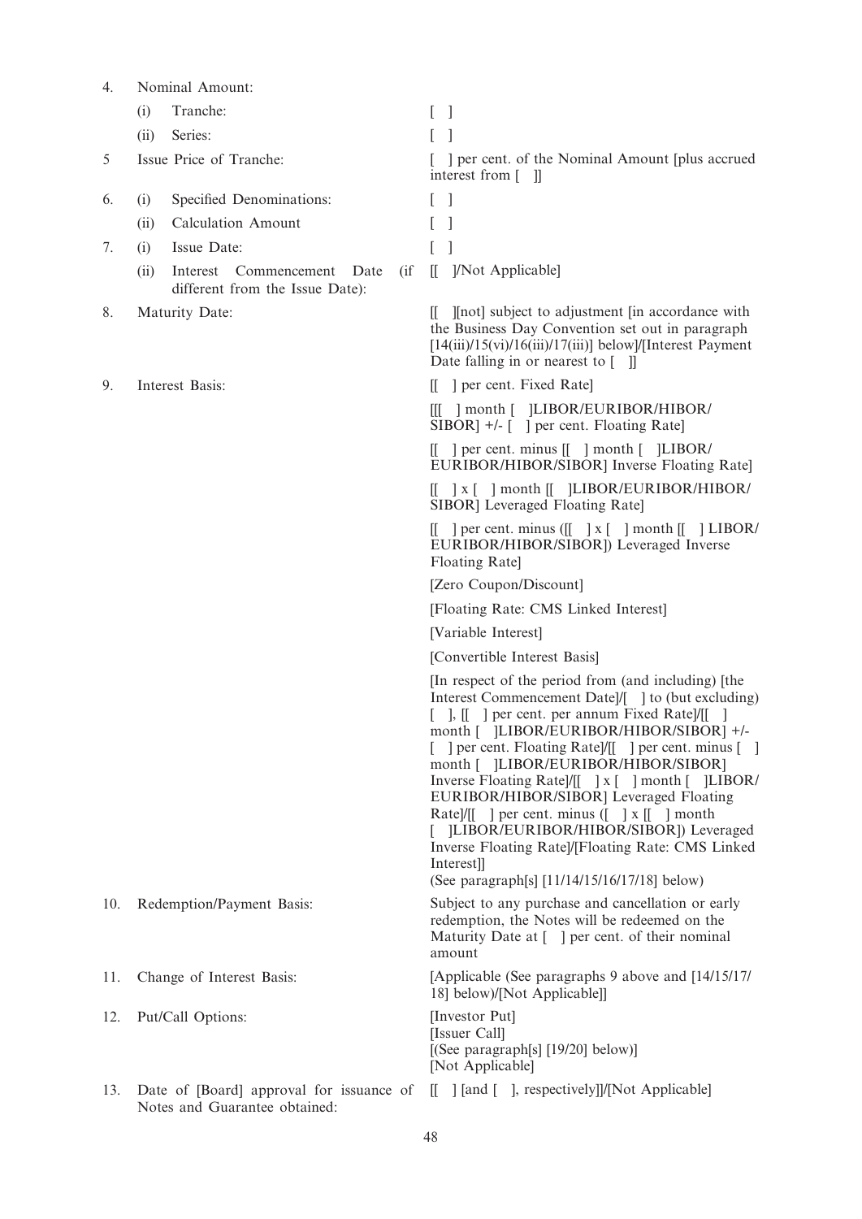| 4.  |      | Nominal Amount:                                                           |                                                                                                                                                                                                                                                                                                                                                                                                                                                                                                                                                                                                                             |
|-----|------|---------------------------------------------------------------------------|-----------------------------------------------------------------------------------------------------------------------------------------------------------------------------------------------------------------------------------------------------------------------------------------------------------------------------------------------------------------------------------------------------------------------------------------------------------------------------------------------------------------------------------------------------------------------------------------------------------------------------|
|     | (i)  | Tranche:                                                                  | $\overline{\phantom{a}}$                                                                                                                                                                                                                                                                                                                                                                                                                                                                                                                                                                                                    |
|     | (ii) | Series:                                                                   |                                                                                                                                                                                                                                                                                                                                                                                                                                                                                                                                                                                                                             |
| 5   |      | Issue Price of Tranche:                                                   | e per cent. of the Nominal Amount [plus accrued]<br>interest from $\lceil \quad \rceil$                                                                                                                                                                                                                                                                                                                                                                                                                                                                                                                                     |
| 6.  | (i)  | Specified Denominations:                                                  | 1                                                                                                                                                                                                                                                                                                                                                                                                                                                                                                                                                                                                                           |
|     | (ii) | <b>Calculation Amount</b>                                                 |                                                                                                                                                                                                                                                                                                                                                                                                                                                                                                                                                                                                                             |
| 7.  | (i)  | Issue Date:                                                               |                                                                                                                                                                                                                                                                                                                                                                                                                                                                                                                                                                                                                             |
|     | (ii) | $\int$<br>Interest Commencement Date<br>different from the Issue Date):   | ]/Not Applicable]<br>$\mathbb{I}$                                                                                                                                                                                                                                                                                                                                                                                                                                                                                                                                                                                           |
| 8.  |      | Maturity Date:                                                            | [[ I[not] subject to adjustment [in accordance with<br>the Business Day Convention set out in paragraph<br>$[14(iii)/15(vi)/16(iii)/17(iii)]$ below]/[Interest Payment]<br>Date falling in or nearest to $\begin{bmatrix} \quad \quad \end{bmatrix}$                                                                                                                                                                                                                                                                                                                                                                        |
| 9.  |      | Interest Basis:                                                           | [[ ] per cent. Fixed Rate]                                                                                                                                                                                                                                                                                                                                                                                                                                                                                                                                                                                                  |
|     |      |                                                                           | [[[ ] month [ ]LIBOR/EURIBOR/HIBOR/<br>SIBOR] +/- [ ] per cent. Floating Rate]                                                                                                                                                                                                                                                                                                                                                                                                                                                                                                                                              |
|     |      |                                                                           | $\begin{bmatrix} \end{bmatrix}$ per cent. minus $\begin{bmatrix} \end{bmatrix}$ month $\begin{bmatrix} \end{bmatrix}$ LIBOR/<br>EURIBOR/HIBOR/SIBOR] Inverse Floating Rate]                                                                                                                                                                                                                                                                                                                                                                                                                                                 |
|     |      |                                                                           | $[[ ] x [ ] month [[ ] LIBOR/EURIBOR/HIBOR/$<br>SIBOR] Leveraged Floating Rate]                                                                                                                                                                                                                                                                                                                                                                                                                                                                                                                                             |
|     |      |                                                                           | $\begin{bmatrix} \end{bmatrix}$ per cent. minus ( $\begin{bmatrix} \end{bmatrix}$ x $\begin{bmatrix} \end{bmatrix}$ month $\begin{bmatrix} \end{bmatrix}$ LIBOR/<br>EURIBOR/HIBOR/SIBOR]) Leveraged Inverse<br>Floating Rate]                                                                                                                                                                                                                                                                                                                                                                                               |
|     |      |                                                                           | [Zero Coupon/Discount]                                                                                                                                                                                                                                                                                                                                                                                                                                                                                                                                                                                                      |
|     |      |                                                                           | [Floating Rate: CMS Linked Interest]                                                                                                                                                                                                                                                                                                                                                                                                                                                                                                                                                                                        |
|     |      |                                                                           | [Variable Interest]                                                                                                                                                                                                                                                                                                                                                                                                                                                                                                                                                                                                         |
|     |      |                                                                           | [Convertible Interest Basis]                                                                                                                                                                                                                                                                                                                                                                                                                                                                                                                                                                                                |
|     |      |                                                                           | [In respect of the period from (and including) [the<br>Interest Commencement Date]/[ ] to (but excluding)<br>[ ], [[ ] per cent. per annum Fixed Rate]/[[ ]<br>month [ ]LIBOR/EURIBOR/HIBOR/SIBOR] +/-<br>[ ] per cent. Floating Rate]/[[ ] per cent. minus [ ]<br>month [ ]LIBOR/EURIBOR/HIBOR/SIBOR]<br>Inverse Floating Rate /[[ ] x [ ] month [ ]LIBOR/<br>EURIBOR/HIBOR/SIBOR] Leveraged Floating<br>Rate]/[[ ] per cent. minus $($ $] \times$ [[ ] month<br>[LIBOR/EURIBOR/HIBOR/SIBOR]) Leveraged<br>Inverse Floating Rate]/[Floating Rate: CMS Linked<br>Interest]]<br>(See paragraph[s] [11/14/15/16/17/18] below) |
| 10. |      | Redemption/Payment Basis:                                                 | Subject to any purchase and cancellation or early<br>redemption, the Notes will be redeemed on the<br>Maturity Date at [1] per cent. of their nominal<br>amount                                                                                                                                                                                                                                                                                                                                                                                                                                                             |
| 11. |      | Change of Interest Basis:                                                 | [Applicable (See paragraphs 9 above and [14/15/17]<br>18] below)/[Not Applicable]]                                                                                                                                                                                                                                                                                                                                                                                                                                                                                                                                          |
| 12. |      | Put/Call Options:                                                         | [Investor Put]<br>[Issuer Call]<br>[(See paragraph[s] [19/20] below)]<br>[Not Applicable]                                                                                                                                                                                                                                                                                                                                                                                                                                                                                                                                   |
| 13. |      | Date of [Board] approval for issuance of<br>Notes and Guarantee obtained: | [[ ] [and [ ], respectively]]/[Not Applicable]                                                                                                                                                                                                                                                                                                                                                                                                                                                                                                                                                                              |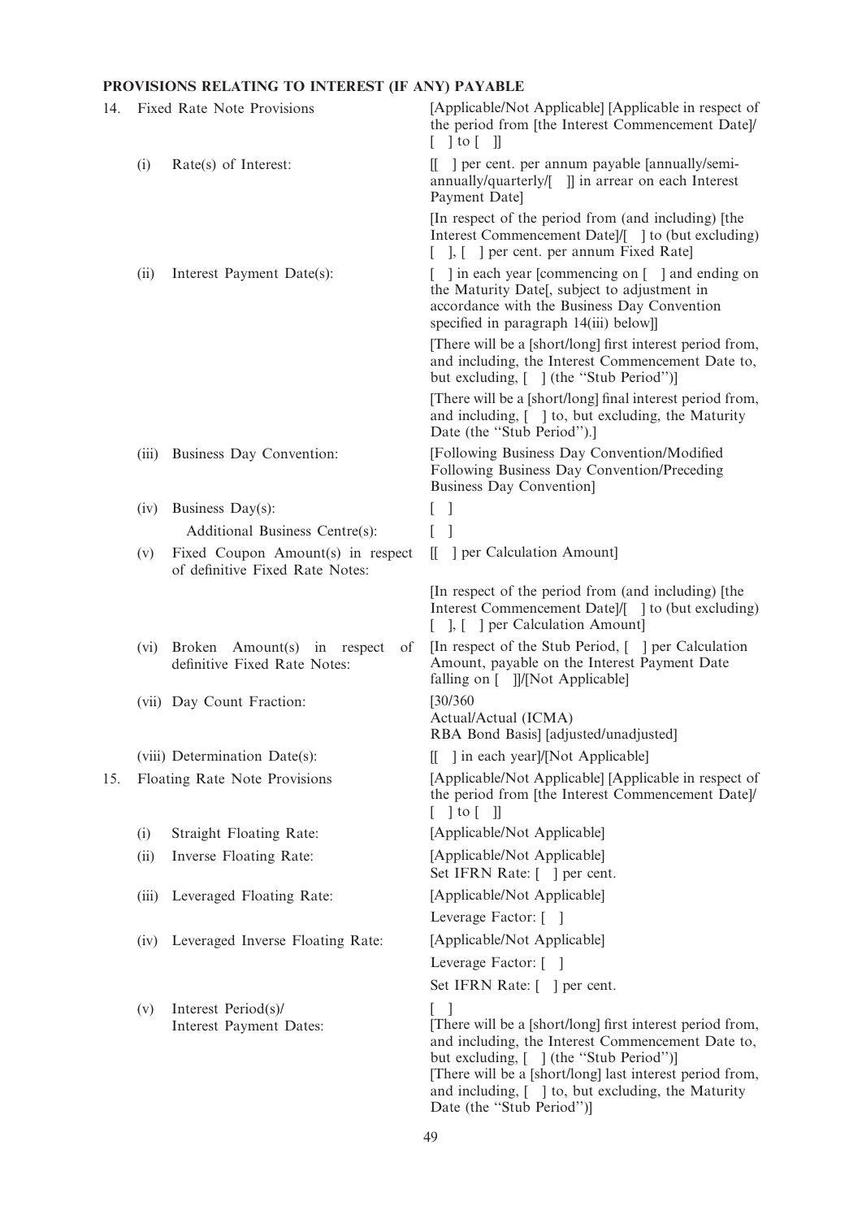# PROVISIONS RELATING TO INTEREST (IF ANY) PAYABLE

| 14. |       | Fixed Rate Note Provisions                                           | [Applicable/Not Applicable] [Applicable in respect of<br>the period from [the Interest Commencement Date]/<br>$[\ ]$ to $[\ ]$                                                                                                                                                                                                       |
|-----|-------|----------------------------------------------------------------------|--------------------------------------------------------------------------------------------------------------------------------------------------------------------------------------------------------------------------------------------------------------------------------------------------------------------------------------|
|     | (i)   | Rate(s) of Interest:                                                 | ] per cent. per annum payable [annually/semi-<br>annually/quarterly/[ ]] in arrear on each Interest<br>Payment Date]                                                                                                                                                                                                                 |
|     |       |                                                                      | [In respect of the period from (and including) [the<br>Interest Commencement Date]/[ ] to (but excluding)<br>], [ ] per cent. per annum Fixed Rate]                                                                                                                                                                                  |
|     | (ii)  | Interest Payment Date(s):                                            | in each year [commencing on [ ] and ending on<br>the Maturity Date[, subject to adjustment in<br>accordance with the Business Day Convention<br>specified in paragraph 14(iii) below]]                                                                                                                                               |
|     |       |                                                                      | [There will be a [short/long] first interest period from,<br>and including, the Interest Commencement Date to,<br>but excluding, [] (the "Stub Period")]                                                                                                                                                                             |
|     |       |                                                                      | [There will be a [short/long] final interest period from,<br>and including, [ ] to, but excluding, the Maturity<br>Date (the "Stub Period").]                                                                                                                                                                                        |
|     | (iii) | Business Day Convention:                                             | [Following Business Day Convention/Modified<br>Following Business Day Convention/Preceding<br><b>Business Day Convention]</b>                                                                                                                                                                                                        |
|     | (iv)  | Business Day(s):                                                     | $\perp$                                                                                                                                                                                                                                                                                                                              |
|     |       | Additional Business Centre(s):                                       | L                                                                                                                                                                                                                                                                                                                                    |
|     | (v)   | Fixed Coupon Amount(s) in respect<br>of definitive Fixed Rate Notes: | ] per Calculation Amount]<br>ſΓ                                                                                                                                                                                                                                                                                                      |
|     |       |                                                                      | [In respect of the period from (and including) [the<br>Interest Commencement Date]/[ ] to (but excluding)<br>[ ], [ ] per Calculation Amount]                                                                                                                                                                                        |
|     | (vi)  | Broken Amount(s) in respect<br>of<br>definitive Fixed Rate Notes:    | [In respect of the Stub Period, [] per Calculation<br>Amount, payable on the Interest Payment Date<br>falling on [ ]]/[Not Applicable]                                                                                                                                                                                               |
|     |       | (vii) Day Count Fraction:                                            | [30/360]<br>Actual/Actual (ICMA)<br>RBA Bond Basis] [adjusted/unadjusted]                                                                                                                                                                                                                                                            |
|     |       | (viii) Determination Date(s):                                        | [[ ] in each year]/[Not Applicable]                                                                                                                                                                                                                                                                                                  |
| 15. |       | Floating Rate Note Provisions                                        | [Applicable/Not Applicable] [Applicable in respect of<br>the period from [the Interest Commencement Date]/<br>$[$ ] to $[$ ]]                                                                                                                                                                                                        |
|     | (i)   | Straight Floating Rate:                                              | [Applicable/Not Applicable]                                                                                                                                                                                                                                                                                                          |
|     | (ii)  | Inverse Floating Rate:                                               | [Applicable/Not Applicable]<br>Set IFRN Rate: [ ] per cent.                                                                                                                                                                                                                                                                          |
|     | (iii) | Leveraged Floating Rate:                                             | [Applicable/Not Applicable]                                                                                                                                                                                                                                                                                                          |
|     |       |                                                                      | Leverage Factor: []                                                                                                                                                                                                                                                                                                                  |
|     |       | (iv) Leveraged Inverse Floating Rate:                                | [Applicable/Not Applicable]                                                                                                                                                                                                                                                                                                          |
|     |       |                                                                      | Leverage Factor: [ ]                                                                                                                                                                                                                                                                                                                 |
|     |       |                                                                      | Set IFRN Rate: [ ] per cent.                                                                                                                                                                                                                                                                                                         |
|     | (v)   | Interest Period(s)/<br>Interest Payment Dates:                       | $\overline{\phantom{a}}$<br>[There will be a [short/long] first interest period from,<br>and including, the Interest Commencement Date to,<br>but excluding, [ ] (the "Stub Period")]<br>[There will be a [short/long] last interest period from,<br>and including, [ ] to, but excluding, the Maturity<br>Date (the "Stub Period")] |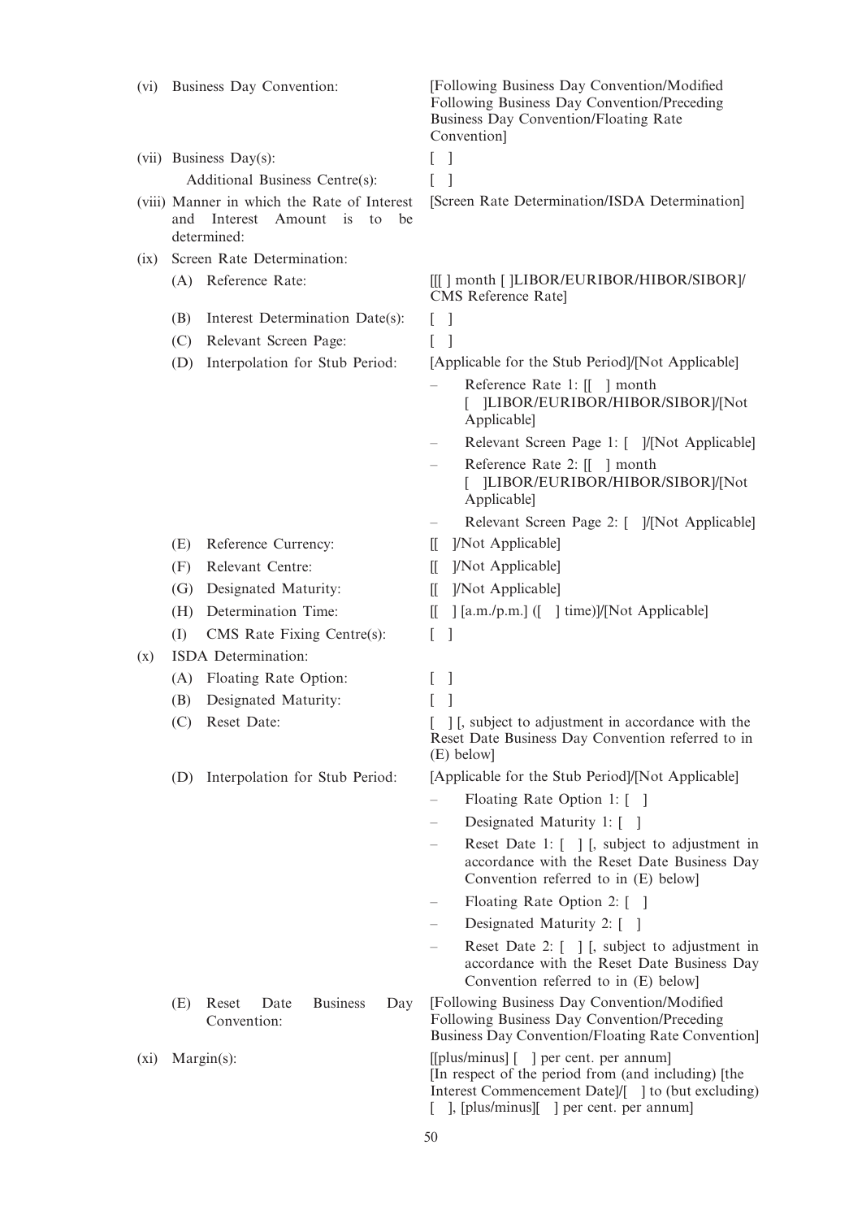| (vi) |     | Business Day Convention:                                                                        | [Following Business Day Convention/Modified]<br>Following Business Day Convention/Preceding<br>Business Day Convention/Floating Rate<br>Convention]                                           |
|------|-----|-------------------------------------------------------------------------------------------------|-----------------------------------------------------------------------------------------------------------------------------------------------------------------------------------------------|
|      |     | (vii) Business Day(s):                                                                          | $\Box$<br>L                                                                                                                                                                                   |
|      |     | Additional Business Centre(s):                                                                  | L                                                                                                                                                                                             |
|      | and | (viii) Manner in which the Rate of Interest<br>Interest<br>Amount is<br>be<br>to<br>determined: | [Screen Rate Determination/ISDA Determination]                                                                                                                                                |
| (ix) |     | Screen Rate Determination:                                                                      |                                                                                                                                                                                               |
|      |     | (A) Reference Rate:                                                                             | [[[] month []LIBOR/EURIBOR/HIBOR/SIBOR]/<br>CMS Reference Rate]                                                                                                                               |
|      | (B) | Interest Determination Date(s):                                                                 | $\mathbf{I}$                                                                                                                                                                                  |
|      | (C) | Relevant Screen Page:                                                                           | $\mathbf{I}$                                                                                                                                                                                  |
|      | (D) | Interpolation for Stub Period:                                                                  | [Applicable for the Stub Period]/[Not Applicable]                                                                                                                                             |
|      |     |                                                                                                 | Reference Rate 1: [[ ] month<br>[ ]LIBOR/EURIBOR/HIBOR/SIBOR]/[Not<br>Applicable]                                                                                                             |
|      |     |                                                                                                 | Relevant Screen Page 1: [ ]/[Not Applicable]                                                                                                                                                  |
|      |     |                                                                                                 | Reference Rate 2: [[ ] month<br>]LIBOR/EURIBOR/HIBOR/SIBOR]/[Not<br>Applicable]                                                                                                               |
|      |     |                                                                                                 | Relevant Screen Page 2: [ ]/[Not Applicable]                                                                                                                                                  |
|      | (E) | Reference Currency:                                                                             | ]/Not Applicable]<br>Ш                                                                                                                                                                        |
|      | (F) | Relevant Centre:                                                                                | ]/Not Applicable]<br>$\mathbb{I}$                                                                                                                                                             |
|      | (G) | Designated Maturity:                                                                            | ]/Not Applicable]<br>IL.                                                                                                                                                                      |
|      | (H) | Determination Time:                                                                             | [[a.m./p.m.] ([ ] time]]/[Not Applicable]<br>Ш                                                                                                                                                |
|      | (I) | CMS Rate Fixing Centre(s):                                                                      | L<br>$\mathbf{1}$                                                                                                                                                                             |
| (x)  |     | ISDA Determination:                                                                             |                                                                                                                                                                                               |
|      | (A) | Floating Rate Option:                                                                           | $\mathbf{I}$                                                                                                                                                                                  |
|      | (B) | Designated Maturity:                                                                            |                                                                                                                                                                                               |
|      | (C) | Reset Date:                                                                                     | ] [, subject to adjustment in accordance with the<br>Reset Date Business Day Convention referred to in<br>(E) below]                                                                          |
|      |     | (D) Interpolation for Stub Period:                                                              | [Applicable for the Stub Period]/[Not Applicable]                                                                                                                                             |
|      |     |                                                                                                 | Floating Rate Option 1: []                                                                                                                                                                    |
|      |     |                                                                                                 | Designated Maturity 1: []                                                                                                                                                                     |
|      |     |                                                                                                 | Reset Date 1: [ ] [, subject to adjustment in<br>accordance with the Reset Date Business Day<br>Convention referred to in (E) below]                                                          |
|      |     |                                                                                                 | Floating Rate Option 2: []                                                                                                                                                                    |
|      |     |                                                                                                 | Designated Maturity 2: []                                                                                                                                                                     |
|      |     |                                                                                                 | Reset Date 2: [ ] [, subject to adjustment in<br>accordance with the Reset Date Business Day<br>Convention referred to in (E) below]                                                          |
|      | (E) | <b>Business</b><br>Reset<br>Date<br>Day<br>Convention:                                          | [Following Business Day Convention/Modified]<br>Following Business Day Convention/Preceding<br>Business Day Convention/Floating Rate Convention]                                              |
| (xi) |     | $Margin(s)$ :                                                                                   | [[plus/minus] [] per cent. per annum]<br>[In respect of the period from (and including) [the<br>Interest Commencement Date]/[ ] to (but excluding)<br>], [plus/minus][ ] per cent. per annum] |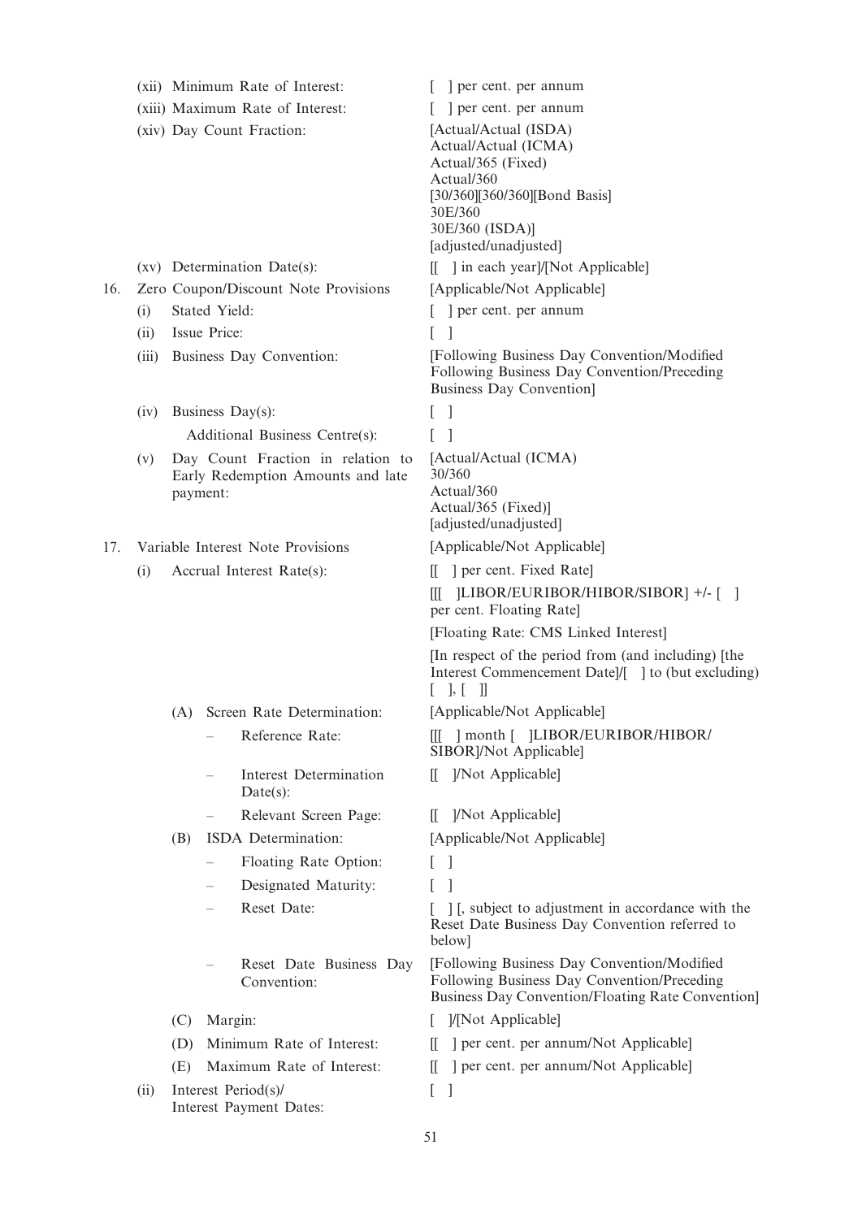|     |                      |                                                                        |                           | (xii) Minimum Rate of Interest:        |                                                                                                                               | per cent. per annum                                                                                                                              |
|-----|----------------------|------------------------------------------------------------------------|---------------------------|----------------------------------------|-------------------------------------------------------------------------------------------------------------------------------|--------------------------------------------------------------------------------------------------------------------------------------------------|
|     |                      | (xiii) Maximum Rate of Interest:                                       |                           |                                        |                                                                                                                               | per cent. per annum                                                                                                                              |
|     |                      | (xiv) Day Count Fraction:                                              |                           |                                        |                                                                                                                               | [Actual/Actual (ISDA)<br>Actual/Actual (ICMA)<br>Actual/365 (Fixed)                                                                              |
|     |                      |                                                                        |                           |                                        |                                                                                                                               | Actual/360                                                                                                                                       |
|     |                      |                                                                        |                           |                                        |                                                                                                                               | [30/360][360/360][Bond Basis]                                                                                                                    |
|     |                      |                                                                        |                           |                                        |                                                                                                                               | 30E/360<br>30E/360 (ISDA)]                                                                                                                       |
|     |                      |                                                                        |                           |                                        |                                                                                                                               | [adjusted/unadjusted]                                                                                                                            |
|     |                      |                                                                        |                           | (xv) Determination Date(s):            |                                                                                                                               | [[ ] in each year]/[Not Applicable]                                                                                                              |
| 16. |                      | Zero Coupon/Discount Note Provisions                                   |                           |                                        |                                                                                                                               | [Applicable/Not Applicable]                                                                                                                      |
|     | Stated Yield:<br>(i) |                                                                        |                           |                                        |                                                                                                                               | [ ] per cent. per annum                                                                                                                          |
|     | Issue Price:<br>(ii) |                                                                        | L                         |                                        |                                                                                                                               |                                                                                                                                                  |
|     | (iii)                | Business Day Convention:                                               |                           |                                        | [Following Business Day Convention/Modified]<br>Following Business Day Convention/Preceding<br><b>Business Day Convention</b> |                                                                                                                                                  |
|     | (iv)                 |                                                                        |                           | Business Day(s):                       | L                                                                                                                             | -1                                                                                                                                               |
|     |                      |                                                                        |                           | Additional Business Centre(s):         |                                                                                                                               |                                                                                                                                                  |
|     | (v)                  | Day Count Fraction in relation to<br>Early Redemption Amounts and late |                           |                                        |                                                                                                                               | [Actual/Actual (ICMA)                                                                                                                            |
|     |                      |                                                                        |                           |                                        |                                                                                                                               | 30/360<br>Actual/360                                                                                                                             |
|     |                      | payment:                                                               |                           |                                        | Actual/365 (Fixed)]                                                                                                           |                                                                                                                                                  |
|     |                      |                                                                        |                           |                                        |                                                                                                                               | [adjusted/unadjusted]                                                                                                                            |
| 17. |                      | Variable Interest Note Provisions                                      |                           |                                        |                                                                                                                               | [Applicable/Not Applicable]                                                                                                                      |
|     | (i)                  | Accrual Interest Rate(s):                                              |                           |                                        | Ш.                                                                                                                            | per cent. Fixed Rate                                                                                                                             |
|     |                      |                                                                        |                           |                                        | 吅                                                                                                                             | [1] -/- [1] LIBOR/EURIBOR/HIBOR/SIBOR]<br>per cent. Floating Rate]                                                                               |
|     |                      |                                                                        |                           |                                        |                                                                                                                               | [Floating Rate: CMS Linked Interest]                                                                                                             |
|     |                      |                                                                        |                           |                                        |                                                                                                                               | [In respect of the period from (and including) [the<br>Interest Commencement Date]/[ ] to (but excluding)<br>$[$ $], [$ $]]$                     |
|     |                      | (A)                                                                    |                           | Screen Rate Determination:             |                                                                                                                               | [Applicable/Not Applicable]                                                                                                                      |
|     |                      |                                                                        |                           | Reference Rate:                        |                                                                                                                               | [[[ ] month [ ]LIBOR/EURIBOR/HIBOR/<br>SIBOR]/Not Applicable]                                                                                    |
|     |                      |                                                                        |                           | Interest Determination<br>Date(s):     | Ш.                                                                                                                            | ]/Not Applicable]                                                                                                                                |
|     |                      |                                                                        |                           | Relevant Screen Page:                  | $\mathbb{H}^-$                                                                                                                | [/Not Applicable]                                                                                                                                |
|     |                      | (B)                                                                    |                           | ISDA Determination:                    |                                                                                                                               | [Applicable/Not Applicable]                                                                                                                      |
|     |                      |                                                                        |                           | Floating Rate Option:                  |                                                                                                                               |                                                                                                                                                  |
|     |                      |                                                                        |                           | Designated Maturity:                   |                                                                                                                               |                                                                                                                                                  |
|     |                      |                                                                        |                           | Reset Date:                            |                                                                                                                               | [1], subject to adjustment in accordance with the<br>Reset Date Business Day Convention referred to<br>below]                                    |
|     |                      |                                                                        |                           | Reset Date Business Day<br>Convention: |                                                                                                                               | [Following Business Day Convention/Modified]<br>Following Business Day Convention/Preceding<br>Business Day Convention/Floating Rate Convention] |
|     |                      | Margin:<br>(C)                                                         |                           |                                        | ]/[Not Applicable]                                                                                                            |                                                                                                                                                  |
|     |                      | (D)                                                                    | Minimum Rate of Interest: |                                        |                                                                                                                               | ] per cent. per annum/Not Applicable]                                                                                                            |
|     |                      | (E)                                                                    |                           | Maximum Rate of Interest:              | Ш.                                                                                                                            | ] per cent. per annum/Not Applicable]                                                                                                            |
|     | (ii)                 |                                                                        |                           | Interest Period(s)/                    | L                                                                                                                             | 1                                                                                                                                                |
|     |                      | Interest Payment Dates:                                                |                           |                                        |                                                                                                                               |                                                                                                                                                  |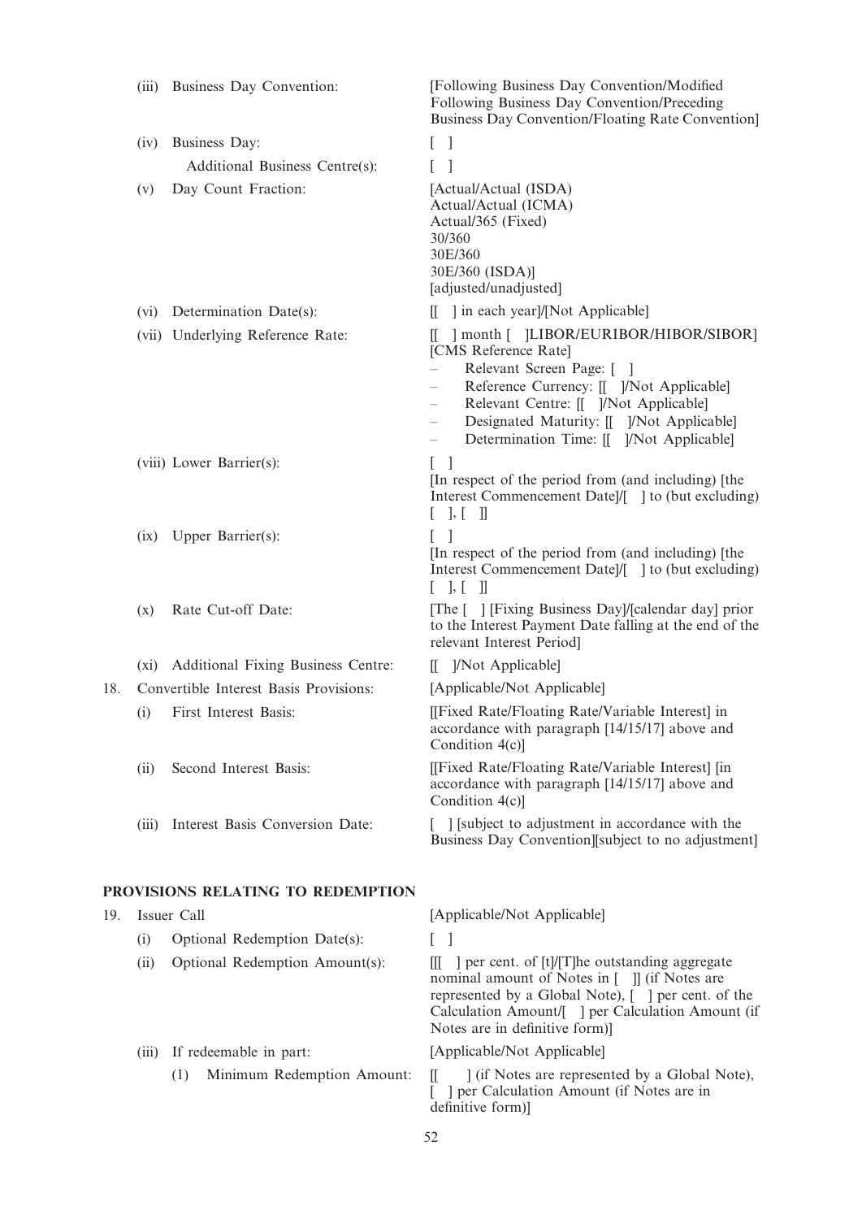|     | (iii) | Business Day Convention:                | [Following Business Day Convention/Modified<br>Following Business Day Convention/Preceding<br>Business Day Convention/Floating Rate Convention]                                                                                                                                                        |
|-----|-------|-----------------------------------------|--------------------------------------------------------------------------------------------------------------------------------------------------------------------------------------------------------------------------------------------------------------------------------------------------------|
|     | (iv)  | Business Day:                           | $\Box$<br>L                                                                                                                                                                                                                                                                                            |
|     |       | Additional Business Centre(s):          | L                                                                                                                                                                                                                                                                                                      |
|     | (v)   | Day Count Fraction:                     | [Actual/Actual (ISDA)<br>Actual/Actual (ICMA)<br>Actual/365 (Fixed)<br>30/360<br>30E/360<br>30E/360 (ISDA)]<br>[adjusted/unadjusted]                                                                                                                                                                   |
|     |       | (vi) Determination Date(s):             | 1 in each year]/[Not Applicable]                                                                                                                                                                                                                                                                       |
|     |       | (vii) Underlying Reference Rate:        | [[ ] month [ ]LIBOR/EURIBOR/HIBOR/SIBOR]<br>[CMS Reference Rate]<br>Relevant Screen Page: []<br>Reference Currency: [[ ]/Not Applicable]<br>Relevant Centre: [[ ]/Not Applicable]<br>$\overline{\phantom{0}}$<br>Designated Maturity: [[ ]/Not Applicable]<br>Determination Time: [[ ]/Not Applicable] |
|     |       | (viii) Lower Barrier(s):                | L<br>-1<br>[In respect of the period from (and including) [the<br>Interest Commencement Datel/[ ] to (but excluding)<br>$\vert , \lbrack \;\; \vert \; \vert$<br>L                                                                                                                                     |
|     |       | (ix) Upper Barrier(s):                  | $\Box$<br>[In respect of the period from (and including) [the<br>Interest Commencement Date]/[ ] to (but excluding)<br>$[ \quad ], [ \quad ]]$                                                                                                                                                         |
|     | (x)   | Rate Cut-off Date:                      | [The [ ] [Fixing Business Day]/[calendar day] prior<br>to the Interest Payment Date falling at the end of the<br>relevant Interest Period]                                                                                                                                                             |
|     |       | (xi) Additional Fixing Business Centre: | [[ ]/Not Applicable]                                                                                                                                                                                                                                                                                   |
| 18. |       | Convertible Interest Basis Provisions:  | [Applicable/Not Applicable]                                                                                                                                                                                                                                                                            |
|     | (i)   | First Interest Basis:                   | [[Fixed Rate/Floating Rate/Variable Interest] in<br>accordance with paragraph [14/15/17] above and<br>Condition 4(c)]                                                                                                                                                                                  |
|     | (ii)  | Second Interest Basis:                  | [[Fixed Rate/Floating Rate/Variable Interest] [in<br>accordance with paragraph [14/15/17] above and<br>Condition 4(c)]                                                                                                                                                                                 |
|     | (iii) | Interest Basis Conversion Date:         | [ ] [subject to adjustment in accordance with the<br>Business Day Convention [subject to no adjustment]                                                                                                                                                                                                |
|     |       | PROVISIONS RELATING TO REDEMPTION       |                                                                                                                                                                                                                                                                                                        |
| 19. |       | Issuer Call                             | [Applicable/Not Applicable]                                                                                                                                                                                                                                                                            |
|     | (i)   | Optional Redemption Date(s):            | L                                                                                                                                                                                                                                                                                                      |
|     | (ii)  | Optional Redemption Amount(s):          | [[[ ] per cent. of [t]/[T]he outstanding aggregate<br>nominal amount of Notes in [ ]] (if Notes are<br>represented by a Global Note), [ ] per cent. of the<br>Calculation Amount/[ ] per Calculation Amount (if<br>Notes are in definitive form)]                                                      |
|     | (iii) | If redeemable in part:                  | [Applicable/Not Applicable]                                                                                                                                                                                                                                                                            |
|     |       | Minimum Redemption Amount:<br>(1)       | ] (if Notes are represented by a Global Note),<br>II.<br>] per Calculation Amount (if Notes are in<br>definitive form)]                                                                                                                                                                                |